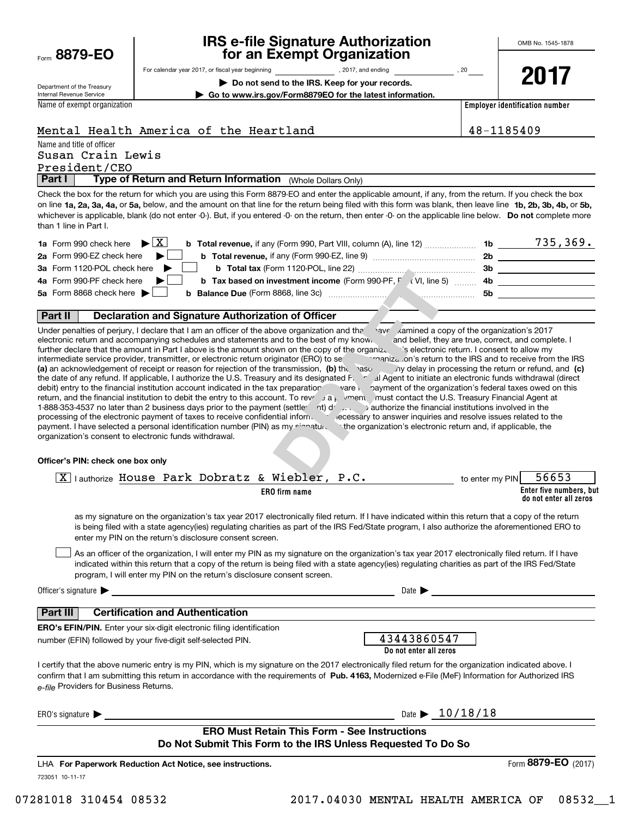| Form $8879 - EO$ |  |  |
|------------------|--|--|
|                  |  |  |

## **IRS e-file Signature Authorization for an Exempt Organization**

**| Do not send to the IRS. Keep for your records. | Go to www.irs.gov/Form8879EO for the latest information.**

For calendar year 2017, or fiscal year beginning , 2017, and ending , 20

| 2017 |
|------|
|      |

Department of the Treasury Internal Revenue Service

Name of exempt organization

**Employer identification number**

## Mental Health America of the Heartland 185409

Name and title of officer

| Susan Crain Lewis |                               |  |
|-------------------|-------------------------------|--|
| President/CEO     |                               |  |
|                   | <b>Death True of Detroits</b> |  |

**Part I** | Type of Return and Return Information (Whole Dollars Only)

on line **1a, 2a, 3a, 4a,** or **5a,** below, and the amount on that line for the return being filed with this form was blank, then leave line **1b, 2b, 3b, 4b,** or **5b,** whichever is applicable, blank (do not enter -0-). But, if you entered -0- on the return, then enter -0- on the applicable line below. **Do not** complete more Check the box for the return for which you are using this Form 8879-EO and enter the applicable amount, if any, from the return. If you check the box than 1 line in Part I.

| <b>1a</b> Form 990 check here $\blacktriangleright$ $\boxed{\text{X}}$<br><b>b Total revenue,</b> if any (Form 990, Part VIII, column (A), line 12) | - 1b | 735, 369. |
|-----------------------------------------------------------------------------------------------------------------------------------------------------|------|-----------|
| 2a Form 990-EZ check here $\blacktriangleright$<br><b>b</b> Total revenue, if any (Form 990-EZ, line 9) <i>managerananana</i> ,                     | -2b  |           |
| 3a Form 1120-POL check here $\blacktriangleright$                                                                                                   | -3b  |           |
| 4a Form 990-PF check here $\blacktriangleright$<br><b>b</b> Tax based on investment income (Form 990-PF, $F \times VI$ , line 5) 4b                 |      |           |
| 5a Form 8868 check here $\blacktriangleright$<br><b>b</b> Balance Due (Form 8868, line 3c)                                                          | .5b  |           |
|                                                                                                                                                     |      |           |

#### **Part II Declaration and Signature Authorization of Officer**

| 34 FUITILIZU:FUL GIECA IIEIE                                                                                                                                                                                                                                                                                                                                                                                                                                                                                                                                                                                                                                                                                                                                                                                                                                                                                                                                                                                                                                                                                                                                                                                                                                                                                                                                                                                                                                                                                                                                                                                                                                                                                                                                                         |
|--------------------------------------------------------------------------------------------------------------------------------------------------------------------------------------------------------------------------------------------------------------------------------------------------------------------------------------------------------------------------------------------------------------------------------------------------------------------------------------------------------------------------------------------------------------------------------------------------------------------------------------------------------------------------------------------------------------------------------------------------------------------------------------------------------------------------------------------------------------------------------------------------------------------------------------------------------------------------------------------------------------------------------------------------------------------------------------------------------------------------------------------------------------------------------------------------------------------------------------------------------------------------------------------------------------------------------------------------------------------------------------------------------------------------------------------------------------------------------------------------------------------------------------------------------------------------------------------------------------------------------------------------------------------------------------------------------------------------------------------------------------------------------------|
| <b>b</b> Tax based on investment income (Form 990-PF, F (VI, line 5)<br>4a Form 990-PF check here<br>4b                                                                                                                                                                                                                                                                                                                                                                                                                                                                                                                                                                                                                                                                                                                                                                                                                                                                                                                                                                                                                                                                                                                                                                                                                                                                                                                                                                                                                                                                                                                                                                                                                                                                              |
| 5a Form 8868 check here<br><b>Balance Due</b> (Form 8868, line 3c)<br>5b<br>b                                                                                                                                                                                                                                                                                                                                                                                                                                                                                                                                                                                                                                                                                                                                                                                                                                                                                                                                                                                                                                                                                                                                                                                                                                                                                                                                                                                                                                                                                                                                                                                                                                                                                                        |
|                                                                                                                                                                                                                                                                                                                                                                                                                                                                                                                                                                                                                                                                                                                                                                                                                                                                                                                                                                                                                                                                                                                                                                                                                                                                                                                                                                                                                                                                                                                                                                                                                                                                                                                                                                                      |
| Part II<br>Declaration and Signature Authorization of Officer                                                                                                                                                                                                                                                                                                                                                                                                                                                                                                                                                                                                                                                                                                                                                                                                                                                                                                                                                                                                                                                                                                                                                                                                                                                                                                                                                                                                                                                                                                                                                                                                                                                                                                                        |
| Under penalties of perjury, I declare that I am an officer of the above organization and tha<br>ave xamined a copy of the organization's 2017<br>electronic return and accompanying schedules and statements and to the best of my know.<br>and belief, they are true, correct, and complete. I<br>further declare that the amount in Part I above is the amount shown on the copy of the organize<br>'s electronic return. I consent to allow my<br>intermediate service provider, transmitter, or electronic return originator (ERO) to se<br>reanization's return to the IRS and to receive from the IRS<br>(a) an acknowledgement of receipt or reason for rejection of the transmission, (b) the raso<br>ay delay in processing the return or refund, and $(c)$<br>the date of any refund. If applicable, I authorize the U.S. Treasury and its designated F.<br>al Agent to initiate an electronic funds withdrawal (direct<br>debit) entry to the financial institution account indicated in the tax preparation<br>payment of the organization's federal taxes owed on this<br>vare i<br>return, and the financial institution to debit the entry to this account. To revent a $\mu$<br>ment, must contact the U.S. Treasury Financial Agent at<br>$\triangleright$ authorize the financial institutions involved in the<br>1-888-353-4537 no later than 2 business days prior to the payment (settler ot) dr<br>processing of the electronic payment of taxes to receive confidential inform.<br>ecessary to answer inquiries and resolve issues related to the<br>payment. I have selected a personal identification number (PIN) as my simature<br>the organization's electronic return and, if applicable, the<br>organization's consent to electronic funds withdrawal. |
| Officer's PIN: check one box only                                                                                                                                                                                                                                                                                                                                                                                                                                                                                                                                                                                                                                                                                                                                                                                                                                                                                                                                                                                                                                                                                                                                                                                                                                                                                                                                                                                                                                                                                                                                                                                                                                                                                                                                                    |
| lauthorize House Park Dobratz & Wiebler, P.C.<br>56653<br>ΧI<br>to enter my PIN                                                                                                                                                                                                                                                                                                                                                                                                                                                                                                                                                                                                                                                                                                                                                                                                                                                                                                                                                                                                                                                                                                                                                                                                                                                                                                                                                                                                                                                                                                                                                                                                                                                                                                      |

#### **Officer's PIN: check one box only**

| lauthorize House Park Dobratz & Wiebler, P.C.                                                                                                                                                                                                                                                                                                                                    | 56653<br>to enter my PIN                          |
|----------------------------------------------------------------------------------------------------------------------------------------------------------------------------------------------------------------------------------------------------------------------------------------------------------------------------------------------------------------------------------|---------------------------------------------------|
| <b>ERO</b> firm name                                                                                                                                                                                                                                                                                                                                                             | Enter five numbers, but<br>do not enter all zeros |
| as my signature on the organization's tax year 2017 electronically filed return. If I have indicated within this return that a copy of the return<br>is being filed with a state agency(ies) regulating charities as part of the IRS Fed/State program, I also authorize the aforementioned ERO to<br>enter my PIN on the return's disclosure consent screen.                    |                                                   |
| As an officer of the organization, I will enter my PIN as my signature on the organization's tax year 2017 electronically filed return. If I have<br>indicated within this return that a copy of the return is being filed with a state agency(ies) regulating charities as part of the IRS Fed/State<br>program, I will enter my PIN on the return's disclosure consent screen. |                                                   |
| Officer's signature $\blacktriangleright$                                                                                                                                                                                                                                                                                                                                        | Date $\blacktriangleright$                        |
| <b>Certification and Authentication</b><br>Part III                                                                                                                                                                                                                                                                                                                              |                                                   |
| <b>ERO's EFIN/PIN.</b> Enter your six-digit electronic filing identification<br>number (EFIN) followed by your five-digit self-selected PIN.                                                                                                                                                                                                                                     | 43443860547<br>Do not enter all zeros             |
| I certify that the above numeric entry is my PIN, which is my signature on the 2017 electronically filed return for the organization indicated above. I<br>confirm that I am submitting this return in accordance with the requirements of Pub. 4163, Modernized e-File (MeF) Information for Authorized IRS<br>e-file Providers for Business Returns.                           |                                                   |

| <b>ERO Must Retain This Form - See Instructions</b>          |
|--------------------------------------------------------------|
| Do Not Submit This Form to the IRS Unless Requested To Do So |

723051 10-11-17 LHA For Paperwork Reduction Act Notice, see instructions.

ERO's signature  $\blacktriangleright$ 

Date  $\triangleright$  10/18/18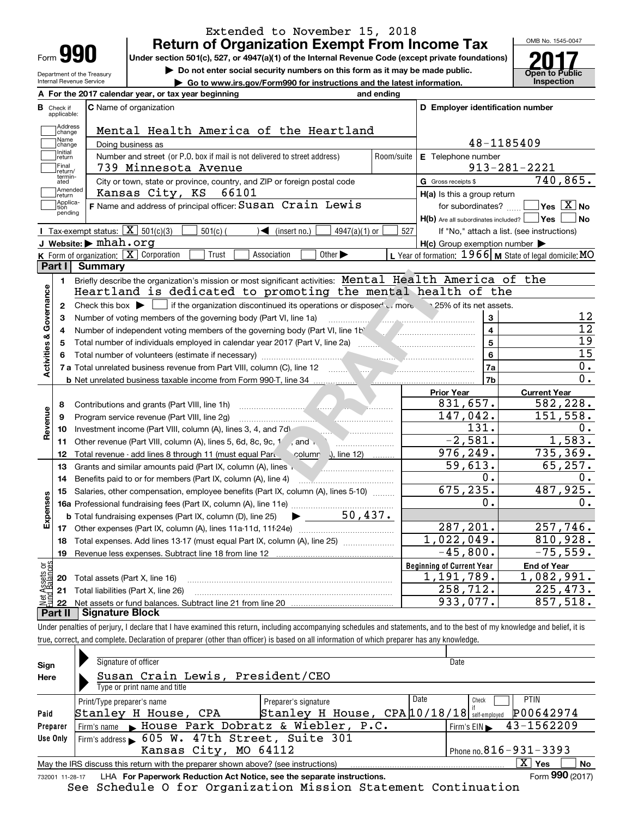| Form |  |
|------|--|
|      |  |

Department of the Treasury Internal Revenue Service

## **Return of Organization Exempt From Income Tax** Extended to November 15, 2018

**Under section 501(c), 527, or 4947(a)(1) of the Internal Revenue Code (except private foundations)**

**| Do not enter social security numbers on this form as it may be made public.**

▶ Go to www.irs.gov/Form990 for instructions and the latest information. **Inspection** 



|                         |                         | A For the 2017 calendar year, or tax year beginning                                                                                                                                                                                                                                   | and ending |                                                     |                                                           |
|-------------------------|-------------------------|---------------------------------------------------------------------------------------------------------------------------------------------------------------------------------------------------------------------------------------------------------------------------------------|------------|-----------------------------------------------------|-----------------------------------------------------------|
| В                       | Check if<br>applicable: | <b>C</b> Name of organization                                                                                                                                                                                                                                                         |            | D Employer identification number                    |                                                           |
|                         | Address<br>change       | Mental Health America of the Heartland                                                                                                                                                                                                                                                |            |                                                     |                                                           |
|                         | Name<br>change          | Doing business as                                                                                                                                                                                                                                                                     |            | 48-1185409                                          |                                                           |
|                         | Initial<br>return       | Number and street (or P.O. box if mail is not delivered to street address)                                                                                                                                                                                                            | Room/suite | E Telephone number                                  |                                                           |
|                         | Final<br>return/        | 739 Minnesota Avenue                                                                                                                                                                                                                                                                  |            |                                                     | $913 - 281 - 2221$                                        |
|                         | termin-<br>ated         | City or town, state or province, country, and ZIP or foreign postal code                                                                                                                                                                                                              |            | G Gross receipts \$                                 | 740,865.                                                  |
|                         | Amended<br>Ireturn      | Kansas City, KS<br>66101                                                                                                                                                                                                                                                              |            | H(a) Is this a group return                         |                                                           |
|                         | Applica-<br>tion        | F Name and address of principal officer: Susan Crain Lewis                                                                                                                                                                                                                            |            | for subordinates?                                   | $\sqrt{}$ Yes $\sqrt{X}$ No                               |
|                         | pending                 |                                                                                                                                                                                                                                                                                       |            | $H(b)$ Are all subordinates included?               | <b>Yes</b><br><b>No</b>                                   |
|                         |                         | Tax-exempt status: $\boxed{\mathbf{X}}$ 501(c)(3)<br>$501(c)$ (<br>$\sqrt{\bullet}$ (insert no.)<br>$4947(a)(1)$ or                                                                                                                                                                   | 527        |                                                     | If "No," attach a list. (see instructions)                |
|                         |                         | J Website: mhah.org                                                                                                                                                                                                                                                                   |            | $H(c)$ Group exemption number $\blacktriangleright$ |                                                           |
|                         |                         | K Form of organization: $X$ Corporation<br>Trust<br>Other $\blacktriangleright$<br>Association                                                                                                                                                                                        |            |                                                     | L Year of formation: $1966$ M State of legal domicile: MO |
|                         | Part I                  | <b>Summary</b>                                                                                                                                                                                                                                                                        |            |                                                     |                                                           |
|                         | 1.                      | Briefly describe the organization's mission or most significant activities: Mental Health America of the                                                                                                                                                                              |            |                                                     |                                                           |
|                         |                         | Heartland is dedicated to promoting the mental health of the                                                                                                                                                                                                                          |            |                                                     |                                                           |
| Activities & Governance | $\mathbf{2}$            | Check this box $\blacktriangleright$ $\blacksquare$ if the organization discontinued its operations or disposer $\sqrt{25\%}$ of its net assets.                                                                                                                                      |            |                                                     |                                                           |
|                         | 3                       | Number of voting members of the governing body (Part VI, line 1a)                                                                                                                                                                                                                     |            | 3                                                   | 12                                                        |
|                         | 4                       | Number of independent voting members of the governing body (Part VI, line 1b)                                                                                                                                                                                                         |            | $\overline{\mathbf{4}}$                             | $\overline{12}$                                           |
|                         | 5                       |                                                                                                                                                                                                                                                                                       |            | 5                                                   | $\overline{19}$                                           |
|                         |                         |                                                                                                                                                                                                                                                                                       |            | 6                                                   | $\overline{15}$                                           |
|                         |                         |                                                                                                                                                                                                                                                                                       |            | 7a                                                  | $\overline{0}$ .                                          |
|                         |                         |                                                                                                                                                                                                                                                                                       |            | 7b                                                  | 0.                                                        |
|                         |                         |                                                                                                                                                                                                                                                                                       |            | <b>Prior Year</b>                                   | <b>Current Year</b>                                       |
|                         | 8                       | <u> maria mare de la provincia de la provincia de la provincia de la provincia de la provincia de la provincia de la provincia de la provincia de la provincia de la provincia de la provincia de la provincia de la provincia d</u><br>Contributions and grants (Part VIII, line 1h) |            | 831,657.                                            | 582,228.                                                  |
|                         | 9                       | Program service revenue (Part VIII, line 2g)                                                                                                                                                                                                                                          |            | 147,042.                                            | 151, 558.                                                 |
| Revenue                 | 10                      | Investment income (Part VIII, column (A), lines 3, 4, and 7d)                                                                                                                                                                                                                         |            | 131.                                                | 0.                                                        |
|                         | 11                      | Other revenue (Part VIII, column (A), lines 5, 6d, 8c, 9c, 1, and                                                                                                                                                                                                                     |            | $-2,581.$                                           | 1,583.                                                    |
|                         | 12                      | Total revenue - add lines 8 through 11 (must equal Part column), line 12)                                                                                                                                                                                                             |            | 976,249.                                            | 735,369.                                                  |
|                         | 13                      | Grants and similar amounts paid (Part IX, column (A), lines                                                                                                                                                                                                                           |            | 59,613.                                             | 65, 257.                                                  |
|                         | 14                      | Benefits paid to or for members (Part IX, column (A), line 4)<br><u> 1111 Animan (1111 - 1111 - 1111 - 1111 - 1111 - 1111 - 1111 - 1111 - 1111 - 1111 - 1111 - 1111 - 1111 - 1111 -</u>                                                                                               |            | 0.                                                  | 0.                                                        |
|                         | 15                      | Salaries, other compensation, employee benefits (Part IX, column (A), lines 5-10)                                                                                                                                                                                                     |            | 675, 235.                                           | 487,925.                                                  |
| Expenses                |                         |                                                                                                                                                                                                                                                                                       |            | 0.                                                  | О.                                                        |
|                         |                         | 50,437.<br>$\blacktriangleright$ and $\blacktriangleright$<br><b>b</b> Total fundraising expenses (Part IX, column (D), line 25)                                                                                                                                                      |            |                                                     |                                                           |
|                         |                         |                                                                                                                                                                                                                                                                                       |            | 287, 201.                                           | 257,746.                                                  |
|                         | 18                      | Total expenses. Add lines 13-17 (must equal Part IX, column (A), line 25) [                                                                                                                                                                                                           |            | 1,022,049.                                          | 810,928.                                                  |
|                         | 19                      |                                                                                                                                                                                                                                                                                       |            | $-45,800.$                                          | $-75,559.$                                                |
| ăğ                      |                         |                                                                                                                                                                                                                                                                                       |            | <b>Beginning of Current Year</b>                    | <b>End of Year</b>                                        |
| sets<br>aland           | 20                      | Total assets (Part X, line 16)                                                                                                                                                                                                                                                        |            | 1,191,789.                                          | 1,082,991.                                                |
|                         |                         | 21 Total liabilities (Part X, line 26)                                                                                                                                                                                                                                                |            | 258,712.                                            | 225, 473.                                                 |
|                         | 22                      |                                                                                                                                                                                                                                                                                       |            | 933,077.                                            | 857,518.                                                  |
|                         | Part II                 | <b>Signature Block</b>                                                                                                                                                                                                                                                                |            |                                                     |                                                           |

Under penalties of perjury, I declare that I have examined this return, including accompanying schedules and statements, and to the best of my knowledge and belief, it is true, correct, and complete. Declaration of preparer (other than officer) is based on all information of which preparer has any knowledge.

| Sign                                                                                                         | Signature of officer                                                   | Date                         |  |
|--------------------------------------------------------------------------------------------------------------|------------------------------------------------------------------------|------------------------------|--|
| Here                                                                                                         | Susan Crain Lewis, President/CEO                                       |                              |  |
|                                                                                                              | Type or print name and title                                           |                              |  |
|                                                                                                              | Date<br>Preparer's signature<br>Print/Type preparer's name             | <b>PTIN</b><br>Check         |  |
| Paid                                                                                                         | Stanley H House, $CPA 10/18/18 $ self-employed<br>Stanley H House, CPA | P00642974                    |  |
| Preparer                                                                                                     | Firm's name S House Park Dobratz & Wiebler, P.C.                       | 43-1562209<br>Firm's EIN     |  |
| Use Only                                                                                                     | Firm's address 605 W. 47th Street, Suite 301                           |                              |  |
|                                                                                                              | Kansas City, MO 64112                                                  | Phone no. $816 - 931 - 3393$ |  |
| $X \mid Y$ es<br>No<br>May the IRS discuss this return with the preparer shown above? (see instructions)     |                                                                        |                              |  |
| Form 990 (2017)<br>LHA For Paperwork Reduction Act Notice, see the separate instructions.<br>732001 11-28-17 |                                                                        |                              |  |

See Schedule O for Organization Mission Statement Continuation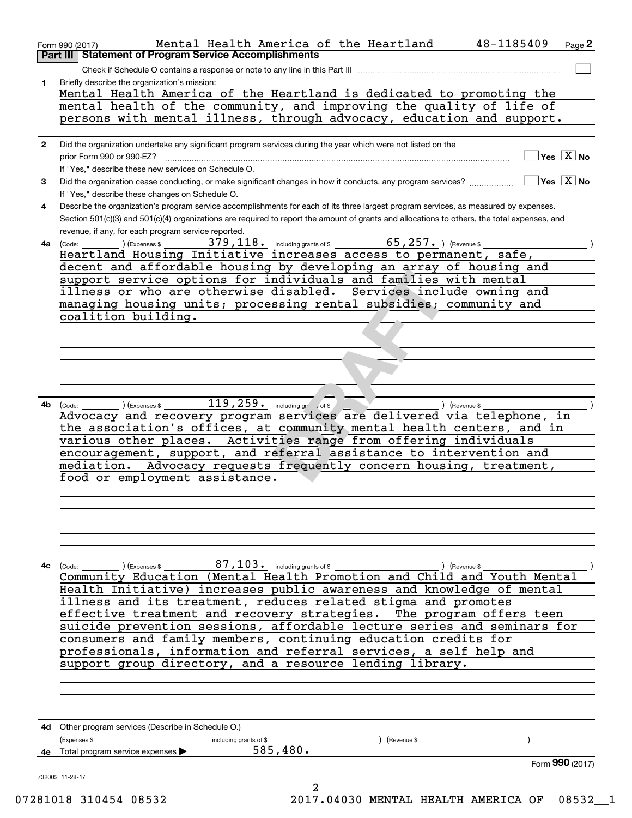|              | Part III Statement of Program Service Accomplishments                                                                                                             |
|--------------|-------------------------------------------------------------------------------------------------------------------------------------------------------------------|
|              |                                                                                                                                                                   |
|              | Briefly describe the organization's mission:                                                                                                                      |
|              | Mental Health America of the Heartland is dedicated to promoting the                                                                                              |
|              | mental health of the community, and improving the quality of life of                                                                                              |
|              | persons with mental illness, through advocacy, education and support.                                                                                             |
|              |                                                                                                                                                                   |
| $\mathbf{2}$ | Did the organization undertake any significant program services during the year which were not listed on the                                                      |
|              | $\exists$ Yes $\boxed{\text{X}}$ No<br>prior Form 990 or 990-EZ?                                                                                                  |
|              | If "Yes," describe these new services on Schedule O.                                                                                                              |
| 3            | $\boxed{\phantom{1}}$ Yes $\boxed{\mathrm{X}}$ No<br>Did the organization cease conducting, or make significant changes in how it conducts, any program services? |
|              | If "Yes," describe these changes on Schedule O.                                                                                                                   |
| 4            | Describe the organization's program service accomplishments for each of its three largest program services, as measured by expenses.                              |
|              | Section 501(c)(3) and 501(c)(4) organizations are required to report the amount of grants and allocations to others, the total expenses, and                      |
|              | revenue, if any, for each program service reported.                                                                                                               |
|              | $65, 257.$ ) (Revenue \$<br>379, 118. including grants of \$<br>(Expenses \$<br><b>4a</b> (Code:                                                                  |
|              | Heartland Housing Initiative increases access to permanent, safe,                                                                                                 |
|              | decent and affordable housing by developing an array of housing and                                                                                               |
|              | support service options for individuals and families with mental                                                                                                  |
|              | illness or who are otherwise disabled. Services include owning and                                                                                                |
|              | managing housing units; processing rental subsidies; community and                                                                                                |
|              | coalition building.                                                                                                                                               |
|              |                                                                                                                                                                   |
|              |                                                                                                                                                                   |
|              |                                                                                                                                                                   |
|              |                                                                                                                                                                   |
|              |                                                                                                                                                                   |
|              |                                                                                                                                                                   |
|              |                                                                                                                                                                   |
|              |                                                                                                                                                                   |
|              | ) (Revenue \$                                                                                                                                                     |
|              | Advocacy and recovery program services are delivered via telephone, in                                                                                            |
|              | the association's offices, at community mental health centers, and in                                                                                             |
|              | various other places. Activities range from offering individuals                                                                                                  |
|              | encouragement, support, and referral assistance to intervention and                                                                                               |
|              | mediation. Advocacy requests frequently concern housing, treatment,                                                                                               |
|              | food or employment assistance.                                                                                                                                    |
|              |                                                                                                                                                                   |
|              |                                                                                                                                                                   |
|              |                                                                                                                                                                   |
|              |                                                                                                                                                                   |
|              |                                                                                                                                                                   |
|              |                                                                                                                                                                   |
|              | $87,103$ . including grants of \$<br>) (Expenses \$<br>(Revenue \$<br>(Code:                                                                                      |
|              | Community Education (Mental Health Promotion and Child and Youth Mental                                                                                           |
|              |                                                                                                                                                                   |
|              | Health Initiative) increases public awareness and knowledge of mental                                                                                             |
|              | illness and its treatment, reduces related stigma and promotes                                                                                                    |
|              | The program offers teen<br>effective treatment and recovery strategies.                                                                                           |
|              | suicide prevention sessions, affordable lecture series and seminars for                                                                                           |
|              | consumers and family members, continuing education credits for                                                                                                    |
|              | professionals, information and referral services, a self help and                                                                                                 |
|              | support group directory, and a resource lending library.                                                                                                          |
|              |                                                                                                                                                                   |
|              |                                                                                                                                                                   |
|              |                                                                                                                                                                   |
|              |                                                                                                                                                                   |
|              | Other program services (Describe in Schedule O.)                                                                                                                  |
| 4с           | (Revenue \$<br>(Expenses \$<br>including grants of \$                                                                                                             |
|              | 585,480.<br>4e Total program service expenses                                                                                                                     |
|              | Form 990 (2017)<br>732002 11-28-17                                                                                                                                |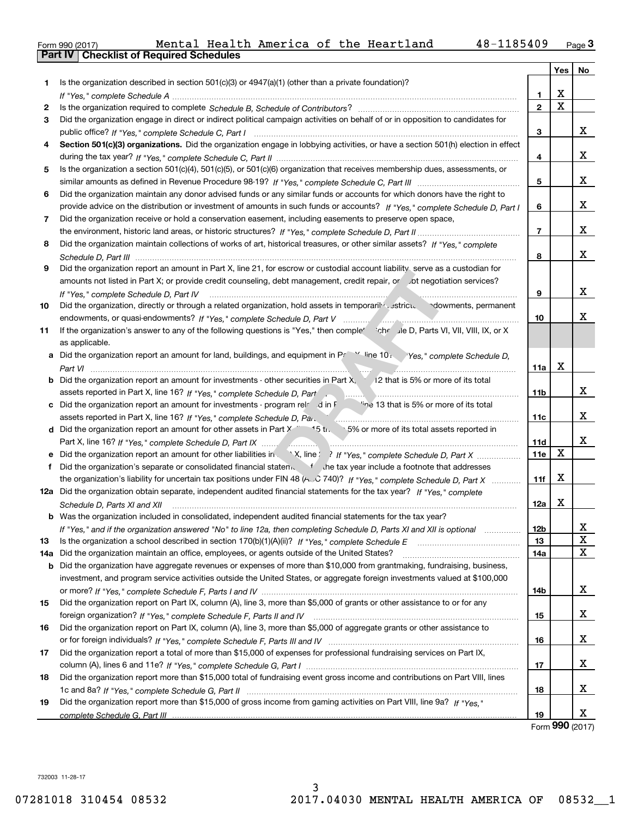|  | Form 990 (2017) |
|--|-----------------|

|     |                                                                                                                                    |                | Yes         | No          |
|-----|------------------------------------------------------------------------------------------------------------------------------------|----------------|-------------|-------------|
| 1.  | Is the organization described in section $501(c)(3)$ or $4947(a)(1)$ (other than a private foundation)?                            |                |             |             |
|     |                                                                                                                                    | 1.             | X           |             |
| 2   |                                                                                                                                    | $\overline{2}$ | $\mathbf X$ |             |
| 3   | Did the organization engage in direct or indirect political campaign activities on behalf of or in opposition to candidates for    |                |             |             |
|     |                                                                                                                                    | 3              |             | x           |
| 4   | Section 501(c)(3) organizations. Did the organization engage in lobbying activities, or have a section 501(h) election in effect   |                |             |             |
|     |                                                                                                                                    | 4              |             | x           |
| 5   | Is the organization a section 501(c)(4), 501(c)(5), or 501(c)(6) organization that receives membership dues, assessments, or       |                |             |             |
|     |                                                                                                                                    | 5              |             | x           |
| 6   | Did the organization maintain any donor advised funds or any similar funds or accounts for which donors have the right to          |                |             |             |
|     | provide advice on the distribution or investment of amounts in such funds or accounts? If "Yes," complete Schedule D, Part I       | 6              |             | x           |
| 7   | Did the organization receive or hold a conservation easement, including easements to preserve open space,                          |                |             |             |
|     |                                                                                                                                    | $\overline{7}$ |             | x           |
| 8   | Did the organization maintain collections of works of art, historical treasures, or other similar assets? If "Yes," complete       |                |             |             |
|     |                                                                                                                                    | 8              |             | x           |
| 9   | Did the organization report an amount in Part X, line 21, for escrow or custodial account liability serve as a custodian for       |                |             |             |
|     | amounts not listed in Part X; or provide credit counseling, debt management, credit repair, or ct negotiation services?            |                |             |             |
|     |                                                                                                                                    | 9              |             | x           |
| 10  | Did the organization, directly or through a related organization, hold assets in temporarily, estricted adowments, permanent       |                |             |             |
|     |                                                                                                                                    | 10             |             | x           |
| 11  | If the organization's answer to any of the following questions is "Yes," then comple' che ale D, Parts VI, VIII, VIII, IX, or X    |                |             |             |
|     | as applicable.                                                                                                                     |                |             |             |
|     | a Did the organization report an amount for land, buildings, and equipment in Prank line 10. Yes," complete Schedule D,            |                |             |             |
|     |                                                                                                                                    | 11a            | X           |             |
|     | <b>b</b> Did the organization report an amount for investments - other securities in Part X,<br>12 that is 5% or more of its total |                |             |             |
|     | assets reported in Part X, line 16? If "Yes," complete Schedule D, Part<br>\                                                       | 11b            |             | x           |
|     | c Did the organization report an amount for investments - program relaption F<br>"ne 13 that is 5% or more of its total            |                |             |             |
|     | assets reported in Part X, line 16? If "Yes," complete Schedule D, Par,                                                            | 11c            |             | x           |
|     | d Did the organization report an amount for other assets in Part $X = 15$ th, 5% or more of its total assets reported in           |                |             |             |
|     |                                                                                                                                    | 11d            |             | x           |
|     |                                                                                                                                    | 11e            | X           |             |
|     | Did the organization's separate or consolidated financial staten. F the tax year include a footnote that addresses                 |                |             |             |
|     | the organization's liability for uncertain tax positions under FIN 48 (A C 740)? If "Yes," complete Schedule D, Part X             | 11f            | X           |             |
|     | 12a Did the organization obtain separate, independent audited financial statements for the tax year? If "Yes," complete            |                |             |             |
|     | Schedule D. Parts XI and XII                                                                                                       | 12a            | X           |             |
|     | <b>b</b> Was the organization included in consolidated, independent audited financial statements for the tax year?                 |                |             |             |
|     | If "Yes," and if the organization answered "No" to line 12a, then completing Schedule D, Parts XI and XII is optional metallion    | 12b            |             | ᅀ           |
| 13  |                                                                                                                                    | 13             |             | $\mathbf X$ |
| 14a | Did the organization maintain an office, employees, or agents outside of the United States?                                        | 14a            |             | X           |
|     | <b>b</b> Did the organization have aggregate revenues or expenses of more than \$10,000 from grantmaking, fundraising, business,   |                |             |             |
|     | investment, and program service activities outside the United States, or aggregate foreign investments valued at \$100,000         |                |             |             |
|     |                                                                                                                                    | 14b            |             | x           |
| 15  | Did the organization report on Part IX, column (A), line 3, more than \$5,000 of grants or other assistance to or for any          |                |             |             |
|     |                                                                                                                                    | 15             |             | x           |
| 16  | Did the organization report on Part IX, column (A), line 3, more than \$5,000 of aggregate grants or other assistance to           |                |             |             |
|     |                                                                                                                                    | 16             |             | x           |
| 17  | Did the organization report a total of more than \$15,000 of expenses for professional fundraising services on Part IX,            |                |             |             |
|     |                                                                                                                                    | 17             |             | x           |
| 18  | Did the organization report more than \$15,000 total of fundraising event gross income and contributions on Part VIII, lines       |                |             |             |
|     |                                                                                                                                    | 18             |             | x           |
| 19  | Did the organization report more than \$15,000 of gross income from gaming activities on Part VIII, line 9a? If "Yes."             |                |             |             |
|     |                                                                                                                                    | 19             |             | x           |

Form (2017) **990**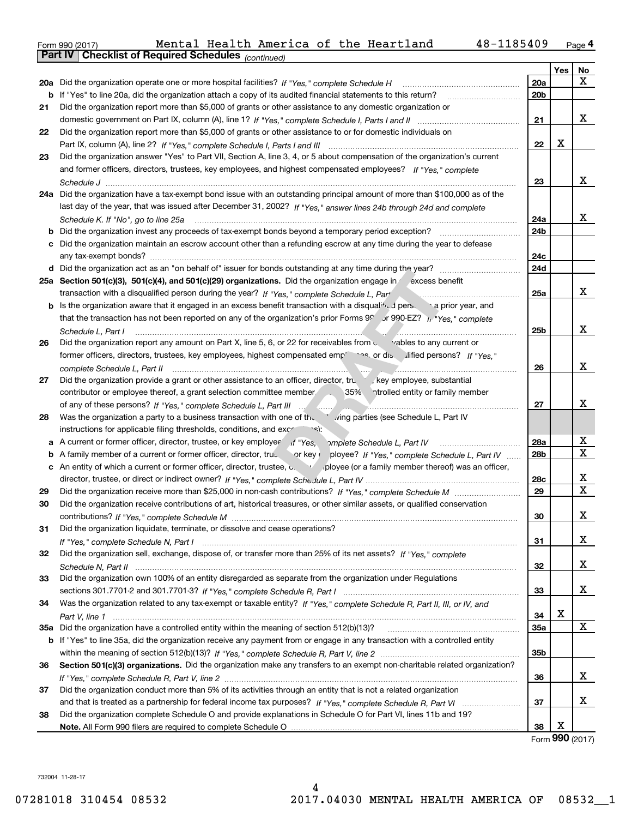| Form 990 (2017) |                                                            |  |  | Mental Health America of the Heartland | 48-1185409 | Page $\mathsf 4$ |
|-----------------|------------------------------------------------------------|--|--|----------------------------------------|------------|------------------|
|                 | <b>Part IV Checklist of Required Schedules</b> (continued) |  |  |                                        |            |                  |

|    | Pall IV  <br>Criecklist of Required Scriedules (continued)                                                                                    |     |            |    |
|----|-----------------------------------------------------------------------------------------------------------------------------------------------|-----|------------|----|
|    |                                                                                                                                               |     | <b>Yes</b> | No |
|    | 20a Did the organization operate one or more hospital facilities? If "Yes," complete Schedule H                                               | 20a |            | х  |
|    | <b>b</b> If "Yes" to line 20a, did the organization attach a copy of its audited financial statements to this return?                         | 20b |            |    |
| 21 | Did the organization report more than \$5,000 of grants or other assistance to any domestic organization or                                   |     |            |    |
|    |                                                                                                                                               | 21  |            | x  |
| 22 | Did the organization report more than \$5,000 of grants or other assistance to or for domestic individuals on                                 |     |            |    |
|    |                                                                                                                                               | 22  | Х          |    |
| 23 | Did the organization answer "Yes" to Part VII, Section A, line 3, 4, or 5 about compensation of the organization's current                    |     |            |    |
|    | and former officers, directors, trustees, key employees, and highest compensated employees? If "Yes," complete                                |     |            |    |
|    |                                                                                                                                               | 23  |            | x  |
|    | 24a Did the organization have a tax-exempt bond issue with an outstanding principal amount of more than \$100,000 as of the                   |     |            |    |
|    | last day of the year, that was issued after December 31, 2002? If "Yes," answer lines 24b through 24d and complete                            |     |            |    |
|    | Schedule K. If "No", go to line 25a                                                                                                           | 24a |            | х  |
|    | <b>b</b> Did the organization invest any proceeds of tax-exempt bonds beyond a temporary period exception?                                    | 24b |            |    |
|    | c Did the organization maintain an escrow account other than a refunding escrow at any time during the year to defease                        |     |            |    |
|    |                                                                                                                                               | 24c |            |    |
|    |                                                                                                                                               | 24d |            |    |
|    | 25a Section 501(c)(3), 501(c)(4), and 501(c)(29) organizations. Did the organization engage in excess benefit                                 |     |            |    |
|    | transaction with a disqualified person during the year? If "Yes," complete Schedule L, Part                                                   | 25a |            | х  |
|    | <b>b</b> Is the organization aware that it engaged in an excess benefit transaction with a disquali <sup>4</sup> u pers a prior year, and     |     |            |    |
|    | that the transaction has not been reported on any of the organization's prior Forms 99 or 990-EZ? in "Yes," complete                          |     |            |    |
|    | Schedule L, Part I                                                                                                                            | 25b |            | х  |
| 26 | Did the organization report any amount on Part X, line 5, 6, or 22 for receivables from contract to any current or                            |     |            |    |
|    | former officers, directors, trustees, key employees, highest compensated emp' and or diserval lifted persons? If "Yes."                       |     |            |    |
|    |                                                                                                                                               | 26  |            | х  |
| 27 | Did the organization provide a grant or other assistance to an officer, director, true year ployee, substantial                               |     |            |    |
|    | contributor or employee thereof, a grant selection committee member. 35% atrolled entity or family member                                     |     |            |    |
|    | of any of these persons? If "Yes," complete Schedule L, Part III                                                                              | 27  |            | x  |
| 28 | Was the organization a party to a business transaction with one of the<br>" ving parties (see Schedule L, Part IV                             |     |            |    |
|    | instructions for applicable filing thresholds, conditions, and exce<br>:(≥`                                                                   |     |            |    |
|    | a A current or former officer, director, trustee, or key employee if "Yes,<br>omplete Schedule L, Part IV                                     | 28a |            | х  |
|    | <b>b</b> A family member of a current or former officer, director, trused or key $\epsilon$<br>ployee? If "Yes," complete Schedule L, Part IV | 28b |            | Х  |
|    | c An entity of which a current or former officer, director, trustee, come of ployee (or a family member thereof) was an officer,              |     |            |    |
|    |                                                                                                                                               | 28c |            | x  |
| 29 |                                                                                                                                               | 29  |            | X  |
| 30 | Did the organization receive contributions of art, historical treasures, or other similar assets, or qualified conservation                   |     |            |    |
|    |                                                                                                                                               | 30  |            | х  |
| 31 | Did the organization liquidate, terminate, or dissolve and cease operations?                                                                  |     |            |    |
|    |                                                                                                                                               | 31  |            | x  |
| 32 | Did the organization sell, exchange, dispose of, or transfer more than 25% of its net assets? If "Yes," complete                              |     |            |    |
|    |                                                                                                                                               | 32  |            | x  |
| 33 | Did the organization own 100% of an entity disregarded as separate from the organization under Regulations                                    |     |            |    |
|    |                                                                                                                                               | 33  |            | х  |
| 34 | Was the organization related to any tax-exempt or taxable entity? If "Yes," complete Schedule R, Part II, III, or IV, and                     |     |            |    |
|    |                                                                                                                                               | 34  | X          |    |
|    | 35a Did the organization have a controlled entity within the meaning of section 512(b)(13)?                                                   | 35a |            | X  |
|    | b If "Yes" to line 35a, did the organization receive any payment from or engage in any transaction with a controlled entity                   |     |            |    |
|    |                                                                                                                                               | 35b |            |    |
| 36 | Section 501(c)(3) organizations. Did the organization make any transfers to an exempt non-charitable related organization?                    |     |            |    |
|    |                                                                                                                                               | 36  |            | х  |
| 37 | Did the organization conduct more than 5% of its activities through an entity that is not a related organization                              |     |            |    |
|    |                                                                                                                                               | 37  |            | х  |
| 38 | Did the organization complete Schedule O and provide explanations in Schedule O for Part VI, lines 11b and 19?                                |     |            |    |
|    |                                                                                                                                               | 38  | Х          |    |

Form (2017) **990**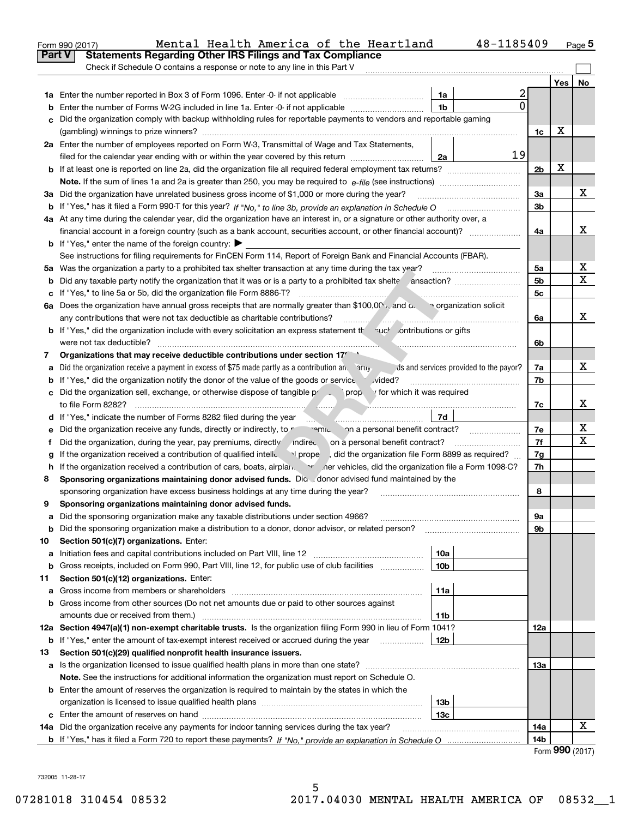|               | Mental Health America of the Heartland<br>Form 990 (2017)                                                                                                                                            | 48-1185409                             |                 |                                     | $_{\text{Page}}$ 5 |
|---------------|------------------------------------------------------------------------------------------------------------------------------------------------------------------------------------------------------|----------------------------------------|-----------------|-------------------------------------|--------------------|
| <b>Part V</b> | <b>Statements Regarding Other IRS Filings and Tax Compliance</b>                                                                                                                                     |                                        |                 |                                     |                    |
|               | Check if Schedule O contains a response or note to any line in this Part V                                                                                                                           |                                        |                 |                                     |                    |
|               |                                                                                                                                                                                                      |                                        |                 | Yes                                 | No                 |
|               | 1a                                                                                                                                                                                                   | 2                                      |                 |                                     |                    |
| b             | 1 <sub>b</sub><br>Enter the number of Forms W-2G included in line 1a. Enter -0- if not applicable                                                                                                    | 0                                      |                 |                                     |                    |
| c             | Did the organization comply with backup withholding rules for reportable payments to vendors and reportable gaming                                                                                   |                                        |                 |                                     |                    |
|               |                                                                                                                                                                                                      |                                        | 1c              | x                                   |                    |
|               | 2a Enter the number of employees reported on Form W-3, Transmittal of Wage and Tax Statements,                                                                                                       |                                        |                 |                                     |                    |
|               | filed for the calendar year ending with or within the year covered by this return<br>2a                                                                                                              | 19                                     |                 |                                     |                    |
|               |                                                                                                                                                                                                      |                                        | 2b              | X                                   |                    |
|               |                                                                                                                                                                                                      |                                        |                 |                                     |                    |
|               | 3a Did the organization have unrelated business gross income of \$1,000 or more during the year?                                                                                                     |                                        | 3a              |                                     | х                  |
|               |                                                                                                                                                                                                      |                                        | 3 <sub>b</sub>  |                                     |                    |
|               | 4a At any time during the calendar year, did the organization have an interest in, or a signature or other authority over, a                                                                         |                                        |                 |                                     |                    |
|               |                                                                                                                                                                                                      |                                        | 4a              |                                     | x                  |
|               | <b>b</b> If "Yes," enter the name of the foreign country: $\blacktriangleright$                                                                                                                      |                                        |                 |                                     |                    |
|               | See instructions for filing requirements for FinCEN Form 114, Report of Foreign Bank and Financial Accounts (FBAR).                                                                                  |                                        |                 |                                     |                    |
|               |                                                                                                                                                                                                      |                                        | 5a              |                                     | х                  |
| b             |                                                                                                                                                                                                      |                                        | 5b              |                                     | x                  |
|               |                                                                                                                                                                                                      |                                        | 5c              |                                     |                    |
|               | 6a Does the organization have annual gross receipts that are normally greater than \$100,00%, and o. The organization solicit                                                                        |                                        |                 |                                     |                    |
|               | any contributions that were not tax deductible as charitable contributions?                                                                                                                          |                                        | 6a              |                                     | x                  |
|               | <b>b</b> If "Yes," did the organization include with every solicitation an express statement the such ontributions or gifts                                                                          |                                        |                 |                                     |                    |
|               |                                                                                                                                                                                                      |                                        | 6b              |                                     |                    |
| 7             | Organizations that may receive deductible contributions under section 17 <sup>2</sup>                                                                                                                |                                        |                 |                                     |                    |
| a             | Did the organization receive a payment in excess of \$75 made partly as a contribution an. $\frac{1}{2}$ arriv                                                                                       | ds and services provided to the payor? | 7a              |                                     | x                  |
|               | b If "Yes," did the organization notify the donor of the value of the goods or service vided?                                                                                                        |                                        | 7b              |                                     |                    |
|               | c Did the organization sell, exchange, or otherwise dispose of tangible presention of properties in the organization sell, exchange, or otherwise dispose of tangible presention of the organization |                                        |                 |                                     |                    |
|               |                                                                                                                                                                                                      |                                        | 7c              |                                     | х                  |
|               | 7d<br>d If "Yes," indicate the number of Forms 8282 filed during the year<br>alima.                                                                                                                  |                                        |                 |                                     |                    |
| е             | Did the organization receive any funds, directly or indirectly, to r<br>minglessional benefit contract?                                                                                              |                                        | 7e              |                                     | х                  |
| f             | Did the organization, during the year, pay premiums, directly indired<br>on a personal benefit contract?                                                                                             |                                        | 7f              |                                     | х                  |
| g             | If the organization received a contribution of qualified intell. In prope, did the organization file Form 8899 as required?                                                                          |                                        | 7g              |                                     |                    |
|               | h If the organization received a contribution of cars, boats, airpland the vehicles, did the organization file a Form 1098-C?                                                                        |                                        | 7h              |                                     |                    |
| 8             | Sponsoring organizations maintaining donor advised funds. Dio  donor advised fund maintained by the                                                                                                  |                                        |                 |                                     |                    |
|               | sponsoring organization have excess business holdings at any time during the year?                                                                                                                   |                                        | 8               |                                     |                    |
|               | Sponsoring organizations maintaining donor advised funds.                                                                                                                                            |                                        |                 |                                     |                    |
| a             | Did the sponsoring organization make any taxable distributions under section 4966?                                                                                                                   |                                        | 9а              |                                     |                    |
| b             | Did the sponsoring organization make a distribution to a donor, donor advisor, or related person?                                                                                                    |                                        | 9b              |                                     |                    |
| 10            | Section 501(c)(7) organizations. Enter:                                                                                                                                                              |                                        |                 |                                     |                    |
| а             | 10a<br>Initiation fees and capital contributions included on Part VIII, line 12 <i>manuarrouus</i> manuations of the lates                                                                           |                                        |                 |                                     |                    |
| b             | 10 <sub>b</sub><br>Gross receipts, included on Form 990, Part VIII, line 12, for public use of club facilities <i>managery</i> Gross                                                                 |                                        |                 |                                     |                    |
| 11            | Section 501(c)(12) organizations. Enter:                                                                                                                                                             |                                        |                 |                                     |                    |
| а             | 11a<br>Gross income from members or shareholders                                                                                                                                                     |                                        |                 |                                     |                    |
|               | b Gross income from other sources (Do not net amounts due or paid to other sources against                                                                                                           |                                        |                 |                                     |                    |
|               | amounts due or received from them.)<br>11b                                                                                                                                                           |                                        |                 |                                     |                    |
|               | 12a Section 4947(a)(1) non-exempt charitable trusts. Is the organization filing Form 990 in lieu of Form 1041?                                                                                       |                                        | 12a             |                                     |                    |
|               | 12 <sub>b</sub><br><b>b</b> If "Yes," enter the amount of tax-exempt interest received or accrued during the year <i>manument</i>                                                                    |                                        |                 |                                     |                    |
| 13            | Section 501(c)(29) qualified nonprofit health insurance issuers.                                                                                                                                     |                                        |                 |                                     |                    |
| a             |                                                                                                                                                                                                      |                                        | 13а             |                                     |                    |
|               | Note. See the instructions for additional information the organization must report on Schedule O.                                                                                                    |                                        |                 |                                     |                    |
|               | <b>b</b> Enter the amount of reserves the organization is required to maintain by the states in which the                                                                                            |                                        |                 |                                     |                    |
|               | 13b                                                                                                                                                                                                  |                                        |                 |                                     |                    |
|               | 13с                                                                                                                                                                                                  |                                        |                 |                                     |                    |
|               | 14a Did the organization receive any payments for indoor tanning services during the tax year?                                                                                                       |                                        | 14a             |                                     | x                  |
|               |                                                                                                                                                                                                      |                                        | 14 <sub>b</sub> |                                     |                    |
|               |                                                                                                                                                                                                      |                                        |                 | $F_{\text{arm}}$ QQ $\Omega$ (2017) |                    |

Form (2017) **990**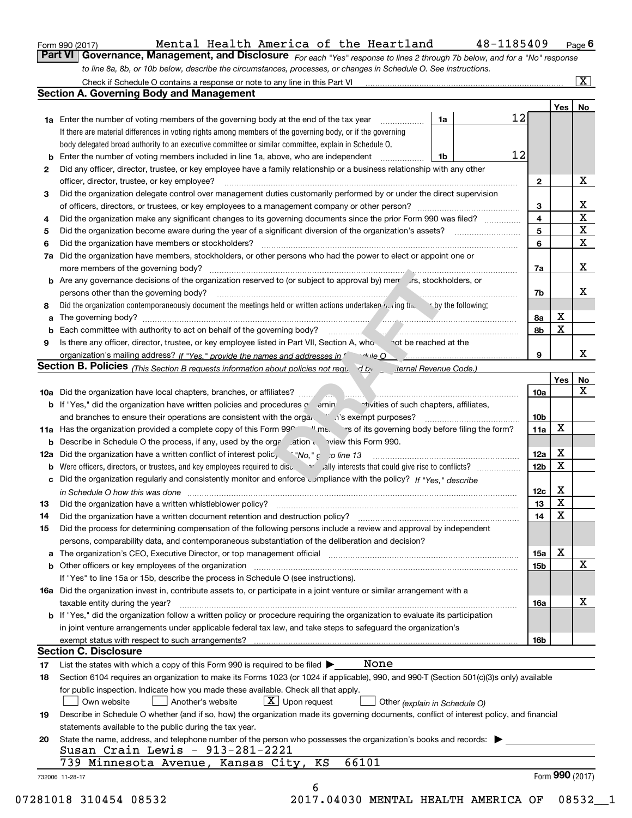|  | Form 990 (2017) |
|--|-----------------|
|  |                 |

*For each "Yes" response to lines 2 through 7b below, and for a "No" response to line 8a, 8b, or 10b below, describe the circumstances, processes, or changes in Schedule O. See instructions.* Form 990 (2017) Mental Health America of the Heartland 48-1185409 <sub>Page</sub> 6<br>**Part VI** Governance, Management, and Disclosure *For each "Yes" response to lines 2 through 7b below, and for a "No" respons* 

|    |                                                                                                                                                                                                                   |    |    |                 | Yes   No        |                  |
|----|-------------------------------------------------------------------------------------------------------------------------------------------------------------------------------------------------------------------|----|----|-----------------|-----------------|------------------|
|    | <b>1a</b> Enter the number of voting members of the governing body at the end of the tax year <i>manumum</i>                                                                                                      | 1a | 12 |                 |                 |                  |
|    | If there are material differences in voting rights among members of the governing body, or if the governing                                                                                                       |    |    |                 |                 |                  |
|    | body delegated broad authority to an executive committee or similar committee, explain in Schedule O.                                                                                                             |    |    |                 |                 |                  |
|    |                                                                                                                                                                                                                   | 1b | 12 |                 |                 |                  |
| 2  | Did any officer, director, trustee, or key employee have a family relationship or a business relationship with any other                                                                                          |    |    |                 |                 |                  |
|    | officer, director, trustee, or key employee?                                                                                                                                                                      |    |    | $\overline{2}$  |                 | X                |
| 3  | Did the organization delegate control over management duties customarily performed by or under the direct supervision                                                                                             |    |    |                 |                 |                  |
|    |                                                                                                                                                                                                                   |    |    | 3               |                 | X<br>$\mathbf X$ |
| 4  | Did the organization make any significant changes to its governing documents since the prior Form 990 was filed?                                                                                                  |    |    | 4               |                 | $\mathbf X$      |
| 5  |                                                                                                                                                                                                                   |    |    | 5               |                 |                  |
| 6  |                                                                                                                                                                                                                   |    |    | 6               |                 | $\mathbf{x}$     |
|    | 7a Did the organization have members, stockholders, or other persons who had the power to elect or appoint one or                                                                                                 |    |    |                 |                 |                  |
|    |                                                                                                                                                                                                                   |    |    | 7a              |                 | X                |
|    | <b>b</b> Are any governance decisions of the organization reserved to (or subject to approval by) mematics, stockholders, or                                                                                      |    |    |                 |                 |                  |
|    | persons other than the governing body?                                                                                                                                                                            |    |    | 7b              |                 | х                |
| 8  | Did the organization contemporaneously document the meetings held or written actions undertaken $\ldots$ ing the $\ddot{\phantom{a}}$ by the following:                                                           |    |    |                 |                 |                  |
| a  |                                                                                                                                                                                                                   |    |    | 8а              | X               |                  |
|    |                                                                                                                                                                                                                   |    |    | 8b              | $\mathbf X$     |                  |
| 9  | Is there any officer, director, trustee, or key employee listed in Part VII, Section A, who control be reached at the                                                                                             |    |    |                 |                 |                  |
|    | organization's mailing address? If "Yes." provide the names and addresses in 'alle O municipality contains mailing and the Yes." provide the names and addresses in 'alle                                         |    |    | 9               |                 | X                |
|    | Section B. Policies (This Section B requests information about policies not requendly by the read Revenue Code.)                                                                                                  |    |    |                 |                 |                  |
|    |                                                                                                                                                                                                                   |    |    |                 | Yes             | <b>No</b>        |
|    |                                                                                                                                                                                                                   |    |    | <b>10a</b>      |                 | X                |
|    | <b>b</b> If "Yes," did the organization have written policies and procedures $\sigma$ erning<br><b>Trivities of such chapters, affiliates,</b>                                                                    |    |    |                 |                 |                  |
|    |                                                                                                                                                                                                                   |    |    | 10 <sub>b</sub> |                 |                  |
|    | 11a Has the organization provided a complete copy of this Form 99 metally metally ris of its governing body before filing the form?                                                                               |    |    | 11a             | X               |                  |
|    | b Describe in Schedule O the process, if any, used by the orge ation view this Form 990.                                                                                                                          |    |    |                 |                 |                  |
|    | 12a Did the organization have a written conflict of interest polic, value of the 13 manuscription or new memorantum                                                                                               |    |    | 12a             | X               |                  |
| b  | Were officers, directors, or trustees, and key employees required to discentry and the officers, directors, or trustees, and key employees required to discentry and the rest state could give rise to conflicts? |    |    | 12 <sub>b</sub> | X               |                  |
|    | c Did the organization regularly and consistently monitor and enforce unpliance with the policy? If "Yes," describe                                                                                               |    |    |                 |                 |                  |
|    | in Schedule O how this was done encourance and the control of the control of the control of the control of the                                                                                                    |    |    | 12c             | X               |                  |
| 13 |                                                                                                                                                                                                                   |    |    | 13              | $\mathbf X$     |                  |
| 14 | Did the organization have a written document retention and destruction policy? manufactured and the organization have a written document retention and destruction policy?                                        |    |    | 14              | $\mathbf X$     |                  |
| 15 | Did the process for determining compensation of the following persons include a review and approval by independent                                                                                                |    |    |                 |                 |                  |
|    | persons, comparability data, and contemporaneous substantiation of the deliberation and decision?                                                                                                                 |    |    |                 |                 |                  |
|    |                                                                                                                                                                                                                   |    |    | 15a             | X               |                  |
|    | <b>b</b> Other officers or key employees of the organization                                                                                                                                                      |    |    | 15 <sub>b</sub> |                 | X                |
|    | If "Yes" to line 15a or 15b, describe the process in Schedule O (see instructions).                                                                                                                               |    |    |                 |                 |                  |
|    | 16a Did the organization invest in, contribute assets to, or participate in a joint venture or similar arrangement with a                                                                                         |    |    |                 |                 |                  |
|    | taxable entity during the year?                                                                                                                                                                                   |    |    | 16a             |                 | х                |
|    | b If "Yes," did the organization follow a written policy or procedure requiring the organization to evaluate its participation                                                                                    |    |    |                 |                 |                  |
|    | in joint venture arrangements under applicable federal tax law, and take steps to safeguard the organization's                                                                                                    |    |    |                 |                 |                  |
|    | exempt status with respect to such arrangements?                                                                                                                                                                  |    |    | <b>16b</b>      |                 |                  |
|    | <b>Section C. Disclosure</b>                                                                                                                                                                                      |    |    |                 |                 |                  |
| 17 | None<br>List the states with which a copy of this Form 990 is required to be filed $\blacktriangleright$                                                                                                          |    |    |                 |                 |                  |
| 18 | Section 6104 requires an organization to make its Forms 1023 (or 1024 if applicable), 990, and 990-T (Section 501(c)(3)s only) available                                                                          |    |    |                 |                 |                  |
|    | for public inspection. Indicate how you made these available. Check all that apply.                                                                                                                               |    |    |                 |                 |                  |
|    | $X$ Upon request<br>Another's website<br>Own website<br>Other (explain in Schedule O)                                                                                                                             |    |    |                 |                 |                  |
| 19 | Describe in Schedule O whether (and if so, how) the organization made its governing documents, conflict of interest policy, and financial                                                                         |    |    |                 |                 |                  |
|    | statements available to the public during the tax year.                                                                                                                                                           |    |    |                 |                 |                  |
| 20 | State the name, address, and telephone number of the person who possesses the organization's books and records:                                                                                                   |    |    |                 |                 |                  |
|    | Susan Crain Lewis - 913-281-2221                                                                                                                                                                                  |    |    |                 |                 |                  |
|    | 66101<br>739 Minnesota Avenue, Kansas City, KS                                                                                                                                                                    |    |    |                 |                 |                  |
|    |                                                                                                                                                                                                                   |    |    |                 | Form 990 (2017) |                  |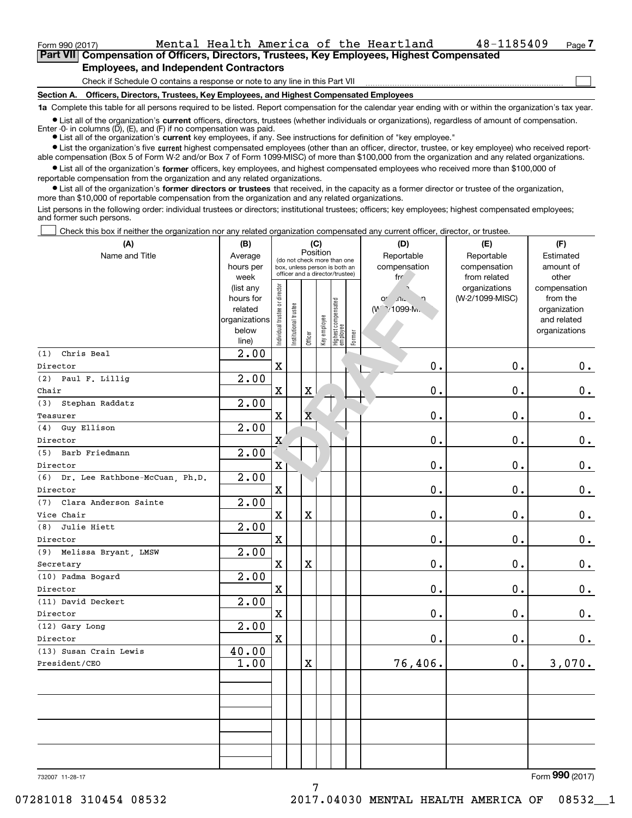$\mathcal{L}^{\text{max}}$ 

| Form 990 (2017) |                                                                                            |  |  | Mental Health America of the Heartland | 48-1185409 | Page 7 |
|-----------------|--------------------------------------------------------------------------------------------|--|--|----------------------------------------|------------|--------|
|                 | Part VII Compensation of Officers, Directors, Trustees, Key Employees, Highest Compensated |  |  |                                        |            |        |
|                 | <b>Employees, and Independent Contractors</b>                                              |  |  |                                        |            |        |

Check if Schedule O contains a response or note to any line in this Part VII

**Section A. Officers, Directors, Trustees, Key Employees, and Highest Compensated Employees**

**1a**  Complete this table for all persons required to be listed. Report compensation for the calendar year ending with or within the organization's tax year.

**•** List all of the organization's current officers, directors, trustees (whether individuals or organizations), regardless of amount of compensation. Enter -0- in columns  $(D)$ ,  $(E)$ , and  $(F)$  if no compensation was paid.

● List all of the organization's **current** key employees, if any. See instructions for definition of "key employee."

**•** List the organization's five current highest compensated employees (other than an officer, director, trustee, or key employee) who received reportable compensation (Box 5 of Form W-2 and/or Box 7 of Form 1099-MISC) of more than \$100,000 from the organization and any related organizations.

 $\bullet$  List all of the organization's **former** officers, key employees, and highest compensated employees who received more than \$100,000 of reportable compensation from the organization and any related organizations.

**•** List all of the organization's former directors or trustees that received, in the capacity as a former director or trustee of the organization, more than \$10,000 of reportable compensation from the organization and any related organizations.

List persons in the following order: individual trustees or directors; institutional trustees; officers; key employees; highest compensated employees; and former such persons.

Check this box if neither the organization nor any related organization compensated any current officer, director, or trustee.  $\mathcal{L}^{\text{max}}$ 

| (A)                                | (B)                    |                                         |                                                                  |                       | (C)          |                                   |        | (D)                       | (E)                              | (F)                      |
|------------------------------------|------------------------|-----------------------------------------|------------------------------------------------------------------|-----------------------|--------------|-----------------------------------|--------|---------------------------|----------------------------------|--------------------------|
| Name and Title                     | Average                | Position<br>(do not check more than one |                                                                  |                       |              |                                   |        | Reportable                | Reportable                       | Estimated                |
|                                    | hours per              |                                         | box, unless person is both an<br>officer and a director/trustee) |                       |              |                                   |        | compensation              | compensation                     | amount of                |
|                                    | week                   |                                         |                                                                  |                       |              |                                   |        | frc                       | from related                     | other                    |
|                                    | (list any<br>hours for |                                         |                                                                  |                       |              |                                   |        | $QY = A\mathbf{h}$        | organizations<br>(W-2/1099-MISC) | compensation<br>from the |
|                                    | related                |                                         |                                                                  |                       |              |                                   |        | (W <sup>o</sup> /1099-M). |                                  | organization             |
|                                    | organizations          |                                         |                                                                  |                       |              |                                   |        |                           |                                  | and related              |
|                                    | below                  | Individual trustee or director          | Institutional trustee                                            |                       | Key employee |                                   |        |                           |                                  | organizations            |
|                                    | line)                  |                                         |                                                                  | Officer               |              | Highest compensated<br>  employee | Former |                           |                                  |                          |
| Chris Beal<br>(1)                  | 2.00                   |                                         |                                                                  |                       |              |                                   |        |                           |                                  |                          |
| Director                           |                        | $\mathbf X$                             |                                                                  |                       |              |                                   |        | 0.                        | 0.                               | 0.                       |
| (2) Paul F. Lillig                 | $\overline{2}$ .00     |                                         |                                                                  |                       |              |                                   |        |                           |                                  |                          |
| Chair                              |                        | X                                       |                                                                  | X                     |              |                                   |        | 0.                        | 0.                               | $0_{.}$                  |
| Stephan Raddatz<br>(3)             | 2.00                   |                                         |                                                                  |                       |              |                                   |        |                           |                                  |                          |
| Teasurer                           |                        | $\mathbf x$                             |                                                                  | $\mathbf X$           |              |                                   |        | 0.                        | 0.                               | $\mathbf 0$ .            |
| Guy Ellison<br>(4)                 | $\overline{2.00}$      |                                         |                                                                  |                       |              |                                   |        |                           |                                  |                          |
| Director                           |                        | X                                       |                                                                  |                       |              |                                   |        | 0.                        | 0.                               | $0_{.}$                  |
| (5) Barb Friedmann                 | 2.00                   |                                         |                                                                  |                       |              |                                   |        |                           |                                  |                          |
| Director                           |                        | $\mathbf{X}$                            |                                                                  |                       |              |                                   |        | 0.                        | 0.                               | $\mathbf 0$ .            |
| (6) Dr. Lee Rathbone-McCuan, Ph.D. | 2.00                   |                                         |                                                                  |                       |              |                                   |        |                           |                                  |                          |
| Director                           |                        | $\mathbf X$                             |                                                                  |                       |              |                                   |        | 0.                        | 0.                               | $\mathbf 0$ .            |
| (7)<br>Clara Anderson Sainte       | 2.00                   |                                         |                                                                  |                       |              |                                   |        |                           |                                  |                          |
| Vice Chair                         |                        | X                                       |                                                                  | $\overline{\text{X}}$ |              |                                   |        | $\mathbf 0$ .             | 0.                               | $\mathbf 0$ .            |
| Julie Hiett<br>(8)                 | 2.00                   |                                         |                                                                  |                       |              |                                   |        |                           |                                  |                          |
| Director                           |                        | $\mathbf X$                             |                                                                  |                       |              |                                   |        | 0.                        | 0.                               | $0_{.}$                  |
| (9) Melissa Bryant, LMSW           | 2.00                   |                                         |                                                                  |                       |              |                                   |        |                           |                                  |                          |
| Secretary                          |                        | $\mathbf X$                             |                                                                  | $\rm X$               |              |                                   |        | 0.                        | 0.                               | 0.                       |
| (10) Padma Bogard                  | 2.00                   |                                         |                                                                  |                       |              |                                   |        |                           |                                  |                          |
| Director                           |                        | $\mathbf X$                             |                                                                  |                       |              |                                   |        | 0.                        | 0.                               | 0.                       |
| (11) David Deckert                 | 2.00                   |                                         |                                                                  |                       |              |                                   |        |                           |                                  |                          |
| Director                           |                        | $\overline{\textbf{X}}$                 |                                                                  |                       |              |                                   |        | 0.                        | 0.                               | 0.                       |
| (12) Gary Long                     | 2.00                   |                                         |                                                                  |                       |              |                                   |        |                           |                                  |                          |
| Director                           |                        | $\mathbf x$                             |                                                                  |                       |              |                                   |        | 0.                        | 0.                               | $\mathbf 0$ .            |
| (13) Susan Crain Lewis             | 40.00                  |                                         |                                                                  |                       |              |                                   |        |                           |                                  |                          |
| President/CEO                      | 1.00                   |                                         |                                                                  | X                     |              |                                   |        | 76,406.                   | 0.                               | 3,070.                   |
|                                    |                        |                                         |                                                                  |                       |              |                                   |        |                           |                                  |                          |
|                                    |                        |                                         |                                                                  |                       |              |                                   |        |                           |                                  |                          |
|                                    |                        |                                         |                                                                  |                       |              |                                   |        |                           |                                  |                          |
|                                    |                        |                                         |                                                                  |                       |              |                                   |        |                           |                                  |                          |
|                                    |                        |                                         |                                                                  |                       |              |                                   |        |                           |                                  |                          |
|                                    |                        |                                         |                                                                  |                       |              |                                   |        |                           |                                  |                          |
|                                    |                        |                                         |                                                                  |                       |              |                                   |        |                           |                                  |                          |
|                                    |                        |                                         |                                                                  |                       |              |                                   |        |                           |                                  |                          |
|                                    |                        |                                         |                                                                  |                       |              |                                   |        |                           |                                  | $\overline{2}$           |

7

732007 11-28-17

Form (2017) **990**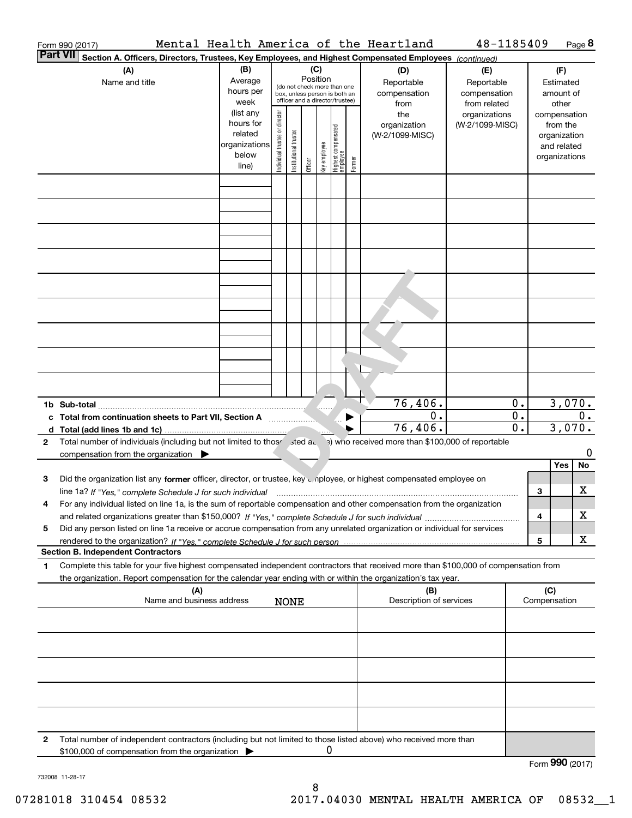| Part VII<br>Section A. Officers, Directors, Trustees, Key Employees, and Highest Compensated Employees (continued)<br>(C)<br>(B)<br>(A)<br>(D)<br>(F)<br>(E)<br>Position<br>Average<br>Name and title<br>Reportable<br>Reportable<br>Estimated<br>(do not check more than one<br>hours per<br>compensation<br>compensation<br>amount of<br>box, unless person is both an<br>officer and a director/trustee)<br>week<br>from related<br>from<br>other<br>(list any<br>Individual trustee or director<br>the<br>organizations<br>compensation<br>hours for<br>organization<br>(W-2/1099-MISC)<br>from the<br>Highest compensated<br>employee<br>nstitutional trustee<br>related<br>(W-2/1099-MISC)<br>organization<br>organizations<br>Key employee<br>and related<br>below<br>organizations<br>Former<br>Officer<br>line)<br>76,406.<br>3,070.<br>$0$ .<br>1b Sub-total<br>$\overline{0}$ .<br>$\overline{0}$ .<br>0.<br>c Total from continuation sheets to Part VII, Section A<br>3,070.<br>76,406.<br>$\overline{0}$ .<br>Total number of individuals (including but not limited to thos' sted a, ) who received more than \$100,000 of reportable<br>2<br>0<br>compensation from the organization $\blacktriangleright$<br>Yes<br>No<br>Did the organization list any former officer, director, or trustee, key niployee, or highest compensated employee on<br>З<br>х<br>3<br>line 1a? If "Yes," complete Schedule J for such individual manufactured contained and the Yes," complete Schedule J for such individual<br>For any individual listed on line 1a, is the sum of reportable compensation and other compensation from the organization<br>х<br>4<br>Did any person listed on line 1a receive or accrue compensation from any unrelated organization or individual for services<br>5<br>х<br>5<br><b>Section B. Independent Contractors</b><br>Complete this table for your five highest compensated independent contractors that received more than \$100,000 of compensation from<br>1<br>the organization. Report compensation for the calendar year ending with or within the organization's tax year.<br>(C)<br>(A)<br>(B)<br>Description of services<br>Compensation<br>Name and business address<br><b>NONE</b><br>2<br>Total number of independent contractors (including but not limited to those listed above) who received more than<br>0<br>\$100,000 of compensation from the organization | Form 990 (2017) |  |  |  | Mental Health America of the Heartland | 48-1185409 |  | Page 8 |
|-----------------------------------------------------------------------------------------------------------------------------------------------------------------------------------------------------------------------------------------------------------------------------------------------------------------------------------------------------------------------------------------------------------------------------------------------------------------------------------------------------------------------------------------------------------------------------------------------------------------------------------------------------------------------------------------------------------------------------------------------------------------------------------------------------------------------------------------------------------------------------------------------------------------------------------------------------------------------------------------------------------------------------------------------------------------------------------------------------------------------------------------------------------------------------------------------------------------------------------------------------------------------------------------------------------------------------------------------------------------------------------------------------------------------------------------------------------------------------------------------------------------------------------------------------------------------------------------------------------------------------------------------------------------------------------------------------------------------------------------------------------------------------------------------------------------------------------------------------------------------------------------------------------------------------------------------------------------------------------------------------------------------------------------------------------------------------------------------------------------------------------------------------------------------------------------------------------------------------------------------------------------------------------------------------------------------------------------------------------------------------------------------------------------------|-----------------|--|--|--|----------------------------------------|------------|--|--------|
|                                                                                                                                                                                                                                                                                                                                                                                                                                                                                                                                                                                                                                                                                                                                                                                                                                                                                                                                                                                                                                                                                                                                                                                                                                                                                                                                                                                                                                                                                                                                                                                                                                                                                                                                                                                                                                                                                                                                                                                                                                                                                                                                                                                                                                                                                                                                                                                                                       |                 |  |  |  |                                        |            |  |        |
|                                                                                                                                                                                                                                                                                                                                                                                                                                                                                                                                                                                                                                                                                                                                                                                                                                                                                                                                                                                                                                                                                                                                                                                                                                                                                                                                                                                                                                                                                                                                                                                                                                                                                                                                                                                                                                                                                                                                                                                                                                                                                                                                                                                                                                                                                                                                                                                                                       |                 |  |  |  |                                        |            |  |        |
|                                                                                                                                                                                                                                                                                                                                                                                                                                                                                                                                                                                                                                                                                                                                                                                                                                                                                                                                                                                                                                                                                                                                                                                                                                                                                                                                                                                                                                                                                                                                                                                                                                                                                                                                                                                                                                                                                                                                                                                                                                                                                                                                                                                                                                                                                                                                                                                                                       |                 |  |  |  |                                        |            |  |        |
|                                                                                                                                                                                                                                                                                                                                                                                                                                                                                                                                                                                                                                                                                                                                                                                                                                                                                                                                                                                                                                                                                                                                                                                                                                                                                                                                                                                                                                                                                                                                                                                                                                                                                                                                                                                                                                                                                                                                                                                                                                                                                                                                                                                                                                                                                                                                                                                                                       |                 |  |  |  |                                        |            |  |        |
|                                                                                                                                                                                                                                                                                                                                                                                                                                                                                                                                                                                                                                                                                                                                                                                                                                                                                                                                                                                                                                                                                                                                                                                                                                                                                                                                                                                                                                                                                                                                                                                                                                                                                                                                                                                                                                                                                                                                                                                                                                                                                                                                                                                                                                                                                                                                                                                                                       |                 |  |  |  |                                        |            |  |        |
|                                                                                                                                                                                                                                                                                                                                                                                                                                                                                                                                                                                                                                                                                                                                                                                                                                                                                                                                                                                                                                                                                                                                                                                                                                                                                                                                                                                                                                                                                                                                                                                                                                                                                                                                                                                                                                                                                                                                                                                                                                                                                                                                                                                                                                                                                                                                                                                                                       |                 |  |  |  |                                        |            |  |        |
|                                                                                                                                                                                                                                                                                                                                                                                                                                                                                                                                                                                                                                                                                                                                                                                                                                                                                                                                                                                                                                                                                                                                                                                                                                                                                                                                                                                                                                                                                                                                                                                                                                                                                                                                                                                                                                                                                                                                                                                                                                                                                                                                                                                                                                                                                                                                                                                                                       |                 |  |  |  |                                        |            |  |        |
|                                                                                                                                                                                                                                                                                                                                                                                                                                                                                                                                                                                                                                                                                                                                                                                                                                                                                                                                                                                                                                                                                                                                                                                                                                                                                                                                                                                                                                                                                                                                                                                                                                                                                                                                                                                                                                                                                                                                                                                                                                                                                                                                                                                                                                                                                                                                                                                                                       |                 |  |  |  |                                        |            |  |        |
|                                                                                                                                                                                                                                                                                                                                                                                                                                                                                                                                                                                                                                                                                                                                                                                                                                                                                                                                                                                                                                                                                                                                                                                                                                                                                                                                                                                                                                                                                                                                                                                                                                                                                                                                                                                                                                                                                                                                                                                                                                                                                                                                                                                                                                                                                                                                                                                                                       |                 |  |  |  |                                        |            |  |        |
|                                                                                                                                                                                                                                                                                                                                                                                                                                                                                                                                                                                                                                                                                                                                                                                                                                                                                                                                                                                                                                                                                                                                                                                                                                                                                                                                                                                                                                                                                                                                                                                                                                                                                                                                                                                                                                                                                                                                                                                                                                                                                                                                                                                                                                                                                                                                                                                                                       |                 |  |  |  |                                        |            |  |        |
|                                                                                                                                                                                                                                                                                                                                                                                                                                                                                                                                                                                                                                                                                                                                                                                                                                                                                                                                                                                                                                                                                                                                                                                                                                                                                                                                                                                                                                                                                                                                                                                                                                                                                                                                                                                                                                                                                                                                                                                                                                                                                                                                                                                                                                                                                                                                                                                                                       |                 |  |  |  |                                        |            |  |        |
|                                                                                                                                                                                                                                                                                                                                                                                                                                                                                                                                                                                                                                                                                                                                                                                                                                                                                                                                                                                                                                                                                                                                                                                                                                                                                                                                                                                                                                                                                                                                                                                                                                                                                                                                                                                                                                                                                                                                                                                                                                                                                                                                                                                                                                                                                                                                                                                                                       |                 |  |  |  |                                        |            |  |        |
|                                                                                                                                                                                                                                                                                                                                                                                                                                                                                                                                                                                                                                                                                                                                                                                                                                                                                                                                                                                                                                                                                                                                                                                                                                                                                                                                                                                                                                                                                                                                                                                                                                                                                                                                                                                                                                                                                                                                                                                                                                                                                                                                                                                                                                                                                                                                                                                                                       |                 |  |  |  |                                        |            |  |        |
|                                                                                                                                                                                                                                                                                                                                                                                                                                                                                                                                                                                                                                                                                                                                                                                                                                                                                                                                                                                                                                                                                                                                                                                                                                                                                                                                                                                                                                                                                                                                                                                                                                                                                                                                                                                                                                                                                                                                                                                                                                                                                                                                                                                                                                                                                                                                                                                                                       |                 |  |  |  |                                        |            |  |        |
|                                                                                                                                                                                                                                                                                                                                                                                                                                                                                                                                                                                                                                                                                                                                                                                                                                                                                                                                                                                                                                                                                                                                                                                                                                                                                                                                                                                                                                                                                                                                                                                                                                                                                                                                                                                                                                                                                                                                                                                                                                                                                                                                                                                                                                                                                                                                                                                                                       |                 |  |  |  |                                        |            |  |        |
|                                                                                                                                                                                                                                                                                                                                                                                                                                                                                                                                                                                                                                                                                                                                                                                                                                                                                                                                                                                                                                                                                                                                                                                                                                                                                                                                                                                                                                                                                                                                                                                                                                                                                                                                                                                                                                                                                                                                                                                                                                                                                                                                                                                                                                                                                                                                                                                                                       |                 |  |  |  |                                        |            |  |        |
|                                                                                                                                                                                                                                                                                                                                                                                                                                                                                                                                                                                                                                                                                                                                                                                                                                                                                                                                                                                                                                                                                                                                                                                                                                                                                                                                                                                                                                                                                                                                                                                                                                                                                                                                                                                                                                                                                                                                                                                                                                                                                                                                                                                                                                                                                                                                                                                                                       |                 |  |  |  |                                        |            |  |        |
|                                                                                                                                                                                                                                                                                                                                                                                                                                                                                                                                                                                                                                                                                                                                                                                                                                                                                                                                                                                                                                                                                                                                                                                                                                                                                                                                                                                                                                                                                                                                                                                                                                                                                                                                                                                                                                                                                                                                                                                                                                                                                                                                                                                                                                                                                                                                                                                                                       |                 |  |  |  |                                        |            |  |        |
|                                                                                                                                                                                                                                                                                                                                                                                                                                                                                                                                                                                                                                                                                                                                                                                                                                                                                                                                                                                                                                                                                                                                                                                                                                                                                                                                                                                                                                                                                                                                                                                                                                                                                                                                                                                                                                                                                                                                                                                                                                                                                                                                                                                                                                                                                                                                                                                                                       |                 |  |  |  |                                        |            |  |        |
|                                                                                                                                                                                                                                                                                                                                                                                                                                                                                                                                                                                                                                                                                                                                                                                                                                                                                                                                                                                                                                                                                                                                                                                                                                                                                                                                                                                                                                                                                                                                                                                                                                                                                                                                                                                                                                                                                                                                                                                                                                                                                                                                                                                                                                                                                                                                                                                                                       |                 |  |  |  |                                        |            |  |        |
|                                                                                                                                                                                                                                                                                                                                                                                                                                                                                                                                                                                                                                                                                                                                                                                                                                                                                                                                                                                                                                                                                                                                                                                                                                                                                                                                                                                                                                                                                                                                                                                                                                                                                                                                                                                                                                                                                                                                                                                                                                                                                                                                                                                                                                                                                                                                                                                                                       |                 |  |  |  |                                        |            |  |        |
|                                                                                                                                                                                                                                                                                                                                                                                                                                                                                                                                                                                                                                                                                                                                                                                                                                                                                                                                                                                                                                                                                                                                                                                                                                                                                                                                                                                                                                                                                                                                                                                                                                                                                                                                                                                                                                                                                                                                                                                                                                                                                                                                                                                                                                                                                                                                                                                                                       |                 |  |  |  |                                        |            |  |        |
|                                                                                                                                                                                                                                                                                                                                                                                                                                                                                                                                                                                                                                                                                                                                                                                                                                                                                                                                                                                                                                                                                                                                                                                                                                                                                                                                                                                                                                                                                                                                                                                                                                                                                                                                                                                                                                                                                                                                                                                                                                                                                                                                                                                                                                                                                                                                                                                                                       |                 |  |  |  |                                        |            |  |        |
|                                                                                                                                                                                                                                                                                                                                                                                                                                                                                                                                                                                                                                                                                                                                                                                                                                                                                                                                                                                                                                                                                                                                                                                                                                                                                                                                                                                                                                                                                                                                                                                                                                                                                                                                                                                                                                                                                                                                                                                                                                                                                                                                                                                                                                                                                                                                                                                                                       |                 |  |  |  |                                        |            |  |        |
|                                                                                                                                                                                                                                                                                                                                                                                                                                                                                                                                                                                                                                                                                                                                                                                                                                                                                                                                                                                                                                                                                                                                                                                                                                                                                                                                                                                                                                                                                                                                                                                                                                                                                                                                                                                                                                                                                                                                                                                                                                                                                                                                                                                                                                                                                                                                                                                                                       |                 |  |  |  |                                        |            |  |        |
|                                                                                                                                                                                                                                                                                                                                                                                                                                                                                                                                                                                                                                                                                                                                                                                                                                                                                                                                                                                                                                                                                                                                                                                                                                                                                                                                                                                                                                                                                                                                                                                                                                                                                                                                                                                                                                                                                                                                                                                                                                                                                                                                                                                                                                                                                                                                                                                                                       |                 |  |  |  |                                        |            |  |        |
|                                                                                                                                                                                                                                                                                                                                                                                                                                                                                                                                                                                                                                                                                                                                                                                                                                                                                                                                                                                                                                                                                                                                                                                                                                                                                                                                                                                                                                                                                                                                                                                                                                                                                                                                                                                                                                                                                                                                                                                                                                                                                                                                                                                                                                                                                                                                                                                                                       |                 |  |  |  |                                        |            |  |        |
|                                                                                                                                                                                                                                                                                                                                                                                                                                                                                                                                                                                                                                                                                                                                                                                                                                                                                                                                                                                                                                                                                                                                                                                                                                                                                                                                                                                                                                                                                                                                                                                                                                                                                                                                                                                                                                                                                                                                                                                                                                                                                                                                                                                                                                                                                                                                                                                                                       |                 |  |  |  |                                        |            |  |        |
|                                                                                                                                                                                                                                                                                                                                                                                                                                                                                                                                                                                                                                                                                                                                                                                                                                                                                                                                                                                                                                                                                                                                                                                                                                                                                                                                                                                                                                                                                                                                                                                                                                                                                                                                                                                                                                                                                                                                                                                                                                                                                                                                                                                                                                                                                                                                                                                                                       |                 |  |  |  |                                        |            |  |        |
|                                                                                                                                                                                                                                                                                                                                                                                                                                                                                                                                                                                                                                                                                                                                                                                                                                                                                                                                                                                                                                                                                                                                                                                                                                                                                                                                                                                                                                                                                                                                                                                                                                                                                                                                                                                                                                                                                                                                                                                                                                                                                                                                                                                                                                                                                                                                                                                                                       |                 |  |  |  |                                        |            |  |        |
|                                                                                                                                                                                                                                                                                                                                                                                                                                                                                                                                                                                                                                                                                                                                                                                                                                                                                                                                                                                                                                                                                                                                                                                                                                                                                                                                                                                                                                                                                                                                                                                                                                                                                                                                                                                                                                                                                                                                                                                                                                                                                                                                                                                                                                                                                                                                                                                                                       |                 |  |  |  |                                        |            |  |        |
|                                                                                                                                                                                                                                                                                                                                                                                                                                                                                                                                                                                                                                                                                                                                                                                                                                                                                                                                                                                                                                                                                                                                                                                                                                                                                                                                                                                                                                                                                                                                                                                                                                                                                                                                                                                                                                                                                                                                                                                                                                                                                                                                                                                                                                                                                                                                                                                                                       |                 |  |  |  |                                        |            |  |        |
|                                                                                                                                                                                                                                                                                                                                                                                                                                                                                                                                                                                                                                                                                                                                                                                                                                                                                                                                                                                                                                                                                                                                                                                                                                                                                                                                                                                                                                                                                                                                                                                                                                                                                                                                                                                                                                                                                                                                                                                                                                                                                                                                                                                                                                                                                                                                                                                                                       |                 |  |  |  |                                        |            |  |        |
|                                                                                                                                                                                                                                                                                                                                                                                                                                                                                                                                                                                                                                                                                                                                                                                                                                                                                                                                                                                                                                                                                                                                                                                                                                                                                                                                                                                                                                                                                                                                                                                                                                                                                                                                                                                                                                                                                                                                                                                                                                                                                                                                                                                                                                                                                                                                                                                                                       |                 |  |  |  |                                        |            |  |        |
|                                                                                                                                                                                                                                                                                                                                                                                                                                                                                                                                                                                                                                                                                                                                                                                                                                                                                                                                                                                                                                                                                                                                                                                                                                                                                                                                                                                                                                                                                                                                                                                                                                                                                                                                                                                                                                                                                                                                                                                                                                                                                                                                                                                                                                                                                                                                                                                                                       |                 |  |  |  |                                        |            |  |        |
|                                                                                                                                                                                                                                                                                                                                                                                                                                                                                                                                                                                                                                                                                                                                                                                                                                                                                                                                                                                                                                                                                                                                                                                                                                                                                                                                                                                                                                                                                                                                                                                                                                                                                                                                                                                                                                                                                                                                                                                                                                                                                                                                                                                                                                                                                                                                                                                                                       |                 |  |  |  |                                        |            |  |        |
|                                                                                                                                                                                                                                                                                                                                                                                                                                                                                                                                                                                                                                                                                                                                                                                                                                                                                                                                                                                                                                                                                                                                                                                                                                                                                                                                                                                                                                                                                                                                                                                                                                                                                                                                                                                                                                                                                                                                                                                                                                                                                                                                                                                                                                                                                                                                                                                                                       |                 |  |  |  |                                        |            |  |        |
|                                                                                                                                                                                                                                                                                                                                                                                                                                                                                                                                                                                                                                                                                                                                                                                                                                                                                                                                                                                                                                                                                                                                                                                                                                                                                                                                                                                                                                                                                                                                                                                                                                                                                                                                                                                                                                                                                                                                                                                                                                                                                                                                                                                                                                                                                                                                                                                                                       |                 |  |  |  |                                        |            |  |        |
|                                                                                                                                                                                                                                                                                                                                                                                                                                                                                                                                                                                                                                                                                                                                                                                                                                                                                                                                                                                                                                                                                                                                                                                                                                                                                                                                                                                                                                                                                                                                                                                                                                                                                                                                                                                                                                                                                                                                                                                                                                                                                                                                                                                                                                                                                                                                                                                                                       |                 |  |  |  |                                        |            |  |        |
| Form 990 (2017)                                                                                                                                                                                                                                                                                                                                                                                                                                                                                                                                                                                                                                                                                                                                                                                                                                                                                                                                                                                                                                                                                                                                                                                                                                                                                                                                                                                                                                                                                                                                                                                                                                                                                                                                                                                                                                                                                                                                                                                                                                                                                                                                                                                                                                                                                                                                                                                                       |                 |  |  |  |                                        |            |  |        |
|                                                                                                                                                                                                                                                                                                                                                                                                                                                                                                                                                                                                                                                                                                                                                                                                                                                                                                                                                                                                                                                                                                                                                                                                                                                                                                                                                                                                                                                                                                                                                                                                                                                                                                                                                                                                                                                                                                                                                                                                                                                                                                                                                                                                                                                                                                                                                                                                                       |                 |  |  |  |                                        |            |  |        |
|                                                                                                                                                                                                                                                                                                                                                                                                                                                                                                                                                                                                                                                                                                                                                                                                                                                                                                                                                                                                                                                                                                                                                                                                                                                                                                                                                                                                                                                                                                                                                                                                                                                                                                                                                                                                                                                                                                                                                                                                                                                                                                                                                                                                                                                                                                                                                                                                                       |                 |  |  |  |                                        |            |  |        |
|                                                                                                                                                                                                                                                                                                                                                                                                                                                                                                                                                                                                                                                                                                                                                                                                                                                                                                                                                                                                                                                                                                                                                                                                                                                                                                                                                                                                                                                                                                                                                                                                                                                                                                                                                                                                                                                                                                                                                                                                                                                                                                                                                                                                                                                                                                                                                                                                                       |                 |  |  |  |                                        |            |  |        |
|                                                                                                                                                                                                                                                                                                                                                                                                                                                                                                                                                                                                                                                                                                                                                                                                                                                                                                                                                                                                                                                                                                                                                                                                                                                                                                                                                                                                                                                                                                                                                                                                                                                                                                                                                                                                                                                                                                                                                                                                                                                                                                                                                                                                                                                                                                                                                                                                                       |                 |  |  |  |                                        |            |  |        |
|                                                                                                                                                                                                                                                                                                                                                                                                                                                                                                                                                                                                                                                                                                                                                                                                                                                                                                                                                                                                                                                                                                                                                                                                                                                                                                                                                                                                                                                                                                                                                                                                                                                                                                                                                                                                                                                                                                                                                                                                                                                                                                                                                                                                                                                                                                                                                                                                                       |                 |  |  |  |                                        |            |  |        |
|                                                                                                                                                                                                                                                                                                                                                                                                                                                                                                                                                                                                                                                                                                                                                                                                                                                                                                                                                                                                                                                                                                                                                                                                                                                                                                                                                                                                                                                                                                                                                                                                                                                                                                                                                                                                                                                                                                                                                                                                                                                                                                                                                                                                                                                                                                                                                                                                                       |                 |  |  |  |                                        |            |  |        |
|                                                                                                                                                                                                                                                                                                                                                                                                                                                                                                                                                                                                                                                                                                                                                                                                                                                                                                                                                                                                                                                                                                                                                                                                                                                                                                                                                                                                                                                                                                                                                                                                                                                                                                                                                                                                                                                                                                                                                                                                                                                                                                                                                                                                                                                                                                                                                                                                                       |                 |  |  |  |                                        |            |  |        |
|                                                                                                                                                                                                                                                                                                                                                                                                                                                                                                                                                                                                                                                                                                                                                                                                                                                                                                                                                                                                                                                                                                                                                                                                                                                                                                                                                                                                                                                                                                                                                                                                                                                                                                                                                                                                                                                                                                                                                                                                                                                                                                                                                                                                                                                                                                                                                                                                                       |                 |  |  |  |                                        |            |  |        |
|                                                                                                                                                                                                                                                                                                                                                                                                                                                                                                                                                                                                                                                                                                                                                                                                                                                                                                                                                                                                                                                                                                                                                                                                                                                                                                                                                                                                                                                                                                                                                                                                                                                                                                                                                                                                                                                                                                                                                                                                                                                                                                                                                                                                                                                                                                                                                                                                                       |                 |  |  |  |                                        |            |  |        |
|                                                                                                                                                                                                                                                                                                                                                                                                                                                                                                                                                                                                                                                                                                                                                                                                                                                                                                                                                                                                                                                                                                                                                                                                                                                                                                                                                                                                                                                                                                                                                                                                                                                                                                                                                                                                                                                                                                                                                                                                                                                                                                                                                                                                                                                                                                                                                                                                                       |                 |  |  |  |                                        |            |  |        |
|                                                                                                                                                                                                                                                                                                                                                                                                                                                                                                                                                                                                                                                                                                                                                                                                                                                                                                                                                                                                                                                                                                                                                                                                                                                                                                                                                                                                                                                                                                                                                                                                                                                                                                                                                                                                                                                                                                                                                                                                                                                                                                                                                                                                                                                                                                                                                                                                                       |                 |  |  |  |                                        |            |  |        |
|                                                                                                                                                                                                                                                                                                                                                                                                                                                                                                                                                                                                                                                                                                                                                                                                                                                                                                                                                                                                                                                                                                                                                                                                                                                                                                                                                                                                                                                                                                                                                                                                                                                                                                                                                                                                                                                                                                                                                                                                                                                                                                                                                                                                                                                                                                                                                                                                                       |                 |  |  |  |                                        |            |  |        |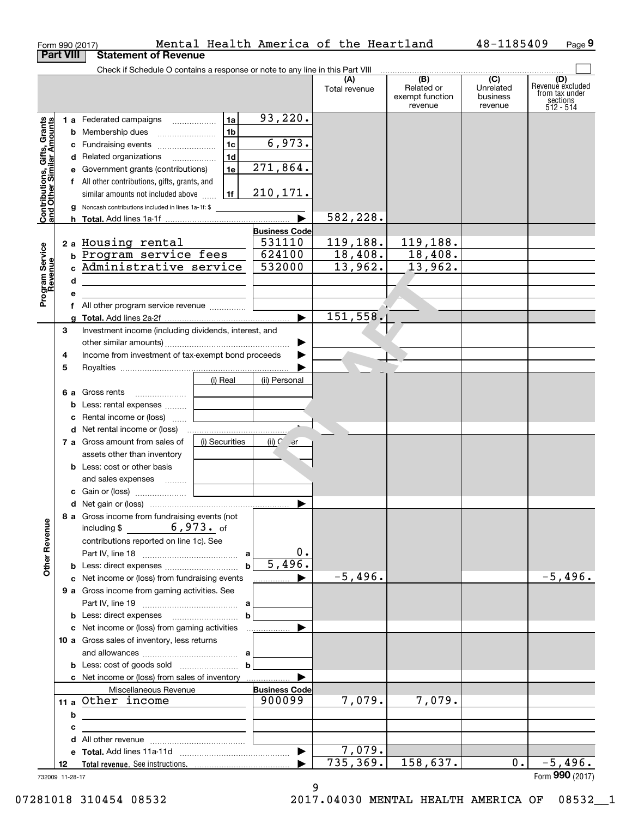|                                                           |             |        | Form 990 (2017)                                                                                                                                                                                |                                        |                                | Mental Health America of the Heartland |                                                 | 48-1185409                                         | Page 9                                                             |
|-----------------------------------------------------------|-------------|--------|------------------------------------------------------------------------------------------------------------------------------------------------------------------------------------------------|----------------------------------------|--------------------------------|----------------------------------------|-------------------------------------------------|----------------------------------------------------|--------------------------------------------------------------------|
| <b>Part VIII</b>                                          |             |        | <b>Statement of Revenue</b>                                                                                                                                                                    |                                        |                                |                                        |                                                 |                                                    |                                                                    |
|                                                           |             |        | Check if Schedule O contains a response or note to any line in this Part VIII                                                                                                                  |                                        |                                | (A)<br>Total revenue                   | (B)<br>Related or<br>exempt function<br>revenue | $\overline{C}$<br>Unrelated<br>business<br>revenue | (D)<br>Revenue excluded<br>from tax under<br>sections<br>512 - 514 |
| Contributions, Gifts, Grants<br>and Other Similar Amounts |             |        | 1 a Federated campaigns<br><b>b</b> Membership dues<br>c Fundraising events<br>d Related organizations<br>e Government grants (contributions)<br>f All other contributions, gifts, grants, and | 1a<br>1 <sub>b</sub><br>1c<br>1d<br>1e | 93,220.<br>6,973.<br>271,864.  |                                        |                                                 |                                                    |                                                                    |
|                                                           |             |        | similar amounts not included above<br>g Noncash contributions included in lines 1a-1f: \$                                                                                                      | 1f                                     | 210, 171.                      |                                        |                                                 |                                                    |                                                                    |
|                                                           |             |        | 2a Housing rental                                                                                                                                                                              |                                        | <b>Business Code</b><br>531110 | 582,228.<br>119, 188.                  | 119,188.                                        |                                                    |                                                                    |
| Program Service<br>Revenue                                |             | d      | b Program service fees<br>c Administrative service                                                                                                                                             |                                        | 624100<br>532000               | 18,408.<br>13,962.                     | 18,408.<br>13,962.                              |                                                    |                                                                    |
|                                                           |             | е<br>a | f All other program service revenue                                                                                                                                                            |                                        |                                | 151,558.                               |                                                 |                                                    |                                                                    |
|                                                           | 3<br>4<br>5 |        | Investment income (including dividends, interest, and<br>Income from investment of tax-exempt bond proceeds                                                                                    | (i) Real                               | ▶<br>(ii) Personal             |                                        |                                                 |                                                    |                                                                    |
|                                                           |             |        | 6 a Gross rents<br><b>b</b> Less: rental expenses<br>c Rental income or (loss)                                                                                                                 |                                        |                                |                                        |                                                 |                                                    |                                                                    |
|                                                           |             |        | 7 a Gross amount from sales of<br>assets other than inventory<br><b>b</b> Less: cost or other basis<br>and sales expenses                                                                      | (i) Securities                         | (ii) $C$ ar                    |                                        |                                                 |                                                    |                                                                    |
|                                                           |             |        |                                                                                                                                                                                                |                                        |                                |                                        |                                                 |                                                    |                                                                    |
| <b>Other Revenue</b>                                      |             |        | 8 a Gross income from fundraising events (not<br>including $$ 6,973.$ of<br>contributions reported on line 1c). See                                                                            |                                        | 0.<br>5,496.                   |                                        |                                                 |                                                    |                                                                    |
|                                                           |             |        | c Net income or (loss) from fundraising events                                                                                                                                                 |                                        |                                | $-5,496.$                              |                                                 |                                                    | $-5,496.$                                                          |
|                                                           |             |        | 9 a Gross income from gaming activities. See                                                                                                                                                   |                                        |                                |                                        |                                                 |                                                    |                                                                    |
|                                                           |             |        | 10 a Gross sales of inventory, less returns                                                                                                                                                    | b                                      | ▶                              |                                        |                                                 |                                                    |                                                                    |
|                                                           |             |        | c Net income or (loss) from sales of inventory                                                                                                                                                 | $\mathbf b$                            |                                |                                        |                                                 |                                                    |                                                                    |
|                                                           |             | b      | Miscellaneous Revenue<br>11 a Other income                                                                                                                                                     |                                        | <b>Business Code</b><br>900099 | 7,079.                                 | 7,079.                                          |                                                    |                                                                    |
|                                                           |             | c      | the control of the control of the control of the control of the control of the control of                                                                                                      |                                        | $\blacktriangleright$          | 7,079.                                 |                                                 |                                                    |                                                                    |
| 732009 11-28-17                                           | 12          |        |                                                                                                                                                                                                |                                        |                                | 735, 369.                              | 158,637.                                        | $0$ .                                              | $-5,496.$<br>Form 990 (2017)                                       |

732009 11-28-17

9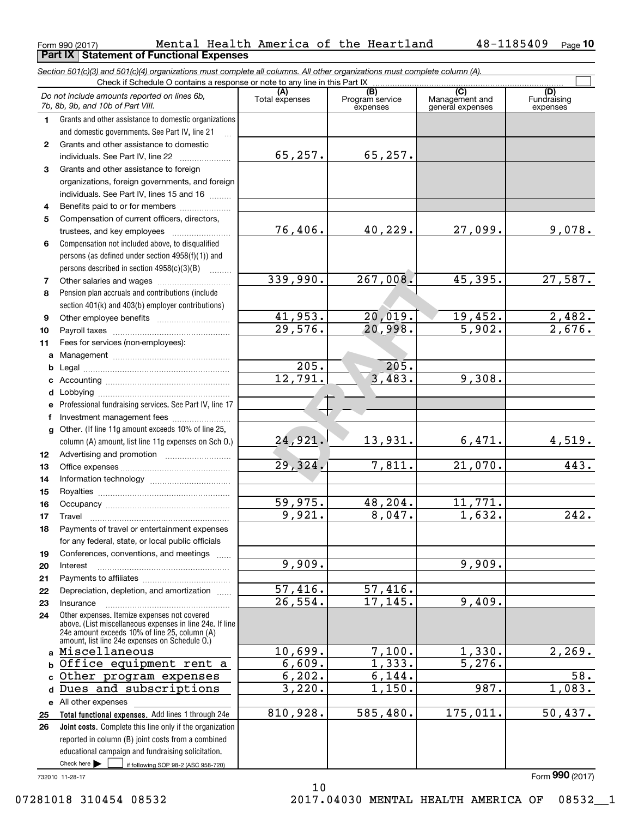Form 990 (2017) Page **10 Part IX Statement of Functional Expenses** Mental Health America of the Heartland 48-1185409

*Section 501(c)(3) and 501(c)(4) organizations must complete all columns. All other organizations must complete column (A).*

|              | Do not include amounts reported on lines 6b,<br>7b, 8b, 9b, and 10b of Part VIII.                                                                                                                           | (A)<br>Total expenses                | (B)<br>Program service<br>expenses | (C)<br>Management and<br>general expenses | (D)<br>Fundraising<br>expenses |
|--------------|-------------------------------------------------------------------------------------------------------------------------------------------------------------------------------------------------------------|--------------------------------------|------------------------------------|-------------------------------------------|--------------------------------|
| 1.           | Grants and other assistance to domestic organizations                                                                                                                                                       |                                      |                                    |                                           |                                |
|              | and domestic governments. See Part IV, line 21                                                                                                                                                              |                                      |                                    |                                           |                                |
| $\mathbf{2}$ | Grants and other assistance to domestic                                                                                                                                                                     |                                      |                                    |                                           |                                |
|              | individuals. See Part IV, line 22                                                                                                                                                                           | 65,257.                              | 65,257.                            |                                           |                                |
| 3            | Grants and other assistance to foreign                                                                                                                                                                      |                                      |                                    |                                           |                                |
|              | organizations, foreign governments, and foreign                                                                                                                                                             |                                      |                                    |                                           |                                |
|              | individuals. See Part IV, lines 15 and 16                                                                                                                                                                   |                                      |                                    |                                           |                                |
| 4            | Benefits paid to or for members                                                                                                                                                                             |                                      |                                    |                                           |                                |
| 5            | Compensation of current officers, directors,                                                                                                                                                                |                                      |                                    |                                           |                                |
|              |                                                                                                                                                                                                             | 76,406.                              | 40,229.                            | 27,099.                                   | 9,078.                         |
| 6            | Compensation not included above, to disqualified                                                                                                                                                            |                                      |                                    |                                           |                                |
|              | persons (as defined under section 4958(f)(1)) and                                                                                                                                                           |                                      |                                    |                                           |                                |
|              | persons described in section 4958(c)(3)(B)                                                                                                                                                                  |                                      |                                    |                                           |                                |
| 7            |                                                                                                                                                                                                             | 339,990.                             | 267,008.                           | 45,395.                                   | 27,587.                        |
| 8            | Pension plan accruals and contributions (include                                                                                                                                                            |                                      |                                    |                                           |                                |
|              | section 401(k) and 403(b) employer contributions)                                                                                                                                                           |                                      |                                    |                                           |                                |
| 9            |                                                                                                                                                                                                             | 41,953.                              | 20,019.                            | 19,452.                                   | $\frac{2,482}{2,676}$          |
| 10           |                                                                                                                                                                                                             | 29,576.                              | 20,998.                            | 5,902.                                    |                                |
| 11           | Fees for services (non-employees):                                                                                                                                                                          |                                      |                                    |                                           |                                |
| a            |                                                                                                                                                                                                             |                                      |                                    |                                           |                                |
| b            |                                                                                                                                                                                                             | 205.                                 | 205.                               |                                           |                                |
| c            |                                                                                                                                                                                                             | 12,791.                              | 3,483.                             | 9,308.                                    |                                |
| d            |                                                                                                                                                                                                             |                                      |                                    |                                           |                                |
| е            | Professional fundraising services. See Part IV, line 17                                                                                                                                                     |                                      |                                    |                                           |                                |
| f            | Investment management fees                                                                                                                                                                                  |                                      |                                    |                                           |                                |
| $\mathbf{q}$ | Other. (If line 11g amount exceeds 10% of line 25,                                                                                                                                                          |                                      |                                    |                                           |                                |
|              | column (A) amount, list line 11g expenses on Sch O.)                                                                                                                                                        | 24,921.                              | 13,931.                            | 6,471.                                    | 4,519.                         |
| 12           |                                                                                                                                                                                                             |                                      |                                    |                                           |                                |
| 13           |                                                                                                                                                                                                             | $\overline{29}$ , $\overline{324}$ . | 7,811.                             | 21,070.                                   | 443.                           |
| 14           |                                                                                                                                                                                                             |                                      |                                    |                                           |                                |
| 15           |                                                                                                                                                                                                             |                                      |                                    |                                           |                                |
| 16           |                                                                                                                                                                                                             | 59,975.                              | 48,204.                            | 11,771.                                   |                                |
| 17           | Travel                                                                                                                                                                                                      | 9,921.                               | 8,047.                             | 1,632.                                    | 242.                           |
| 18           | Payments of travel or entertainment expenses                                                                                                                                                                |                                      |                                    |                                           |                                |
|              | for any federal, state, or local public officials                                                                                                                                                           |                                      |                                    |                                           |                                |
| 19           | Conferences, conventions, and meetings                                                                                                                                                                      |                                      |                                    |                                           |                                |
| 20           | Interest                                                                                                                                                                                                    | 9,909.                               |                                    | 9,909.                                    |                                |
| 21           |                                                                                                                                                                                                             |                                      |                                    |                                           |                                |
| 22           | Depreciation, depletion, and amortization                                                                                                                                                                   | 57,416.                              | 57,416.                            |                                           |                                |
| 23           | Insurance                                                                                                                                                                                                   | $\overline{26,554}$ .                | 17, 145.                           | 9,409.                                    |                                |
| 24           | Other expenses. Itemize expenses not covered<br>above. (List miscellaneous expenses in line 24e. If line<br>24e amount exceeds 10% of line 25, column (A)<br>amount, list line 24e expenses on Schedule 0.) |                                      |                                    |                                           |                                |
|              | a Miscellaneous                                                                                                                                                                                             | 10,699.                              | 7,100.                             | 1,330.                                    | 2,269.                         |
|              | <b>b</b> Office equipment rent a                                                                                                                                                                            | 6,609.                               | 1,333.                             | 5,276.                                    |                                |
|              | c Other program expenses                                                                                                                                                                                    | 6, 202.                              | 6, 144.                            |                                           | 58.                            |
| d            | Dues and subscriptions                                                                                                                                                                                      | 3,220.                               | 1,150.                             | 987.                                      | 1,083.                         |
|              | e All other expenses                                                                                                                                                                                        |                                      |                                    |                                           |                                |
| 25           | Total functional expenses. Add lines 1 through 24e                                                                                                                                                          | 810,928.                             | 585,480.                           | 175,011.                                  | 50,437.                        |
| 26           | Joint costs. Complete this line only if the organization                                                                                                                                                    |                                      |                                    |                                           |                                |
|              | reported in column (B) joint costs from a combined                                                                                                                                                          |                                      |                                    |                                           |                                |
|              | educational campaign and fundraising solicitation.                                                                                                                                                          |                                      |                                    |                                           |                                |
|              | Check here $\blacktriangleright$<br>if following SOP 98-2 (ASC 958-720)                                                                                                                                     |                                      |                                    |                                           |                                |

10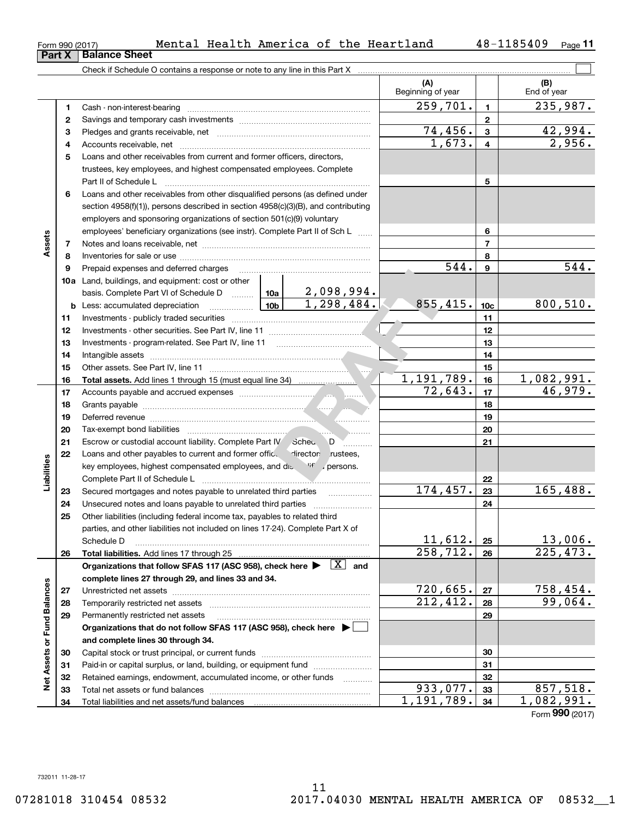933,077. 33 857,518.<br>1,191,789. 34 1,082,991.

Form (2017) **990**

857,518.

| Form 990 (2017) |                        |
|-----------------|------------------------|
|                 | Part X   Balance Sheet |
|                 |                        |

|                             |    |                                                                                                                                                               |  |                          | (A)<br>Beginning of year |                         | (B)<br>End of year |
|-----------------------------|----|---------------------------------------------------------------------------------------------------------------------------------------------------------------|--|--------------------------|--------------------------|-------------------------|--------------------|
|                             | 1  | Cash - non-interest-bearing                                                                                                                                   |  |                          | 259,701.                 | $\mathbf{1}$            | 235,987.           |
|                             | 2  |                                                                                                                                                               |  |                          | $\mathbf{2}$             |                         |                    |
|                             | з  |                                                                                                                                                               |  |                          | $\overline{74, 456}$ .   | 3                       | 42,994.            |
|                             | 4  |                                                                                                                                                               |  |                          | 1,673.                   | $\overline{\mathbf{4}}$ | 2,956.             |
|                             | 5  | Loans and other receivables from current and former officers, directors,                                                                                      |  |                          |                          |                         |                    |
|                             |    | trustees, key employees, and highest compensated employees. Complete                                                                                          |  |                          |                          |                         |                    |
|                             |    | Part II of Schedule L                                                                                                                                         |  |                          |                          | 5                       |                    |
|                             | 6  | Loans and other receivables from other disqualified persons (as defined under                                                                                 |  |                          |                          |                         |                    |
|                             |    | section $4958(f)(1)$ , persons described in section $4958(c)(3)(B)$ , and contributing                                                                        |  |                          |                          |                         |                    |
|                             |    | employers and sponsoring organizations of section 501(c)(9) voluntary                                                                                         |  |                          |                          |                         |                    |
|                             |    | employees' beneficiary organizations (see instr). Complete Part II of Sch L                                                                                   |  |                          |                          | 6                       |                    |
| Assets                      | 7  |                                                                                                                                                               |  |                          |                          | 7                       |                    |
|                             | 8  |                                                                                                                                                               |  |                          |                          | 8                       |                    |
|                             | 9  | Prepaid expenses and deferred charges                                                                                                                         |  |                          | 544.                     | 9                       | 544.               |
|                             |    | 10a Land, buildings, and equipment: cost or other                                                                                                             |  |                          |                          |                         |                    |
|                             |    | basis. Complete Part VI of Schedule D $\frac{10a}{2}$ , 098, 994.                                                                                             |  |                          |                          |                         |                    |
|                             |    |                                                                                                                                                               |  | $1, 298, 484.$ 855, 415. |                          | 10c                     | 800, 510.          |
|                             | 11 |                                                                                                                                                               |  |                          |                          | 11                      |                    |
|                             | 12 |                                                                                                                                                               |  |                          |                          | 12                      |                    |
|                             | 13 |                                                                                                                                                               |  |                          |                          | 13                      |                    |
|                             | 14 |                                                                                                                                                               |  |                          | 14                       |                         |                    |
|                             | 15 |                                                                                                                                                               |  | 15                       |                          |                         |                    |
|                             | 16 |                                                                                                                                                               |  |                          | 1,191,789.               | 16                      | 1,082,991.         |
|                             | 17 |                                                                                                                                                               |  | $\overline{72}$ , 643.   | 17                       | 46,979.                 |                    |
|                             | 18 |                                                                                                                                                               |  |                          |                          | 18                      |                    |
|                             | 19 |                                                                                                                                                               |  | $\frac{1}{2}$            |                          | 19                      |                    |
|                             | 20 |                                                                                                                                                               |  | <b>Samuel Street</b>     |                          | 20                      |                    |
|                             | 21 | Escrow or custodial account liability. Complete Part IV Scheu                                                                                                 |  | D<br><u> 1.</u>          |                          | 21                      |                    |
|                             | 22 | Loans and other payables to current and former offic. Hirector: rustees,                                                                                      |  |                          |                          |                         |                    |
|                             |    | key employees, highest compensated employees, and disease if the persons.                                                                                     |  |                          |                          |                         |                    |
| Liabilities                 |    |                                                                                                                                                               |  |                          | 174,457.                 | 22                      | 165,488.           |
|                             | 23 | Secured mortgages and notes payable to unrelated third parties                                                                                                |  |                          |                          | 23                      |                    |
|                             | 24 |                                                                                                                                                               |  |                          |                          | 24                      |                    |
|                             | 25 | Other liabilities (including federal income tax, payables to related third<br>parties, and other liabilities not included on lines 17-24). Complete Part X of |  |                          |                          |                         |                    |
|                             |    | Schedule D                                                                                                                                                    |  |                          | 11,612.                  | 25                      | 13,006.            |
|                             | 26 | Total liabilities. Add lines 17 through 25                                                                                                                    |  |                          | 258,712.                 | 26                      | 225,473.           |
|                             |    | Organizations that follow SFAS 117 (ASC 958), check here $\blacktriangleright \begin{array}{ c } \hline X & \text{and} \end{array}$                           |  |                          |                          |                         |                    |
|                             |    | complete lines 27 through 29, and lines 33 and 34.                                                                                                            |  |                          |                          |                         |                    |
|                             | 27 | Unrestricted net assets                                                                                                                                       |  |                          | 720,665.                 | 27                      | 758,454.           |
|                             | 28 | Temporarily restricted net assets                                                                                                                             |  |                          | 212,412.                 | 28                      | 99,064.            |
|                             | 29 | Permanently restricted net assets                                                                                                                             |  |                          |                          | 29                      |                    |
|                             |    | Organizations that do not follow SFAS 117 (ASC 958), check here $\blacktriangleright$                                                                         |  |                          |                          |                         |                    |
|                             |    | and complete lines 30 through 34.                                                                                                                             |  |                          |                          |                         |                    |
|                             | 30 | Capital stock or trust principal, or current funds                                                                                                            |  |                          |                          | 30                      |                    |
| Net Assets or Fund Balances | 31 | Paid-in or capital surplus, or land, building, or equipment fund                                                                                              |  |                          |                          | 31                      |                    |
|                             | 32 | Retained earnings, endowment, accumulated income, or other funds                                                                                              |  | .                        |                          | 32                      |                    |
|                             |    | Total not accote or fund halances                                                                                                                             |  |                          | 933 077                  | 22                      | 857 518.           |

Total net assets or fund balances ....................... Total liabilities and net assets/fund balances

**11**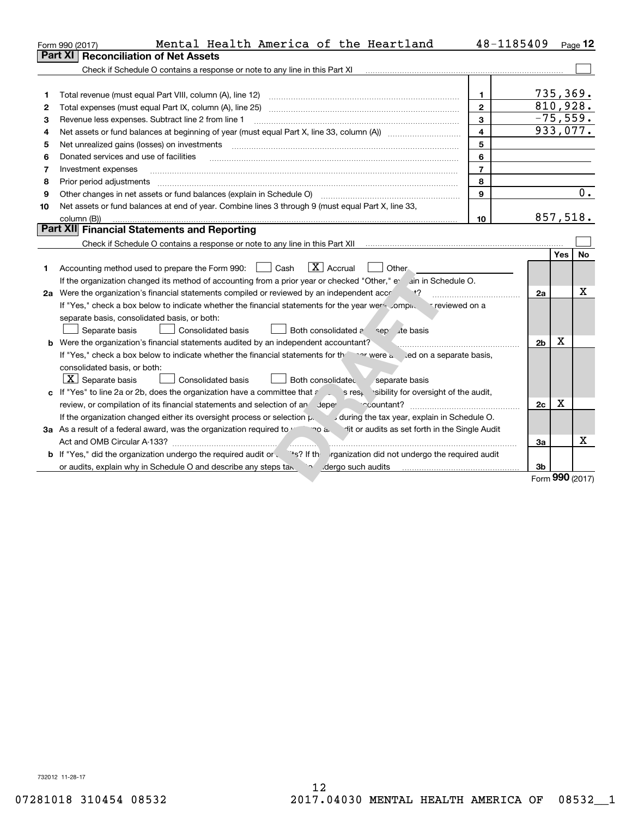|    | Mental Health America of the Heartland<br>Form 990 (2017)                                                                                                                                                                      | 48-1185409              |                |     | Page 12          |
|----|--------------------------------------------------------------------------------------------------------------------------------------------------------------------------------------------------------------------------------|-------------------------|----------------|-----|------------------|
|    | <b>Reconciliation of Net Assets</b><br>Part XI                                                                                                                                                                                 |                         |                |     |                  |
|    | Check if Schedule O contains a response or note to any line in this Part XI [11] [12] Check if Schedule O contains a response or note to any line in this Part XI                                                              |                         |                |     |                  |
|    |                                                                                                                                                                                                                                |                         |                |     |                  |
| 1  | Total revenue (must equal Part VIII, column (A), line 12)                                                                                                                                                                      | 1                       |                |     | 735,369.         |
| 2  |                                                                                                                                                                                                                                | $\mathbf{2}$            |                |     | 810,928.         |
| 3  | Revenue less expenses. Subtract line 2 from line 1                                                                                                                                                                             | 3                       |                |     | $-75,559.$       |
| 4  |                                                                                                                                                                                                                                | $\overline{\mathbf{4}}$ |                |     | 933,077.         |
| 5  |                                                                                                                                                                                                                                | 5                       |                |     |                  |
| 6  | Donated services and use of facilities                                                                                                                                                                                         | 6                       |                |     |                  |
| 7  | Investment expenses                                                                                                                                                                                                            | $\overline{7}$          |                |     |                  |
| 8  | Prior period adjustments                                                                                                                                                                                                       | 8                       |                |     |                  |
| 9  | Other changes in net assets or fund balances (explain in Schedule O) [11] content changes in net assets or fund balances (explain in Schedule O) [11] content changes in net assets or fund balances (explain in Schedule O) [ | 9                       |                |     | $\overline{0}$ . |
| 10 | Net assets or fund balances at end of year. Combine lines 3 through 9 (must equal Part X, line 33,                                                                                                                             |                         |                |     |                  |
|    | column (B))                                                                                                                                                                                                                    | 10                      |                |     | 857,518.         |
|    | Part XII Financial Statements and Reporting                                                                                                                                                                                    |                         |                |     |                  |
|    |                                                                                                                                                                                                                                |                         |                |     |                  |
|    |                                                                                                                                                                                                                                |                         |                | Yes | No               |
| 1. | $\mathbf{X}$ Accrual<br>Accounting method used to prepare the Form 990: <u>I</u> Cash<br>Other.                                                                                                                                |                         |                |     |                  |
|    | If the organization changed its method of accounting from a prior year or checked "Other," ey ain in Schedule O.                                                                                                               |                         |                |     |                  |
|    | 2a Were the organization's financial statements compiled or reviewed by an independent accr<br>$+7$                                                                                                                            |                         | 2a             |     | x                |
|    | If "Yes," check a box below to indicate whether the financial statements for the year were complice the veriewed on a                                                                                                          |                         |                |     |                  |
|    | separate basis, consolidated basis, or both:                                                                                                                                                                                   |                         |                |     |                  |
|    | Consolidated basis<br>Both consolidated a rep the basis<br>Separate basis                                                                                                                                                      |                         |                |     |                  |
|    | <b>b</b> Were the organization's financial statements audited by an independent accountant?                                                                                                                                    |                         | 2 <sub>b</sub> | X   |                  |
|    | If "Yes," check a box below to indicate whether the financial statements for the same were a ced on a separate basis,                                                                                                          |                         |                |     |                  |
|    | consolidated basis, or both:                                                                                                                                                                                                   |                         |                |     |                  |
|    | $ \mathbf{X} $ Separate basis<br>Both consolidated<br>Consolidated basis<br>separate basis                                                                                                                                     |                         |                |     |                  |
|    | c If "Yes" to line 2a or 2b, does the organization have a committee that a search sibility for oversight of the audit,                                                                                                         |                         |                |     |                  |
|    | review, or compilation of its financial statements and selection of an ueper                                                                                                                                                   |                         | 2c             | х   |                  |
|    | If the organization changed either its oversight process or selection p.<br>during the tax year, explain in Schedule O.                                                                                                        |                         |                |     |                  |
|    | 3a As a result of a federal award, was the organization required to vertical distribution and its or audits as set forth in the Single Audit                                                                                   |                         |                |     |                  |
|    |                                                                                                                                                                                                                                |                         | За             |     | х                |
|    | <b>b</b> If "Yes," did the organization undergo the required audit or . "s? If the rganization did not undergo the required audit                                                                                              |                         |                |     |                  |
|    | or audits, explain why in Schedule O and describe any steps tand<br>dergo such audits<br>$\cap$                                                                                                                                |                         | 3b             |     |                  |
|    |                                                                                                                                                                                                                                |                         |                |     | Form 990 (2017)  |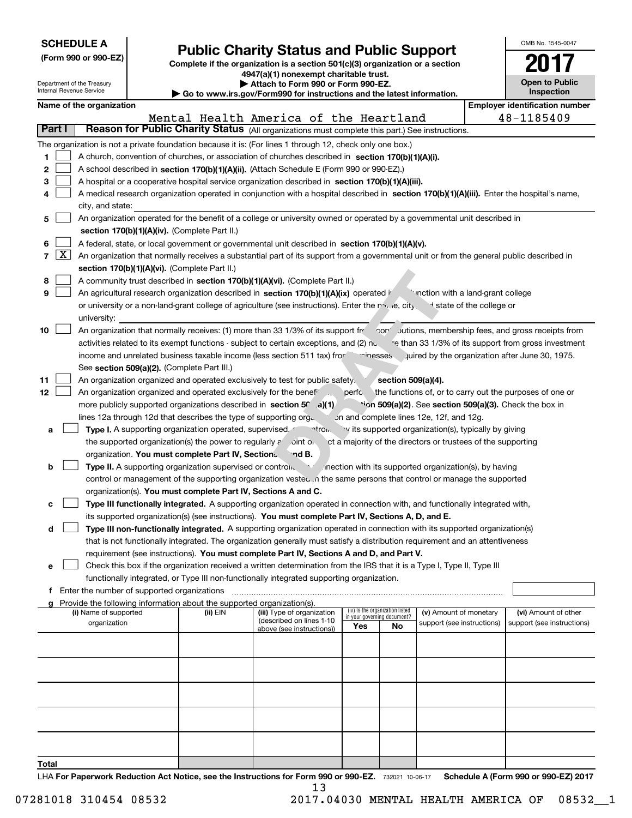|  | (Form 990 or 990-EZ) |
|--|----------------------|
|  |                      |

## **Public Charity Status and Public Support**

**Complete if the organization is a section 501(c)(3) organization or a section 4947(a)(1) nonexempt charitable trust. | Attach to Form 990 or Form 990-EZ.** 

|  |  | to www.irs.gov/Form990 for instructions and the latest information. |
|--|--|---------------------------------------------------------------------|
|  |  |                                                                     |

| OMB No. 1545-0047     |
|-----------------------|
| 20                    |
| <b>Open to Public</b> |

| Department of the Treasury<br>▶ Attach to Form 990 or Form 990-EZ.<br><b>Open to Public</b><br>Internal Revenue Service<br><b>Inspection</b><br>Go to www.irs.gov/Form990 for instructions and the latest information. |                                             |  |                                                                         |                                                                                                                                               |     |                                          |                                                              |                            |                                                                |
|------------------------------------------------------------------------------------------------------------------------------------------------------------------------------------------------------------------------|---------------------------------------------|--|-------------------------------------------------------------------------|-----------------------------------------------------------------------------------------------------------------------------------------------|-----|------------------------------------------|--------------------------------------------------------------|----------------------------|----------------------------------------------------------------|
|                                                                                                                                                                                                                        | Name of the organization                    |  |                                                                         |                                                                                                                                               |     |                                          |                                                              |                            | <b>Employer identification number</b>                          |
|                                                                                                                                                                                                                        |                                             |  |                                                                         | Mental Health America of the Heartland                                                                                                        |     |                                          |                                                              |                            | 48-1185409                                                     |
| Part I                                                                                                                                                                                                                 |                                             |  |                                                                         | Reason for Public Charity Status (All organizations must complete this part.) See instructions.                                               |     |                                          |                                                              |                            |                                                                |
|                                                                                                                                                                                                                        |                                             |  |                                                                         |                                                                                                                                               |     |                                          |                                                              |                            |                                                                |
|                                                                                                                                                                                                                        |                                             |  |                                                                         | The organization is not a private foundation because it is: (For lines 1 through 12, check only one box.)                                     |     |                                          |                                                              |                            |                                                                |
| 1                                                                                                                                                                                                                      |                                             |  |                                                                         | A church, convention of churches, or association of churches described in section 170(b)(1)(A)(i).                                            |     |                                          |                                                              |                            |                                                                |
| 2                                                                                                                                                                                                                      |                                             |  |                                                                         | A school described in section 170(b)(1)(A)(ii). (Attach Schedule E (Form 990 or 990-EZ).)                                                     |     |                                          |                                                              |                            |                                                                |
| 3                                                                                                                                                                                                                      |                                             |  |                                                                         | A hospital or a cooperative hospital service organization described in section 170(b)(1)(A)(iii).                                             |     |                                          |                                                              |                            |                                                                |
| 4                                                                                                                                                                                                                      |                                             |  |                                                                         | A medical research organization operated in conjunction with a hospital described in section 170(b)(1)(A)(iii). Enter the hospital's name,    |     |                                          |                                                              |                            |                                                                |
|                                                                                                                                                                                                                        | city, and state:                            |  |                                                                         |                                                                                                                                               |     |                                          |                                                              |                            |                                                                |
| 5                                                                                                                                                                                                                      |                                             |  |                                                                         | An organization operated for the benefit of a college or university owned or operated by a governmental unit described in                     |     |                                          |                                                              |                            |                                                                |
|                                                                                                                                                                                                                        |                                             |  | section 170(b)(1)(A)(iv). (Complete Part II.)                           |                                                                                                                                               |     |                                          |                                                              |                            |                                                                |
| 6                                                                                                                                                                                                                      |                                             |  |                                                                         | A federal, state, or local government or governmental unit described in section 170(b)(1)(A)(v).                                              |     |                                          |                                                              |                            |                                                                |
| $\overline{\text{X}}$<br>7                                                                                                                                                                                             |                                             |  |                                                                         | An organization that normally receives a substantial part of its support from a governmental unit or from the general public described in     |     |                                          |                                                              |                            |                                                                |
|                                                                                                                                                                                                                        |                                             |  | section 170(b)(1)(A)(vi). (Complete Part II.)                           |                                                                                                                                               |     |                                          |                                                              |                            |                                                                |
| 8                                                                                                                                                                                                                      |                                             |  |                                                                         | A community trust described in section 170(b)(1)(A)(vi). (Complete Part II.)                                                                  |     |                                          |                                                              |                            |                                                                |
| 9                                                                                                                                                                                                                      |                                             |  |                                                                         | An agricultural research organization described in section 170(b)(1)(A)(ix) operated in                                                       |     |                                          | inction with a land-grant college                            |                            |                                                                |
|                                                                                                                                                                                                                        |                                             |  |                                                                         | or university or a non-land-grant college of agriculture (see instructions). Enter the none et ity,                                           |     |                                          |                                                              | In state of the college or |                                                                |
|                                                                                                                                                                                                                        | university:                                 |  |                                                                         |                                                                                                                                               |     |                                          |                                                              |                            |                                                                |
| 10                                                                                                                                                                                                                     |                                             |  |                                                                         | An organization that normally receives: (1) more than 33 1/3% of its support freed one formulations, membership fees, and gross receipts from |     |                                          |                                                              |                            |                                                                |
|                                                                                                                                                                                                                        |                                             |  |                                                                         | activities related to its exempt functions - subject to certain exceptions, and (2) no                                                        |     |                                          |                                                              |                            | re than 33 1/3% of its support from gross investment           |
|                                                                                                                                                                                                                        |                                             |  |                                                                         | income and unrelated business taxable income (less section 511 tax) from inverseses                                                           |     |                                          |                                                              |                            | quired by the organization after June 30, 1975.                |
|                                                                                                                                                                                                                        |                                             |  | See section 509(a)(2). (Complete Part III.)                             |                                                                                                                                               |     |                                          |                                                              |                            |                                                                |
| 11                                                                                                                                                                                                                     |                                             |  |                                                                         | An organization organized and operated exclusively to test for public safety.                                                                 |     | section $509(a)(4)$ .                    |                                                              |                            |                                                                |
| 12                                                                                                                                                                                                                     |                                             |  | An organization organized and operated exclusively for the benefi'      |                                                                                                                                               |     |                                          |                                                              |                            | perfo the functions of, or to carry out the purposes of one or |
|                                                                                                                                                                                                                        |                                             |  |                                                                         | more publicly supported organizations described in section $5c$ a)(1)                                                                         |     |                                          |                                                              |                            | "ion $509(a)(2)$ . See section $509(a)(3)$ . Check the box in  |
|                                                                                                                                                                                                                        |                                             |  | lines 12a through 12d that describes the type of supporting org.        |                                                                                                                                               |     |                                          | Jn and complete lines 12e, 12f, and 12g.                     |                            |                                                                |
| а                                                                                                                                                                                                                      |                                             |  | <b>Type I.</b> A supporting organization operated, supervised.          | াত⊪্                                                                                                                                          |     |                                          | vits supported organization(s), typically by giving          |                            |                                                                |
|                                                                                                                                                                                                                        |                                             |  | the supported organization(s) the power to regularly $\epsilon$ oint or |                                                                                                                                               |     |                                          | ct a majority of the directors or trustees of the supporting |                            |                                                                |
|                                                                                                                                                                                                                        |                                             |  | organization. You must complete Part IV, Section.                       | ેnd B.                                                                                                                                        |     |                                          |                                                              |                            |                                                                |
| b                                                                                                                                                                                                                      |                                             |  |                                                                         | <b>Type II.</b> A supporting organization supervised or controlled a same of the supported organization(s), by having                         |     |                                          |                                                              |                            |                                                                |
|                                                                                                                                                                                                                        |                                             |  |                                                                         | control or management of the supporting organization vested in the same persons that control or manage the supported                          |     |                                          |                                                              |                            |                                                                |
|                                                                                                                                                                                                                        |                                             |  | organization(s). You must complete Part IV, Sections A and C.           |                                                                                                                                               |     |                                          |                                                              |                            |                                                                |
| с                                                                                                                                                                                                                      |                                             |  |                                                                         | Type III functionally integrated. A supporting organization operated in connection with, and functionally integrated with,                    |     |                                          |                                                              |                            |                                                                |
|                                                                                                                                                                                                                        |                                             |  |                                                                         | its supported organization(s) (see instructions). You must complete Part IV, Sections A, D, and E.                                            |     |                                          |                                                              |                            |                                                                |
| d                                                                                                                                                                                                                      |                                             |  |                                                                         | Type III non-functionally integrated. A supporting organization operated in connection with its supported organization(s)                     |     |                                          |                                                              |                            |                                                                |
|                                                                                                                                                                                                                        |                                             |  |                                                                         | that is not functionally integrated. The organization generally must satisfy a distribution requirement and an attentiveness                  |     |                                          |                                                              |                            |                                                                |
|                                                                                                                                                                                                                        |                                             |  |                                                                         | requirement (see instructions). You must complete Part IV, Sections A and D, and Part V.                                                      |     |                                          |                                                              |                            |                                                                |
| е                                                                                                                                                                                                                      |                                             |  |                                                                         | Check this box if the organization received a written determination from the IRS that it is a Type I, Type II, Type III                       |     |                                          |                                                              |                            |                                                                |
|                                                                                                                                                                                                                        |                                             |  |                                                                         | functionally integrated, or Type III non-functionally integrated supporting organization.                                                     |     |                                          |                                                              |                            |                                                                |
| f                                                                                                                                                                                                                      | Enter the number of supported organizations |  |                                                                         |                                                                                                                                               |     |                                          |                                                              |                            |                                                                |
|                                                                                                                                                                                                                        |                                             |  | Provide the following information about the supported organization(s).  |                                                                                                                                               |     |                                          |                                                              |                            |                                                                |
|                                                                                                                                                                                                                        | (i) Name of supported                       |  | (ii) EIN                                                                | (iii) Type of organization                                                                                                                    |     | (iv) Is the organization listed          | (v) Amount of monetary                                       |                            | (vi) Amount of other                                           |
|                                                                                                                                                                                                                        | organization                                |  |                                                                         | (described on lines 1-10                                                                                                                      | Yes | in your governing document?<br><b>No</b> | support (see instructions)                                   |                            | support (see instructions)                                     |
|                                                                                                                                                                                                                        |                                             |  |                                                                         | above (see instructions))                                                                                                                     |     |                                          |                                                              |                            |                                                                |
|                                                                                                                                                                                                                        |                                             |  |                                                                         |                                                                                                                                               |     |                                          |                                                              |                            |                                                                |
|                                                                                                                                                                                                                        |                                             |  |                                                                         |                                                                                                                                               |     |                                          |                                                              |                            |                                                                |
|                                                                                                                                                                                                                        |                                             |  |                                                                         |                                                                                                                                               |     |                                          |                                                              |                            |                                                                |
|                                                                                                                                                                                                                        |                                             |  |                                                                         |                                                                                                                                               |     |                                          |                                                              |                            |                                                                |
|                                                                                                                                                                                                                        |                                             |  |                                                                         |                                                                                                                                               |     |                                          |                                                              |                            |                                                                |
|                                                                                                                                                                                                                        |                                             |  |                                                                         |                                                                                                                                               |     |                                          |                                                              |                            |                                                                |
|                                                                                                                                                                                                                        |                                             |  |                                                                         |                                                                                                                                               |     |                                          |                                                              |                            |                                                                |
|                                                                                                                                                                                                                        |                                             |  |                                                                         |                                                                                                                                               |     |                                          |                                                              |                            |                                                                |
|                                                                                                                                                                                                                        |                                             |  |                                                                         |                                                                                                                                               |     |                                          |                                                              |                            |                                                                |
|                                                                                                                                                                                                                        |                                             |  |                                                                         |                                                                                                                                               |     |                                          |                                                              |                            |                                                                |

**Total**

LHA For Paperwork Reduction Act Notice, see the Instructions for Form 990 or 990-EZ. 732021 10-06-17 Schedule A (Form 990 or 990-EZ) 2017 13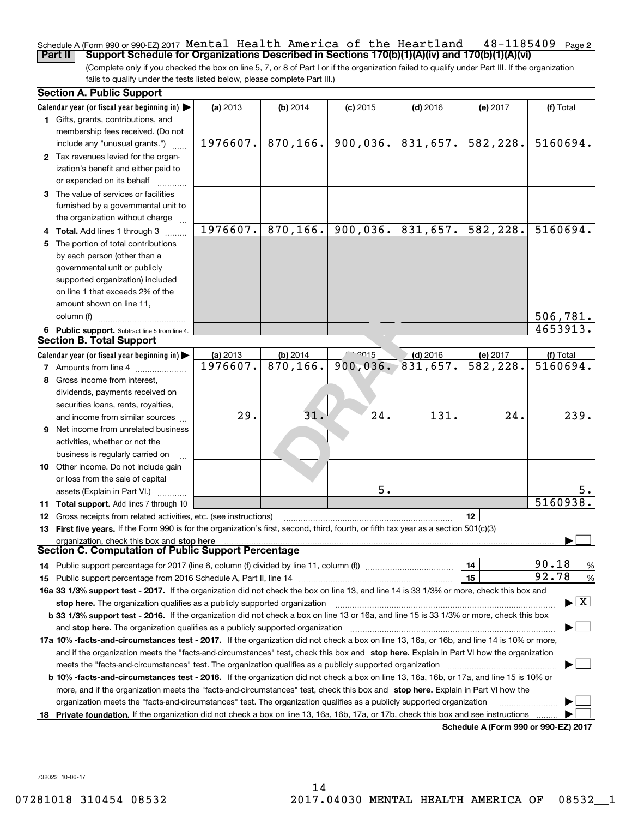#### **2** Schedule A (Form 990 or 990-EZ) 2017 <code>Mental Health America of the Heartland 48-1185409</code> Page **Part II Support Schedule for Organizations Described in Sections 170(b)(1)(A)(iv) and 170(b)(1)(A)(vi)** Mental Health America of the Heartland 48-1185409

(Complete only if you checked the box on line 5, 7, or 8 of Part I or if the organization failed to qualify under Part III. If the organization fails to qualify under the tests listed below, please complete Part III.)

|    | <b>Section A. Public Support</b>                                                                                                                                                                                               |          |            |                                                                           |            |                                      |                                          |
|----|--------------------------------------------------------------------------------------------------------------------------------------------------------------------------------------------------------------------------------|----------|------------|---------------------------------------------------------------------------|------------|--------------------------------------|------------------------------------------|
|    | Calendar year (or fiscal year beginning in) $\blacktriangleright$                                                                                                                                                              | (a) 2013 | $(b)$ 2014 | $(c)$ 2015                                                                | $(d)$ 2016 | (e) 2017                             | (f) Total                                |
|    | 1 Gifts, grants, contributions, and                                                                                                                                                                                            |          |            |                                                                           |            |                                      |                                          |
|    | membership fees received. (Do not<br>include any "unusual grants.")                                                                                                                                                            | 1976607. | 870, 166.  | 900,036.                                                                  | 831,657.   | 582,228.                             | 5160694.                                 |
|    | 2 Tax revenues levied for the organ-                                                                                                                                                                                           |          |            |                                                                           |            |                                      |                                          |
|    | ization's benefit and either paid to                                                                                                                                                                                           |          |            |                                                                           |            |                                      |                                          |
|    | or expended on its behalf                                                                                                                                                                                                      |          |            |                                                                           |            |                                      |                                          |
|    | 3 The value of services or facilities                                                                                                                                                                                          |          |            |                                                                           |            |                                      |                                          |
|    | furnished by a governmental unit to                                                                                                                                                                                            |          |            |                                                                           |            |                                      |                                          |
|    | the organization without charge                                                                                                                                                                                                |          |            |                                                                           |            |                                      |                                          |
|    | 4 Total. Add lines 1 through 3                                                                                                                                                                                                 | 1976607. | 870, 166.  | 900,036.                                                                  | 831,657.   | 582,228.                             | 5160694.                                 |
| 5. | The portion of total contributions                                                                                                                                                                                             |          |            |                                                                           |            |                                      |                                          |
|    | by each person (other than a                                                                                                                                                                                                   |          |            |                                                                           |            |                                      |                                          |
|    | governmental unit or publicly                                                                                                                                                                                                  |          |            |                                                                           |            |                                      |                                          |
|    | supported organization) included                                                                                                                                                                                               |          |            |                                                                           |            |                                      |                                          |
|    | on line 1 that exceeds 2% of the                                                                                                                                                                                               |          |            |                                                                           |            |                                      |                                          |
|    | amount shown on line 11,                                                                                                                                                                                                       |          |            |                                                                           |            |                                      |                                          |
|    | column (f)                                                                                                                                                                                                                     |          |            |                                                                           |            |                                      | 506,781.                                 |
|    | 6 Public support. Subtract line 5 from line 4.                                                                                                                                                                                 |          |            |                                                                           |            |                                      | 4653913.                                 |
|    | <b>Section B. Total Support</b>                                                                                                                                                                                                |          |            |                                                                           |            |                                      |                                          |
|    | Calendar year (or fiscal year beginning in)                                                                                                                                                                                    | (a) 2013 | (b) 2014   | $^{\prime}$ ` $^{\prime}$ $^{\prime}$ $\cdot$ $^{\prime}$ $\cdot$ $\cdot$ | $(d)$ 2016 | (e) 2017                             | (f) Total                                |
|    | <b>7</b> Amounts from line 4                                                                                                                                                                                                   | 1976607. | 870, 166.  | 900,036.                                                                  | 831,657.   | $\overline{582,228}$ .               | 5160694.                                 |
| 8  | Gross income from interest,                                                                                                                                                                                                    |          |            |                                                                           |            |                                      |                                          |
|    | dividends, payments received on                                                                                                                                                                                                |          |            |                                                                           |            |                                      |                                          |
|    | securities loans, rents, royalties,                                                                                                                                                                                            |          |            |                                                                           |            |                                      |                                          |
|    | and income from similar sources                                                                                                                                                                                                | 29.      | 31.        | 24.                                                                       | 131.       | 24.                                  | 239.                                     |
|    | <b>9</b> Net income from unrelated business                                                                                                                                                                                    |          |            |                                                                           |            |                                      |                                          |
|    | activities, whether or not the                                                                                                                                                                                                 |          |            |                                                                           |            |                                      |                                          |
|    | business is regularly carried on                                                                                                                                                                                               |          |            |                                                                           |            |                                      |                                          |
|    | 10 Other income. Do not include gain                                                                                                                                                                                           |          |            |                                                                           |            |                                      |                                          |
|    | or loss from the sale of capital                                                                                                                                                                                               |          |            | 5.                                                                        |            |                                      |                                          |
|    | assets (Explain in Part VI.)                                                                                                                                                                                                   |          |            |                                                                           |            |                                      | 5.<br>5160938.                           |
|    | 11 Total support. Add lines 7 through 10                                                                                                                                                                                       |          |            |                                                                           |            |                                      |                                          |
|    | <b>12</b> Gross receipts from related activities, etc. (see instructions)                                                                                                                                                      |          |            |                                                                           |            | 12                                   |                                          |
|    | 13 First five years. If the Form 990 is for the organization's first, second, third, fourth, or fifth tax year as a section 501(c)(3)                                                                                          |          |            |                                                                           |            |                                      |                                          |
|    | organization, check this box and stop here<br>Section C. Computation of Public Support Percentage                                                                                                                              |          |            |                                                                           |            |                                      |                                          |
|    |                                                                                                                                                                                                                                |          |            |                                                                           |            | 14                                   | 90.18<br>%                               |
|    | 15 Public support percentage from 2016 Schedule A, Part II, line 14 [11] [11] manument continuum manument of Public support percentage from 2016 Schedule A, Part II, line 14 [11] manument continuum manument of Public suppo |          |            |                                                                           |            | 15                                   | 92.78<br>$\%$                            |
|    | 16a 33 1/3% support test - 2017. If the organization did not check the box on line 13, and line 14 is 33 1/3% or more, check this box and                                                                                      |          |            |                                                                           |            |                                      |                                          |
|    | stop here. The organization qualifies as a publicly supported organization                                                                                                                                                     |          |            |                                                                           |            |                                      | $\blacktriangleright$ $\boxed{\text{X}}$ |
|    | b 33 1/3% support test - 2016. If the organization did not check a box on line 13 or 16a, and line 15 is 33 1/3% or more, check this box                                                                                       |          |            |                                                                           |            |                                      |                                          |
|    |                                                                                                                                                                                                                                |          |            |                                                                           |            |                                      |                                          |
|    | 17a 10% -facts-and-circumstances test - 2017. If the organization did not check a box on line 13, 16a, or 16b, and line 14 is 10% or more,                                                                                     |          |            |                                                                           |            |                                      |                                          |
|    | and if the organization meets the "facts-and-circumstances" test, check this box and stop here. Explain in Part VI how the organization                                                                                        |          |            |                                                                           |            |                                      |                                          |
|    |                                                                                                                                                                                                                                |          |            |                                                                           |            |                                      |                                          |
|    | <b>b 10% -facts-and-circumstances test - 2016.</b> If the organization did not check a box on line 13, 16a, 16b, or 17a, and line 15 is 10% or                                                                                 |          |            |                                                                           |            |                                      |                                          |
|    | more, and if the organization meets the "facts-and-circumstances" test, check this box and stop here. Explain in Part VI how the                                                                                               |          |            |                                                                           |            |                                      |                                          |
|    | organization meets the "facts-and-circumstances" test. The organization qualifies as a publicly supported organization                                                                                                         |          |            |                                                                           |            |                                      |                                          |
| 18 | Private foundation. If the organization did not check a box on line 13, 16a, 16b, 17a, or 17b, check this box and see instructions                                                                                             |          |            |                                                                           |            |                                      |                                          |
|    |                                                                                                                                                                                                                                |          |            |                                                                           |            | Schedule A (Form 990 or 990-EZ) 2017 |                                          |

732022 10-06-17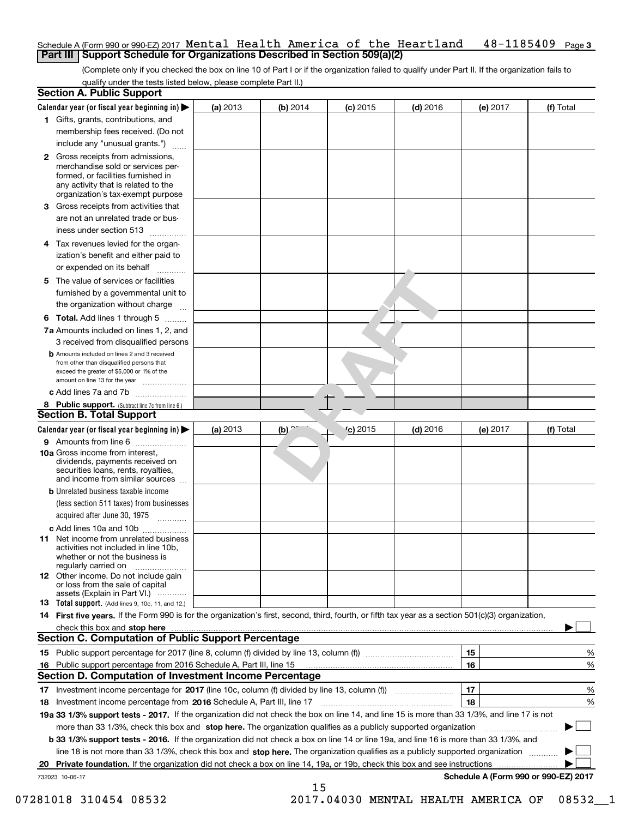## Schedule A (Form 990 or 990-EZ) 2017  $\,\mathrm{Mental}\,$  Health America of the Heartland  $\,\,\phantom{M}48-1185409$  Page 3 **Part III Support Schedule for Organizations Described in Section 509(a)(2)**

(Complete only if you checked the box on line 10 of Part I or if the organization failed to qualify under Part II. If the organization fails to qualify under the tests listed below, please complete Part II.)

|    | <b>Section A. Public Support</b>                                                                                                                                                                                                          |            |          |            |            |          |                                      |
|----|-------------------------------------------------------------------------------------------------------------------------------------------------------------------------------------------------------------------------------------------|------------|----------|------------|------------|----------|--------------------------------------|
|    | Calendar year (or fiscal year beginning in) $\blacktriangleright$                                                                                                                                                                         | (a) 2013   | (b) 2014 | $(c)$ 2015 | $(d)$ 2016 | (e) 2017 | (f) Total                            |
|    | 1 Gifts, grants, contributions, and                                                                                                                                                                                                       |            |          |            |            |          |                                      |
|    | membership fees received. (Do not                                                                                                                                                                                                         |            |          |            |            |          |                                      |
|    | include any "unusual grants.")                                                                                                                                                                                                            |            |          |            |            |          |                                      |
|    | 2 Gross receipts from admissions,<br>merchandise sold or services per-<br>formed, or facilities furnished in<br>any activity that is related to the<br>organization's tax-exempt purpose                                                  |            |          |            |            |          |                                      |
|    | 3 Gross receipts from activities that<br>are not an unrelated trade or bus-                                                                                                                                                               |            |          |            |            |          |                                      |
|    | iness under section 513                                                                                                                                                                                                                   |            |          |            |            |          |                                      |
|    | 4 Tax revenues levied for the organ-                                                                                                                                                                                                      |            |          |            |            |          |                                      |
|    | ization's benefit and either paid to                                                                                                                                                                                                      |            |          |            |            |          |                                      |
|    | or expended on its behalf<br>.                                                                                                                                                                                                            |            |          |            |            |          |                                      |
|    | 5 The value of services or facilities                                                                                                                                                                                                     |            |          |            |            |          |                                      |
|    | furnished by a governmental unit to                                                                                                                                                                                                       |            |          |            |            |          |                                      |
|    | the organization without charge                                                                                                                                                                                                           |            |          |            |            |          |                                      |
|    | <b>6 Total.</b> Add lines 1 through 5                                                                                                                                                                                                     |            |          |            |            |          |                                      |
|    | 7a Amounts included on lines 1, 2, and                                                                                                                                                                                                    |            |          |            |            |          |                                      |
|    | 3 received from disqualified persons                                                                                                                                                                                                      |            |          |            |            |          |                                      |
|    | <b>b</b> Amounts included on lines 2 and 3 received<br>from other than disqualified persons that<br>exceed the greater of \$5,000 or 1% of the<br>amount on line 13 for the year                                                          |            |          |            |            |          |                                      |
|    | c Add lines 7a and 7b                                                                                                                                                                                                                     |            |          |            |            |          |                                      |
|    | 8 Public support. (Subtract line 7c from line 6.)                                                                                                                                                                                         |            |          |            |            |          |                                      |
|    | <b>Section B. Total Support</b>                                                                                                                                                                                                           |            |          |            |            |          |                                      |
|    | Calendar year (or fiscal year beginning in) $\blacktriangleright$                                                                                                                                                                         | $(a)$ 2013 | (b)      | (c) 2015   | $(d)$ 2016 | (e) 2017 | (f) Total                            |
|    | 9 Amounts from line 6                                                                                                                                                                                                                     |            |          |            |            |          |                                      |
|    | 10a Gross income from interest,<br>dividends, payments received on<br>securities loans, rents, royalties,<br>and income from similar sources                                                                                              |            |          |            |            |          |                                      |
|    | <b>b</b> Unrelated business taxable income<br>(less section 511 taxes) from businesses                                                                                                                                                    |            |          |            |            |          |                                      |
|    | acquired after June 30, 1975                                                                                                                                                                                                              |            |          |            |            |          |                                      |
|    | c Add lines 10a and 10b<br>11 Net income from unrelated business<br>activities not included in line 10b,<br>whether or not the business is<br>regularly carried on                                                                        |            |          |            |            |          |                                      |
|    | <b>12</b> Other income. Do not include gain<br>or loss from the sale of capital<br>assets (Explain in Part VI.)                                                                                                                           |            |          |            |            |          |                                      |
|    | <b>13</b> Total support. (Add lines 9, 10c, 11, and 12.)                                                                                                                                                                                  |            |          |            |            |          |                                      |
|    | 14 First five years. If the Form 990 is for the organization's first, second, third, fourth, or fifth tax year as a section 501(c)(3) organization,                                                                                       |            |          |            |            |          |                                      |
|    | check this box and <b>stop here</b> measurement contracts and <b>structure the state of the state of the state of the state of the state of the state of the state of the state of the state of the state of the state of the state o</b> |            |          |            |            |          |                                      |
|    | <b>Section C. Computation of Public Support Percentage</b>                                                                                                                                                                                |            |          |            |            |          |                                      |
|    |                                                                                                                                                                                                                                           |            |          |            |            | 15       | %                                    |
|    | 16 Public support percentage from 2016 Schedule A, Part III, line 15                                                                                                                                                                      |            |          |            |            | 16       | %                                    |
|    | <b>Section D. Computation of Investment Income Percentage</b>                                                                                                                                                                             |            |          |            |            |          |                                      |
|    | 17 Investment income percentage for 2017 (line 10c, column (f) divided by line 13, column (f))                                                                                                                                            |            |          |            |            | 17       | %                                    |
|    | 18 Investment income percentage from 2016 Schedule A, Part III, line 17                                                                                                                                                                   |            |          |            |            | 18       | %                                    |
|    | 19a 33 1/3% support tests - 2017. If the organization did not check the box on line 14, and line 15 is more than 33 1/3%, and line 17 is not                                                                                              |            |          |            |            |          |                                      |
|    | more than 33 1/3%, check this box and stop here. The organization qualifies as a publicly supported organization                                                                                                                          |            |          |            |            |          | ▶                                    |
|    | b 33 1/3% support tests - 2016. If the organization did not check a box on line 14 or line 19a, and line 16 is more than 33 1/3%, and                                                                                                     |            |          |            |            |          |                                      |
|    | line 18 is not more than 33 1/3%, check this box and stop here. The organization qualifies as a publicly supported organization                                                                                                           |            |          |            |            |          |                                      |
| 20 | <b>Private foundation.</b> If the organization did not check a box on line 14, 19a, or 19b, check this box and see instructions                                                                                                           |            |          |            |            |          |                                      |
|    | 732023 10-06-17                                                                                                                                                                                                                           |            | 15       |            |            |          | Schedule A (Form 990 or 990-EZ) 2017 |

07281018 310454 08532 2017.04030 MENTAL HEALTH AMERICA OF 08532\_1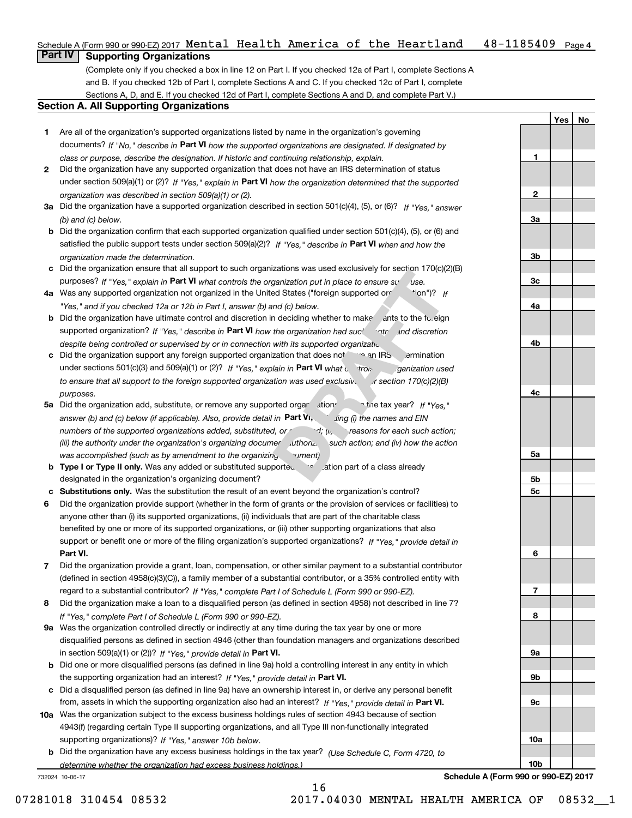## Schedule A (Form 990 or 990-EZ) 2017  $\,\mathrm{Mental}\,$  Health America of the Heartland 48-1185409  $\,$  <sub>Page 4</sub> **Part IV Supporting Organizations**

(Complete only if you checked a box in line 12 on Part I. If you checked 12a of Part I, complete Sections A and B. If you checked 12b of Part I, complete Sections A and C. If you checked 12c of Part I, complete Sections A, D, and E. If you checked 12d of Part I, complete Sections A and D, and complete Part V.)

## **Section A. All Supporting Organizations**

|    |                                                                                                                                                                                                                           |     | Yes   No |  |
|----|---------------------------------------------------------------------------------------------------------------------------------------------------------------------------------------------------------------------------|-----|----------|--|
| 1. | Are all of the organization's supported organizations listed by name in the organization's governing                                                                                                                      |     |          |  |
|    | documents? If "No," describe in Part VI how the supported organizations are designated. If designated by                                                                                                                  |     |          |  |
|    | class or purpose, describe the designation. If historic and continuing relationship, explain.                                                                                                                             | 1   |          |  |
| 2  | Did the organization have any supported organization that does not have an IRS determination of status                                                                                                                    |     |          |  |
|    | under section 509(a)(1) or (2)? If "Yes," explain in Part VI how the organization determined that the supported                                                                                                           |     |          |  |
|    | organization was described in section 509(a)(1) or (2).                                                                                                                                                                   | 2   |          |  |
|    | 3a Did the organization have a supported organization described in section 501(c)(4), (5), or (6)? If "Yes," answer                                                                                                       |     |          |  |
|    | (b) and (c) below.                                                                                                                                                                                                        | За  |          |  |
|    | <b>b</b> Did the organization confirm that each supported organization qualified under section $501(c)(4)$ , (5), or (6) and                                                                                              |     |          |  |
|    | satisfied the public support tests under section 509(a)(2)? If "Yes," describe in Part VI when and how the                                                                                                                |     |          |  |
|    | organization made the determination.                                                                                                                                                                                      | 3b  |          |  |
|    | c Did the organization ensure that all support to such organizations was used exclusively for section $170(c)(2)(B)$                                                                                                      |     |          |  |
|    | purposes? If "Yes," explain in Part VI what controls the organization put in place to ensure su<br>use.                                                                                                                   | Зc  |          |  |
|    | 4a Was any supported organization not organized in the United States ("foreign supported orc<br>"ion")? If                                                                                                                |     |          |  |
|    | "Yes," and if you checked 12a or 12b in Part I, answer (b) and (c) below.                                                                                                                                                 | 4a  |          |  |
|    | <b>b</b> Did the organization have ultimate control and discretion in deciding whether to make ants to the folleign                                                                                                       |     |          |  |
|    | supported organization? If "Yes," describe in Part VI how the organization had suc!<br>ntr and discretion                                                                                                                 |     |          |  |
|    | despite being controlled or supervised by or in connection with its supported organization                                                                                                                                | 4b  |          |  |
|    | c Did the organization support any foreign supported organization that does not<br><u>ാ an IRS</u><br>ermination                                                                                                          |     |          |  |
|    | under sections 501(c)(3) and 509(a)(1) or (2)? If "Yes," explain in Part VI what $c$ trois<br>ganization used                                                                                                             |     |          |  |
|    | to ensure that all support to the foreign supported organization was used exclusive<br>r section $170(c)(2)(B)$                                                                                                           | 4c  |          |  |
|    | purposes.<br>5a Did the organization add, substitute, or remove any supported organ ations<br>" the tax year? If "Yes."                                                                                                   |     |          |  |
|    | answer (b) and (c) below (if applicable). Also, provide detail in Part VI,<br>ing (i) the names and EIN                                                                                                                   |     |          |  |
|    | numbers of the supported organizations added, substituted, or r<br>$\neg d; (h,$<br>reasons for each such action;                                                                                                         |     |          |  |
|    | (iii) the authority under the organization's organizing documer uthoriz.<br>such action; and (iv) how the action                                                                                                          |     |          |  |
|    | was accomplished (such as by amendment to the organizing<br><i>viment</i> )                                                                                                                                               | 5a  |          |  |
|    | ation part of a class already body. Was any added or substituted supported body ation part of a class already                                                                                                             |     |          |  |
|    | designated in the organization's organizing document?                                                                                                                                                                     | 5b  |          |  |
|    | c Substitutions only. Was the substitution the result of an event beyond the organization's control?                                                                                                                      | 5с  |          |  |
| 6  | Did the organization provide support (whether in the form of grants or the provision of services or facilities) to                                                                                                        |     |          |  |
|    | anyone other than (i) its supported organizations, (ii) individuals that are part of the charitable class                                                                                                                 |     |          |  |
|    | benefited by one or more of its supported organizations, or (iii) other supporting organizations that also                                                                                                                |     |          |  |
|    | support or benefit one or more of the filing organization's supported organizations? If "Yes," provide detail in                                                                                                          |     |          |  |
|    | Part VI.                                                                                                                                                                                                                  | 6   |          |  |
| 7  | Did the organization provide a grant, loan, compensation, or other similar payment to a substantial contributor                                                                                                           |     |          |  |
|    | (defined in section 4958(c)(3)(C)), a family member of a substantial contributor, or a 35% controlled entity with                                                                                                         |     |          |  |
|    | regard to a substantial contributor? If "Yes," complete Part I of Schedule L (Form 990 or 990-EZ).                                                                                                                        | 7   |          |  |
| 8  | Did the organization make a loan to a disqualified person (as defined in section 4958) not described in line 7?                                                                                                           |     |          |  |
|    | If "Yes," complete Part I of Schedule L (Form 990 or 990-EZ).                                                                                                                                                             | 8   |          |  |
|    | 9a Was the organization controlled directly or indirectly at any time during the tax year by one or more                                                                                                                  |     |          |  |
|    | disqualified persons as defined in section 4946 (other than foundation managers and organizations described                                                                                                               |     |          |  |
|    | in section 509(a)(1) or (2))? If "Yes," provide detail in Part VI.                                                                                                                                                        | 9а  |          |  |
|    | <b>b</b> Did one or more disqualified persons (as defined in line 9a) hold a controlling interest in any entity in which                                                                                                  |     |          |  |
|    | the supporting organization had an interest? If "Yes," provide detail in Part VI.                                                                                                                                         | 9b  |          |  |
|    | c Did a disqualified person (as defined in line 9a) have an ownership interest in, or derive any personal benefit                                                                                                         |     |          |  |
|    | from, assets in which the supporting organization also had an interest? If "Yes," provide detail in Part VI.<br>10a Was the organization subject to the excess business holdings rules of section 4943 because of section | 9с  |          |  |
|    | 4943(f) (regarding certain Type II supporting organizations, and all Type III non-functionally integrated                                                                                                                 |     |          |  |
|    | supporting organizations)? If "Yes," answer 10b below.                                                                                                                                                                    | 10a |          |  |
|    | <b>b</b> Did the organization have any excess business holdings in the tax year? (Use Schedule C, Form 4720, to                                                                                                           |     |          |  |
|    | determine whether the organization had excess business holdings.)                                                                                                                                                         | 10b |          |  |
|    | Schedule A (Form 990 or 990-EZ) 2017<br>732024 10-06-17                                                                                                                                                                   |     |          |  |

16

732024 10-06-17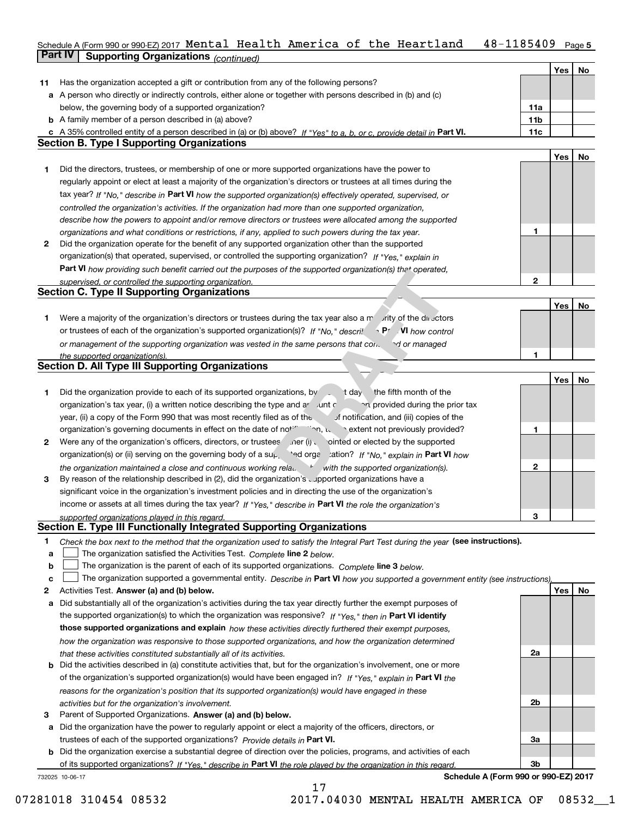#### Schedule A (Form 990 or 990-EZ) 2017 <code>Mental Health America of the Heartland 48-1185409 Page 5</code> **Part IV Supporting Organizations** *(continued)* Mental Health America of the Heartland 48-1185409

|    |                                                                                                                                                                                                                           |                 | Yes | No |
|----|---------------------------------------------------------------------------------------------------------------------------------------------------------------------------------------------------------------------------|-----------------|-----|----|
| 11 | Has the organization accepted a gift or contribution from any of the following persons?                                                                                                                                   |                 |     |    |
|    |                                                                                                                                                                                                                           |                 |     |    |
|    | a A person who directly or indirectly controls, either alone or together with persons described in (b) and (c)                                                                                                            |                 |     |    |
|    | below, the governing body of a supported organization?                                                                                                                                                                    | 11a             |     |    |
|    | <b>b</b> A family member of a person described in (a) above?                                                                                                                                                              | 11 <sub>b</sub> |     |    |
|    | c A 35% controlled entity of a person described in (a) or (b) above? If "Yes" to a, b, or c, provide detail in Part VI.                                                                                                   | 11c             |     |    |
|    | <b>Section B. Type I Supporting Organizations</b>                                                                                                                                                                         |                 |     |    |
|    |                                                                                                                                                                                                                           |                 | Yes | No |
| 1  | Did the directors, trustees, or membership of one or more supported organizations have the power to                                                                                                                       |                 |     |    |
|    | regularly appoint or elect at least a majority of the organization's directors or trustees at all times during the                                                                                                        |                 |     |    |
|    | tax year? If "No," describe in Part VI how the supported organization(s) effectively operated, supervised, or                                                                                                             |                 |     |    |
|    | controlled the organization's activities. If the organization had more than one supported organization,                                                                                                                   |                 |     |    |
|    | describe how the powers to appoint and/or remove directors or trustees were allocated among the supported                                                                                                                 |                 |     |    |
|    | organizations and what conditions or restrictions, if any, applied to such powers during the tax year.                                                                                                                    | 1               |     |    |
| 2  | Did the organization operate for the benefit of any supported organization other than the supported                                                                                                                       |                 |     |    |
|    | organization(s) that operated, supervised, or controlled the supporting organization? If "Yes," explain in                                                                                                                |                 |     |    |
|    |                                                                                                                                                                                                                           |                 |     |    |
|    | Part VI how providing such benefit carried out the purposes of the supported organization(s) that operated,                                                                                                               | $\mathbf{2}$    |     |    |
|    | supervised, or controlled the supporting organization.<br><b>Section C. Type II Supporting Organizations</b>                                                                                                              |                 |     |    |
|    |                                                                                                                                                                                                                           |                 |     |    |
|    |                                                                                                                                                                                                                           |                 | Yes | No |
| 1  | Were a majority of the organization's directors or trustees during the tax year also a $\mathbf{r}$ rity of the ductors                                                                                                   |                 |     |    |
|    | or trustees of each of the organization's supported organization(s)? If "No," descrite Present Orleans                                                                                                                    |                 |     |    |
|    | or management of the supporting organization was vested in the same persons that con. And or managed                                                                                                                      |                 |     |    |
|    | the supported organization(s).                                                                                                                                                                                            | 1               |     |    |
|    | Section D. All Type III Supporting Organizations                                                                                                                                                                          |                 |     |    |
|    |                                                                                                                                                                                                                           |                 | Yes | No |
| 1  | Did the organization provide to each of its supported organizations, by the fifth month of the                                                                                                                            |                 |     |    |
|    | on provided during the prior tax<br>organization's tax year, (i) a written notice describing the type and $ar$ unt c                                                                                                      |                 |     |    |
|    | year, (ii) a copy of the Form 990 that was most recently filed as of the<br>of notification, and (iii) copies of the                                                                                                      |                 |     |    |
|    | organization's governing documents in effect on the date of noting the standard extent not previously provided?                                                                                                           | 1               |     |    |
| 2  | Were any of the organization's officers, directors, or trustees ner (i) ointed or elected by the supported                                                                                                                |                 |     |    |
|    | organization(s) or (ii) serving on the governing body of a superfied or gast ation? If "No," explain in Part VI how                                                                                                       |                 |     |    |
|    |                                                                                                                                                                                                                           | 2               |     |    |
|    | the organization maintained a close and continuous working rela. <sup>k</sup> with the supported organization(s).<br>By reason of the relationship described in (2), did the organization's upported organizations have a |                 |     |    |
| 3  |                                                                                                                                                                                                                           |                 |     |    |
|    | significant voice in the organization's investment policies and in directing the use of the organization's                                                                                                                |                 |     |    |
|    | income or assets at all times during the tax year? If "Yes," describe in Part VI the role the organization's                                                                                                              |                 |     |    |
|    | supported organizations played in this regard.                                                                                                                                                                            | з               |     |    |
|    | <b>Section E. Type III Functionally Integrated Supporting Organizations</b>                                                                                                                                               |                 |     |    |
| 1  | Check the box next to the method that the organization used to satisfy the Integral Part Test during the year (see instructions).                                                                                         |                 |     |    |
| а  | The organization satisfied the Activities Test. Complete line 2 below.                                                                                                                                                    |                 |     |    |
| b  | The organization is the parent of each of its supported organizations. Complete line 3 below.                                                                                                                             |                 |     |    |
| c  | The organization supported a governmental entity. Describe in Part VI how you supported a government entity (see instructions),                                                                                           |                 |     |    |
| 2  | Activities Test. Answer (a) and (b) below.                                                                                                                                                                                |                 | Yes | No |
| а  | Did substantially all of the organization's activities during the tax year directly further the exempt purposes of                                                                                                        |                 |     |    |
|    | the supported organization(s) to which the organization was responsive? If "Yes." then in Part VI identify                                                                                                                |                 |     |    |
|    | those supported organizations and explain how these activities directly furthered their exempt purposes,                                                                                                                  |                 |     |    |
|    | how the organization was responsive to those supported organizations, and how the organization determined                                                                                                                 |                 |     |    |
|    | that these activities constituted substantially all of its activities.                                                                                                                                                    | 2a              |     |    |
|    | <b>b</b> Did the activities described in (a) constitute activities that, but for the organization's involvement, one or more                                                                                              |                 |     |    |
|    |                                                                                                                                                                                                                           |                 |     |    |
|    | of the organization's supported organization(s) would have been engaged in? If "Yes," explain in Part VI the                                                                                                              |                 |     |    |
|    | reasons for the organization's position that its supported organization(s) would have engaged in these                                                                                                                    |                 |     |    |
|    | activities but for the organization's involvement.                                                                                                                                                                        | 2b              |     |    |
| з  | Parent of Supported Organizations. Answer (a) and (b) below.                                                                                                                                                              |                 |     |    |
|    | a Did the organization have the power to regularly appoint or elect a majority of the officers, directors, or                                                                                                             |                 |     |    |
|    | trustees of each of the supported organizations? Provide details in Part VI.                                                                                                                                              | За              |     |    |
|    | <b>b</b> Did the organization exercise a substantial degree of direction over the policies, programs, and activities of each                                                                                              |                 |     |    |
|    | of its supported organizations? If "Yes." describe in Part VI the role played by the organization in this regard.                                                                                                         | 3b              |     |    |
|    | Schedule A (Form 990 or 990-EZ) 2017<br>732025 10-06-17                                                                                                                                                                   |                 |     |    |

17

**Schedule A (Form 990 or 990-EZ) 2017**

07281018 310454 08532 2017.04030 MENTAL HEALTH AMERICA OF 08532\_1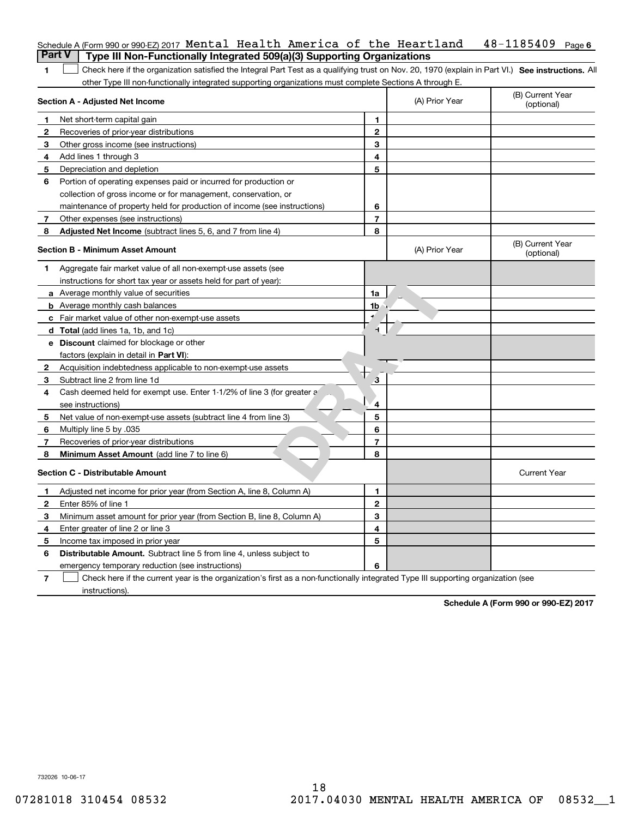|               | Schedule A (Form 990 or 990-EZ) 2017 Mental Health America of the Heartland                                                                       |                |                | 48-1185409<br>Page 6           |
|---------------|---------------------------------------------------------------------------------------------------------------------------------------------------|----------------|----------------|--------------------------------|
| <b>Part V</b> | Type III Non-Functionally Integrated 509(a)(3) Supporting Organizations                                                                           |                |                |                                |
| 1             | Check here if the organization satisfied the Integral Part Test as a qualifying trust on Nov. 20, 1970 (explain in Part VI.) See instructions. Al |                |                |                                |
|               | other Type III non-functionally integrated supporting organizations must complete Sections A through E.                                           |                |                |                                |
|               | <b>Section A - Adjusted Net Income</b>                                                                                                            |                | (A) Prior Year | (B) Current Year<br>(optional) |
|               | Net short-term capital gain                                                                                                                       | 1              |                |                                |
| 2             | Recoveries of prior-year distributions                                                                                                            | $\mathbf{2}$   |                |                                |
| З             | Other gross income (see instructions)                                                                                                             | 3              |                |                                |
| 4             | Add lines 1 through 3                                                                                                                             | 4              |                |                                |
| 5             | Depreciation and depletion                                                                                                                        | 5              |                |                                |
| 6             | Portion of operating expenses paid or incurred for production or                                                                                  |                |                |                                |
|               | collection of gross income or for management, conservation, or                                                                                    |                |                |                                |
|               | maintenance of property held for production of income (see instructions)                                                                          | 6              |                |                                |
| 7             | Other expenses (see instructions)                                                                                                                 | $\overline{7}$ |                |                                |
| 8             | Adjusted Net Income (subtract lines 5, 6, and 7 from line 4)                                                                                      | 8              |                |                                |
|               | <b>Section B - Minimum Asset Amount</b>                                                                                                           |                | (A) Prior Year | (B) Current Year<br>(optional) |
| 1             | Aggregate fair market value of all non-exempt-use assets (see                                                                                     |                |                |                                |
|               | instructions for short tax year or assets held for part of year):                                                                                 |                |                |                                |
|               | a Average monthly value of securities                                                                                                             | 1a             |                |                                |
|               | <b>b</b> Average monthly cash balances                                                                                                            | 1b             |                |                                |
|               | c Fair market value of other non-exempt-use assets                                                                                                | $\ddotmark$    |                |                                |
|               | d Total (add lines 1a, 1b, and 1c)                                                                                                                |                |                |                                |
|               | e Discount claimed for blockage or other                                                                                                          |                |                |                                |
|               | factors (explain in detail in Part VI):                                                                                                           |                |                |                                |
| 2             | Acquisition indebtedness applicable to non-exempt-use assets                                                                                      |                |                |                                |
| 3             | Subtract line 2 from line 1d                                                                                                                      | 3              |                |                                |
| 4             | Cash deemed held for exempt use. Enter 1-1/2% of line 3 (for greater a                                                                            |                |                |                                |
|               | see instructions)                                                                                                                                 | 4              |                |                                |
| 5             | Net value of non-exempt-use assets (subtract line 4 from line 3)                                                                                  | 5              |                |                                |
| 6             | Multiply line 5 by .035                                                                                                                           | 6              |                |                                |
| 7             | Recoveries of prior-year distributions                                                                                                            | $\overline{7}$ |                |                                |
| 8             | Minimum Asset Amount (add line 7 to line 6)                                                                                                       | 8              |                |                                |
|               | <b>Section C - Distributable Amount</b>                                                                                                           |                |                | <b>Current Year</b>            |
|               | Adjusted net income for prior year (from Section A, line 8, Column A)                                                                             | 1              |                |                                |
| 2             | Enter 85% of line 1                                                                                                                               | 2              |                |                                |
| 3             | Minimum asset amount for prior year (from Section B, line 8, Column A)                                                                            | 3              |                |                                |
| 4             | Enter greater of line 2 or line 3                                                                                                                 | 4              |                |                                |
| 5             | Income tax imposed in prior year                                                                                                                  | 5              |                |                                |
| 6             | Distributable Amount. Subtract line 5 from line 4, unless subject to                                                                              |                |                |                                |
|               | emergency temporary reduction (see instructions)                                                                                                  | 6              |                |                                |
| 7             | Check here if the current year is the organization's first as a non-functionally integrated Type III supporting organization (see                 |                |                |                                |

**Schedule A (Form 990 or 990-EZ) 2017**

732026 10-06-17

instructions).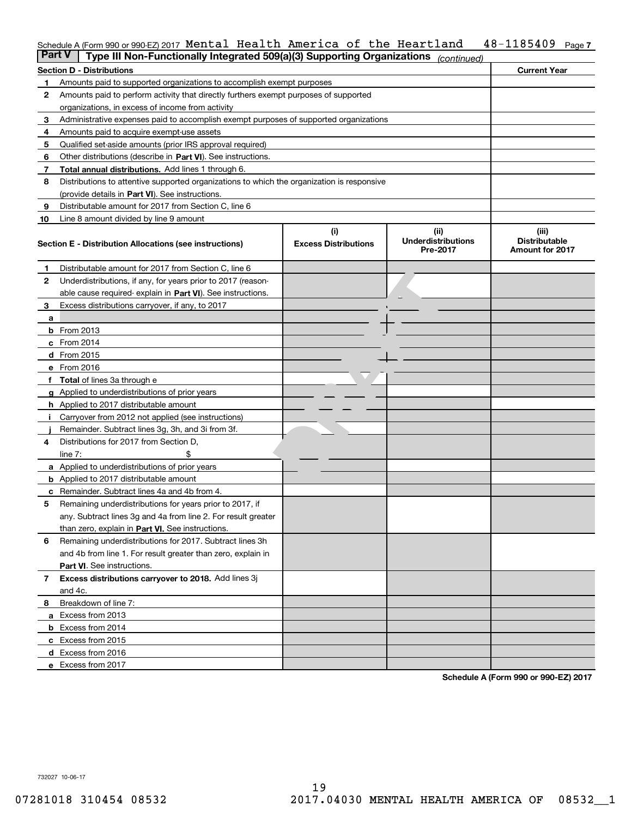## Schedule A (Form 990 or 990-EZ) 2017 <code>Mental Health America of the Heartland 48-1185409 Page 7</code>

| Part V | Type III Non-Functionally Integrated 509(a)(3) Supporting Organizations                                      |                                    | (continued)                                   |                                                         |  |  |  |  |
|--------|--------------------------------------------------------------------------------------------------------------|------------------------------------|-----------------------------------------------|---------------------------------------------------------|--|--|--|--|
|        | <b>Section D - Distributions</b>                                                                             |                                    |                                               | <b>Current Year</b>                                     |  |  |  |  |
|        | Amounts paid to supported organizations to accomplish exempt purposes                                        |                                    |                                               |                                                         |  |  |  |  |
| 2      | Amounts paid to perform activity that directly furthers exempt purposes of supported                         |                                    |                                               |                                                         |  |  |  |  |
|        | organizations, in excess of income from activity                                                             |                                    |                                               |                                                         |  |  |  |  |
| з      | Administrative expenses paid to accomplish exempt purposes of supported organizations                        |                                    |                                               |                                                         |  |  |  |  |
| 4      | Amounts paid to acquire exempt-use assets                                                                    |                                    |                                               |                                                         |  |  |  |  |
| 5      | Qualified set-aside amounts (prior IRS approval required)                                                    |                                    |                                               |                                                         |  |  |  |  |
| 6      | Other distributions (describe in Part VI). See instructions.                                                 |                                    |                                               |                                                         |  |  |  |  |
| 7      | Total annual distributions. Add lines 1 through 6.                                                           |                                    |                                               |                                                         |  |  |  |  |
| 8      | Distributions to attentive supported organizations to which the organization is responsive                   |                                    |                                               |                                                         |  |  |  |  |
|        | (provide details in Part VI). See instructions.                                                              |                                    |                                               |                                                         |  |  |  |  |
| 9      | Distributable amount for 2017 from Section C, line 6                                                         |                                    |                                               |                                                         |  |  |  |  |
| 10     | Line 8 amount divided by line 9 amount                                                                       |                                    |                                               |                                                         |  |  |  |  |
|        | <b>Section E - Distribution Allocations (see instructions)</b>                                               | (i)<br><b>Excess Distributions</b> | (ii)<br><b>Underdistributions</b><br>Pre-2017 | (iii)<br><b>Distributable</b><br><b>Amount for 2017</b> |  |  |  |  |
| 1      | Distributable amount for 2017 from Section C, line 6                                                         |                                    |                                               |                                                         |  |  |  |  |
| 2      | Underdistributions, if any, for years prior to 2017 (reason-                                                 |                                    |                                               |                                                         |  |  |  |  |
|        | able cause required- explain in Part VI). See instructions.                                                  |                                    |                                               |                                                         |  |  |  |  |
| 3      | Excess distributions carryover, if any, to 2017                                                              |                                    |                                               |                                                         |  |  |  |  |
| а      |                                                                                                              |                                    |                                               |                                                         |  |  |  |  |
|        | <b>b</b> From 2013                                                                                           |                                    |                                               |                                                         |  |  |  |  |
|        | $c$ From 2014                                                                                                |                                    |                                               |                                                         |  |  |  |  |
|        | d From 2015                                                                                                  |                                    |                                               |                                                         |  |  |  |  |
|        | e From 2016                                                                                                  |                                    |                                               |                                                         |  |  |  |  |
|        | Total of lines 3a through e                                                                                  |                                    |                                               |                                                         |  |  |  |  |
|        | <b>g</b> Applied to underdistributions of prior years                                                        |                                    |                                               |                                                         |  |  |  |  |
|        | h Applied to 2017 distributable amount                                                                       |                                    |                                               |                                                         |  |  |  |  |
|        | Carryover from 2012 not applied (see instructions)                                                           |                                    |                                               |                                                         |  |  |  |  |
|        | Remainder. Subtract lines 3g, 3h, and 3i from 3f.                                                            |                                    |                                               |                                                         |  |  |  |  |
| 4      | Distributions for 2017 from Section D,                                                                       |                                    |                                               |                                                         |  |  |  |  |
|        | line $7:$                                                                                                    |                                    |                                               |                                                         |  |  |  |  |
|        | a Applied to underdistributions of prior years                                                               |                                    |                                               |                                                         |  |  |  |  |
|        | <b>b</b> Applied to 2017 distributable amount                                                                |                                    |                                               |                                                         |  |  |  |  |
| с      | Remainder. Subtract lines 4a and 4b from 4.                                                                  |                                    |                                               |                                                         |  |  |  |  |
| 5      | Remaining underdistributions for years prior to 2017, if                                                     |                                    |                                               |                                                         |  |  |  |  |
|        | any. Subtract lines 3g and 4a from line 2. For result greater                                                |                                    |                                               |                                                         |  |  |  |  |
| 6      | than zero, explain in Part VI. See instructions.<br>Remaining underdistributions for 2017. Subtract lines 3h |                                    |                                               |                                                         |  |  |  |  |
|        | and 4b from line 1. For result greater than zero, explain in                                                 |                                    |                                               |                                                         |  |  |  |  |
|        | Part VI. See instructions.                                                                                   |                                    |                                               |                                                         |  |  |  |  |
| 7      | Excess distributions carryover to 2018. Add lines 3j                                                         |                                    |                                               |                                                         |  |  |  |  |
|        | and 4c.                                                                                                      |                                    |                                               |                                                         |  |  |  |  |
| 8      | Breakdown of line 7:                                                                                         |                                    |                                               |                                                         |  |  |  |  |
|        | a Excess from 2013                                                                                           |                                    |                                               |                                                         |  |  |  |  |
|        | <b>b</b> Excess from 2014                                                                                    |                                    |                                               |                                                         |  |  |  |  |
|        | c Excess from 2015                                                                                           |                                    |                                               |                                                         |  |  |  |  |
|        | d Excess from 2016                                                                                           |                                    |                                               |                                                         |  |  |  |  |
|        | e Excess from 2017                                                                                           |                                    |                                               |                                                         |  |  |  |  |
|        |                                                                                                              |                                    |                                               |                                                         |  |  |  |  |

**Schedule A (Form 990 or 990-EZ) 2017**

732027 10-06-17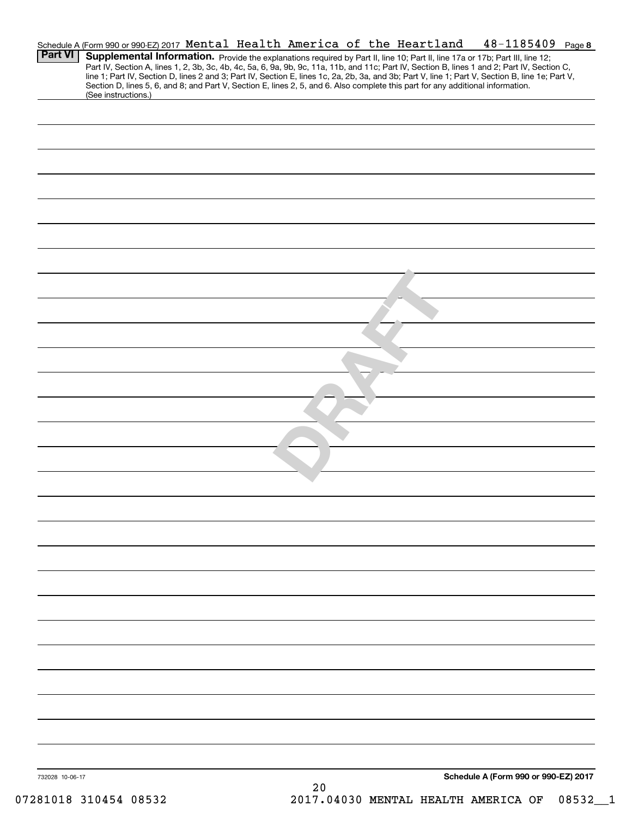| 48-1185409 Page 8<br>Schedule A (Form 990 or 990-EZ) 2017 Mental Health America of the Heartland<br><b>Part VI</b><br>Supplemental Information. Provide the explanations required by Part II, line 10; Part II, line 17a or 17b; Part III, line 12;<br>Part IV, Section A, lines 1, 2, 3b, 3c, 4b, 4c, 5a, 6, 9a, 9b, 9c, 11a, 11b, and 11c; Part IV, Section B, lines 1 and 2; Part IV, Section C,<br>line 1; Part IV, Section D, lines 2 and 3; Part IV, Section E, lines 1c, 2a, 2b, 3a, and 3b; Part V, line 1; Part V, Section B, line 1e; Part V,<br>Section D, lines 5, 6, and 8; and Part V, Section E, lines 2, 5, and 6. Also complete this part for any additional information.<br>(See instructions.) |  |
|-------------------------------------------------------------------------------------------------------------------------------------------------------------------------------------------------------------------------------------------------------------------------------------------------------------------------------------------------------------------------------------------------------------------------------------------------------------------------------------------------------------------------------------------------------------------------------------------------------------------------------------------------------------------------------------------------------------------|--|
|                                                                                                                                                                                                                                                                                                                                                                                                                                                                                                                                                                                                                                                                                                                   |  |
|                                                                                                                                                                                                                                                                                                                                                                                                                                                                                                                                                                                                                                                                                                                   |  |
|                                                                                                                                                                                                                                                                                                                                                                                                                                                                                                                                                                                                                                                                                                                   |  |
|                                                                                                                                                                                                                                                                                                                                                                                                                                                                                                                                                                                                                                                                                                                   |  |
|                                                                                                                                                                                                                                                                                                                                                                                                                                                                                                                                                                                                                                                                                                                   |  |
|                                                                                                                                                                                                                                                                                                                                                                                                                                                                                                                                                                                                                                                                                                                   |  |
|                                                                                                                                                                                                                                                                                                                                                                                                                                                                                                                                                                                                                                                                                                                   |  |
|                                                                                                                                                                                                                                                                                                                                                                                                                                                                                                                                                                                                                                                                                                                   |  |
|                                                                                                                                                                                                                                                                                                                                                                                                                                                                                                                                                                                                                                                                                                                   |  |
|                                                                                                                                                                                                                                                                                                                                                                                                                                                                                                                                                                                                                                                                                                                   |  |
|                                                                                                                                                                                                                                                                                                                                                                                                                                                                                                                                                                                                                                                                                                                   |  |
|                                                                                                                                                                                                                                                                                                                                                                                                                                                                                                                                                                                                                                                                                                                   |  |
|                                                                                                                                                                                                                                                                                                                                                                                                                                                                                                                                                                                                                                                                                                                   |  |
|                                                                                                                                                                                                                                                                                                                                                                                                                                                                                                                                                                                                                                                                                                                   |  |
|                                                                                                                                                                                                                                                                                                                                                                                                                                                                                                                                                                                                                                                                                                                   |  |
|                                                                                                                                                                                                                                                                                                                                                                                                                                                                                                                                                                                                                                                                                                                   |  |
|                                                                                                                                                                                                                                                                                                                                                                                                                                                                                                                                                                                                                                                                                                                   |  |
|                                                                                                                                                                                                                                                                                                                                                                                                                                                                                                                                                                                                                                                                                                                   |  |
|                                                                                                                                                                                                                                                                                                                                                                                                                                                                                                                                                                                                                                                                                                                   |  |
|                                                                                                                                                                                                                                                                                                                                                                                                                                                                                                                                                                                                                                                                                                                   |  |
|                                                                                                                                                                                                                                                                                                                                                                                                                                                                                                                                                                                                                                                                                                                   |  |
|                                                                                                                                                                                                                                                                                                                                                                                                                                                                                                                                                                                                                                                                                                                   |  |
|                                                                                                                                                                                                                                                                                                                                                                                                                                                                                                                                                                                                                                                                                                                   |  |
|                                                                                                                                                                                                                                                                                                                                                                                                                                                                                                                                                                                                                                                                                                                   |  |
|                                                                                                                                                                                                                                                                                                                                                                                                                                                                                                                                                                                                                                                                                                                   |  |
|                                                                                                                                                                                                                                                                                                                                                                                                                                                                                                                                                                                                                                                                                                                   |  |
|                                                                                                                                                                                                                                                                                                                                                                                                                                                                                                                                                                                                                                                                                                                   |  |
|                                                                                                                                                                                                                                                                                                                                                                                                                                                                                                                                                                                                                                                                                                                   |  |
|                                                                                                                                                                                                                                                                                                                                                                                                                                                                                                                                                                                                                                                                                                                   |  |
|                                                                                                                                                                                                                                                                                                                                                                                                                                                                                                                                                                                                                                                                                                                   |  |
|                                                                                                                                                                                                                                                                                                                                                                                                                                                                                                                                                                                                                                                                                                                   |  |
|                                                                                                                                                                                                                                                                                                                                                                                                                                                                                                                                                                                                                                                                                                                   |  |
|                                                                                                                                                                                                                                                                                                                                                                                                                                                                                                                                                                                                                                                                                                                   |  |
|                                                                                                                                                                                                                                                                                                                                                                                                                                                                                                                                                                                                                                                                                                                   |  |
|                                                                                                                                                                                                                                                                                                                                                                                                                                                                                                                                                                                                                                                                                                                   |  |
|                                                                                                                                                                                                                                                                                                                                                                                                                                                                                                                                                                                                                                                                                                                   |  |
|                                                                                                                                                                                                                                                                                                                                                                                                                                                                                                                                                                                                                                                                                                                   |  |
|                                                                                                                                                                                                                                                                                                                                                                                                                                                                                                                                                                                                                                                                                                                   |  |
| Schedule A (Form 990 or 990-EZ) 2017<br>732028 10-06-17                                                                                                                                                                                                                                                                                                                                                                                                                                                                                                                                                                                                                                                           |  |
| 20<br>001010 210151 00529<br>2017 04030 MENTAI UEAITU AMERICA OF                                                                                                                                                                                                                                                                                                                                                                                                                                                                                                                                                                                                                                                  |  |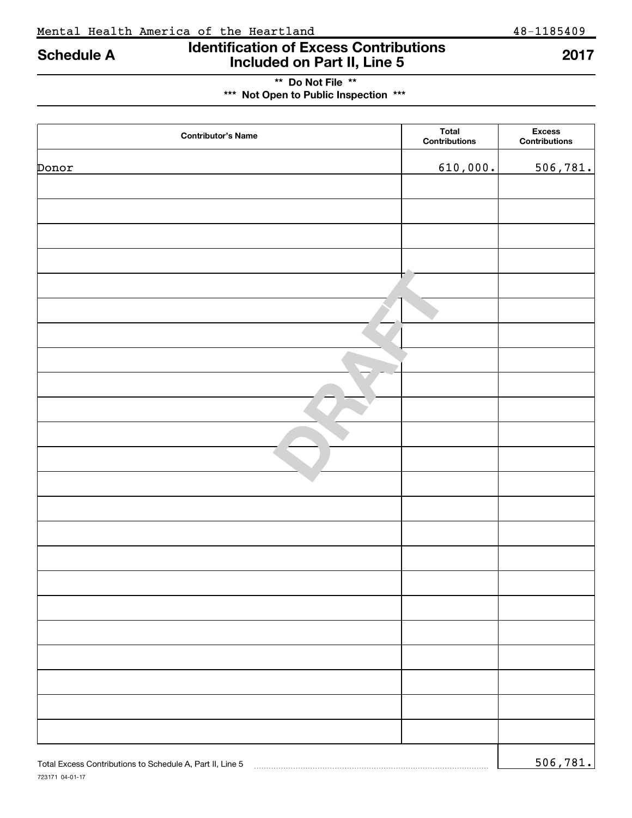723171 04-01-17

## **Identification of Excess Contributions Included on Part II, Line 5 Schedule A 2017**

**\*\* Do Not File \*\* \*\*\* Not Open to Public Inspection \*\*\***

| <b>Contributor's Name</b>                                 | Total<br>Contributions | <b>Excess</b><br>Contributions |
|-----------------------------------------------------------|------------------------|--------------------------------|
| Donor                                                     | 610,000.               | 506,781.                       |
|                                                           |                        |                                |
|                                                           |                        |                                |
|                                                           |                        |                                |
|                                                           |                        |                                |
|                                                           |                        |                                |
|                                                           |                        |                                |
|                                                           |                        |                                |
|                                                           |                        |                                |
|                                                           |                        |                                |
|                                                           |                        |                                |
|                                                           |                        |                                |
|                                                           |                        |                                |
|                                                           |                        |                                |
|                                                           |                        |                                |
|                                                           |                        |                                |
|                                                           |                        |                                |
|                                                           |                        |                                |
|                                                           |                        |                                |
|                                                           |                        |                                |
|                                                           |                        |                                |
|                                                           |                        |                                |
|                                                           |                        |                                |
| Total Excess Contributions to Schedule A, Part II, Line 5 |                        | 506, 781.                      |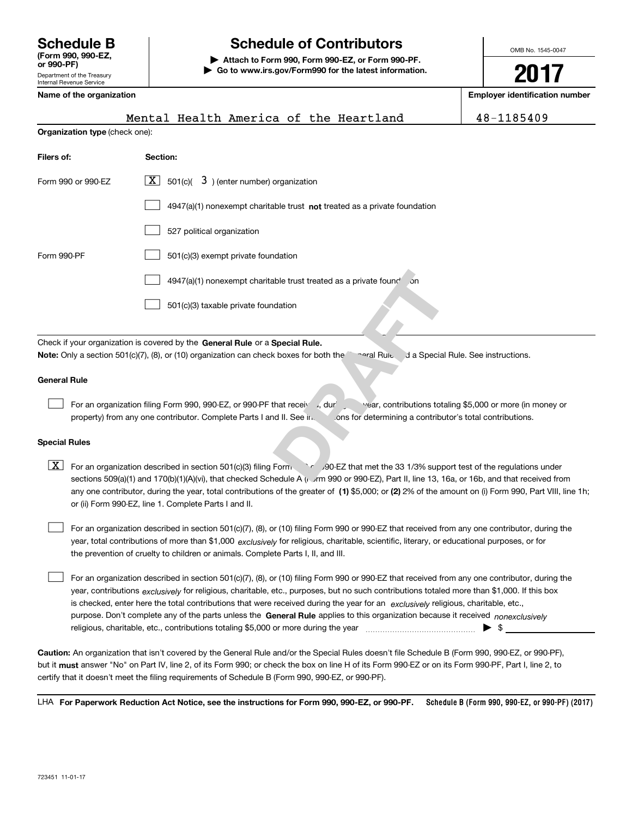Department of the Treasury

## **Schedule B Schedule of Contributors**

**| Attach to Form 990, Form 990-EZ, or Form 990-PF. | Go to www.irs.gov/Form990 for the latest information.** OMB No. 1545-0047

**2017**

| Internal Revenue Service       |                                                                                                                                                                                                                                                                                                         | LU I I                                                    |
|--------------------------------|---------------------------------------------------------------------------------------------------------------------------------------------------------------------------------------------------------------------------------------------------------------------------------------------------------|-----------------------------------------------------------|
| Name of the organization       |                                                                                                                                                                                                                                                                                                         | <b>Employer identification number</b>                     |
|                                | Mental Health America of the Heartland                                                                                                                                                                                                                                                                  | 48-1185409                                                |
| Organization type (check one): |                                                                                                                                                                                                                                                                                                         |                                                           |
| Filers of:                     | Section:                                                                                                                                                                                                                                                                                                |                                                           |
|                                | $X$ 501(c)( 3) (enter number) organization                                                                                                                                                                                                                                                              |                                                           |
| Form 990 or 990-EZ             |                                                                                                                                                                                                                                                                                                         |                                                           |
|                                | 4947(a)(1) nonexempt charitable trust not treated as a private foundation                                                                                                                                                                                                                               |                                                           |
|                                | 527 political organization                                                                                                                                                                                                                                                                              |                                                           |
| Form 990-PF                    | 501(c)(3) exempt private foundation                                                                                                                                                                                                                                                                     |                                                           |
|                                | 4947(a)(1) nonexempt charitable trust treated as a private found on                                                                                                                                                                                                                                     |                                                           |
|                                | 501(c)(3) taxable private foundation                                                                                                                                                                                                                                                                    |                                                           |
|                                |                                                                                                                                                                                                                                                                                                         |                                                           |
|                                | Check if your organization is covered by the General Rule or a Special Rule.                                                                                                                                                                                                                            |                                                           |
|                                | <b>Note:</b> Only a section 501(c)(7), (8), or (10) organization can check boxes for both the<br>neral Rule dia Special Rule. See instructions.                                                                                                                                                         |                                                           |
| <b>General Rule</b>            |                                                                                                                                                                                                                                                                                                         |                                                           |
|                                | For an organization filing Form 990, 990-EZ, or 990-PF that receiving, duri-<br>property) from any one contributor. Complete Parts I and II. See in.<br>ons for determining a contributor's total contributions.                                                                                        | vear, contributions totaling \$5,000 or more (in money or |
| <b>Special Rules</b>           |                                                                                                                                                                                                                                                                                                         |                                                           |
| $\lfloor x \rfloor$            |                                                                                                                                                                                                                                                                                                         |                                                           |
|                                | For an organization described in section 501(c)(3) filing Form $\sim$ 90-EZ that met the 33 1/3% support test of the regulations under<br>sections 509(a)(1) and 170(b)(1)(A)(vi), that checked Schedule A (r .rm 990 or 990-EZ), Part II, line 13, 16a, or 16b, and that received from                 |                                                           |
|                                | any one contributor, during the year, total contributions of the greater of (1) \$5,000; or (2) 2% of the amount on (i) Form 990, Part VIII, line 1h;<br>or (ii) Form 990-EZ, line 1. Complete Parts I and II.                                                                                          |                                                           |
|                                | For an organization described in section 501(c)(7), (8), or (10) filing Form 990 or 990-EZ that received from any one contributor, during the                                                                                                                                                           |                                                           |
|                                | year, total contributions of more than \$1,000 exclusively for religious, charitable, scientific, literary, or educational purposes, or for<br>the prevention of cruelty to children or animals. Complete Parts I, II, and III.                                                                         |                                                           |
|                                | For an organization described in section 501(c)(7), (8), or (10) filing Form 990 or 990-EZ that received from any one contributor, during the                                                                                                                                                           |                                                           |
|                                | year, contributions exclusively for religious, charitable, etc., purposes, but no such contributions totaled more than \$1,000. If this box<br>is checked, enter here the total contributions that were received during the year for an exclusively religious, charitable, etc.,                        |                                                           |
|                                | purpose. Don't complete any of the parts unless the General Rule applies to this organization because it received nonexclusively<br>religious, charitable, etc., contributions totaling \$5,000 or more during the year manufacture manufacture etc.,                                                   | $\blacktriangleright$ s                                   |
|                                |                                                                                                                                                                                                                                                                                                         |                                                           |
|                                | Caution: An organization that isn't covered by the General Rule and/or the Special Rules doesn't file Schedule B (Form 990, 990-EZ, or 990-PF),<br>but it must answer "No" on Part IV, line 2, of its Form 990; or check the box on line H of its Form 990-EZ or on its Form 990-PF, Part I, line 2, to |                                                           |

LHA For Paperwork Reduction Act Notice, see the instructions for Form 990, 990-EZ, or 990-PF. Schedule B (Form 990, 990-BZ, or 990-PF) (2017)

certify that it doesn't meet the filing requirements of Schedule B (Form 990, 990-EZ, or 990-PF).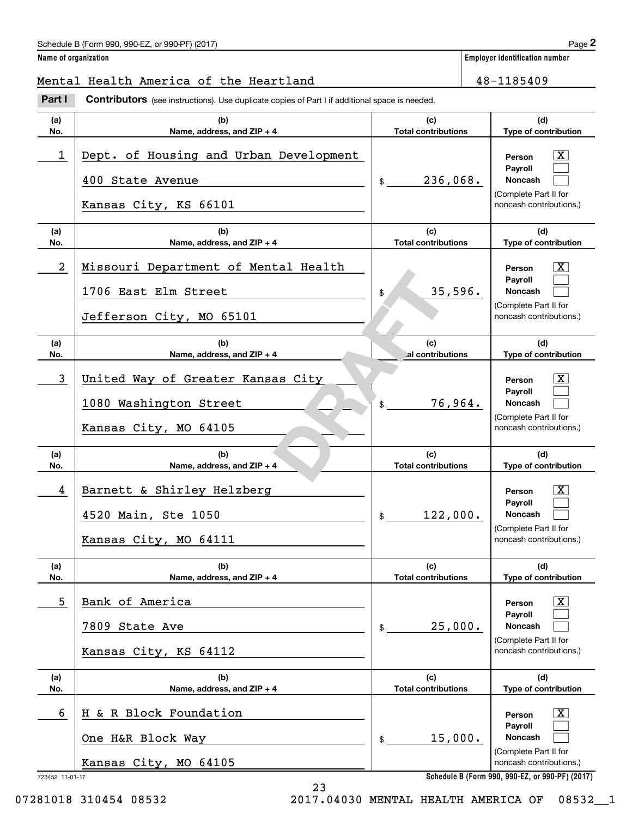## Schedule B (Form 990, 990-EZ, or 990-PF) (2017) **Page 2**

| Page 2<br>Schedule B (Form 990, 990-EZ, or 990-PF) (2017) |                                                                                                |                                   |                                                                                                  |                                                                                                         |  |  |  |  |  |
|-----------------------------------------------------------|------------------------------------------------------------------------------------------------|-----------------------------------|--------------------------------------------------------------------------------------------------|---------------------------------------------------------------------------------------------------------|--|--|--|--|--|
|                                                           | <b>Employer identification number</b><br>Name of organization                                  |                                   |                                                                                                  |                                                                                                         |  |  |  |  |  |
|                                                           | 48-1185409<br>Mental Health America of the Heartland                                           |                                   |                                                                                                  |                                                                                                         |  |  |  |  |  |
| Part I                                                    | Contributors (see instructions). Use duplicate copies of Part I if additional space is needed. |                                   |                                                                                                  |                                                                                                         |  |  |  |  |  |
| (a)<br>No.                                                | (b)<br>Name, address, and ZIP + 4                                                              | (c)<br><b>Total contributions</b> | (d)<br>Type of contribution                                                                      |                                                                                                         |  |  |  |  |  |
| 1                                                         | Dept. of Housing and Urban Development<br>400 State Avenue<br>Kansas City, KS 66101            | 236,068.<br>\$                    |                                                                                                  | $\mathbf{X}$<br>Person<br>Payroll<br>Noncash<br>(Complete Part II for<br>noncash contributions.)        |  |  |  |  |  |
| (a)<br>No.                                                | (b)<br>Name, address, and ZIP + 4                                                              | (c)<br><b>Total contributions</b> |                                                                                                  | (d)<br>Type of contribution                                                                             |  |  |  |  |  |
| $\overline{a}$                                            | Missouri Department of Mental Health<br>1706 East Elm Street<br>Jefferson City, MO 65101       | 35,596.                           | $\mathbf{X}$<br>Person<br>Payroll<br>Noncash<br>(Complete Part II for<br>noncash contributions.) |                                                                                                         |  |  |  |  |  |
| (a)<br>No.                                                | (b)<br>Name, address, and ZIP + 4                                                              | (c)<br>lal contributions          |                                                                                                  | (d)<br>Type of contribution                                                                             |  |  |  |  |  |
| 3                                                         | United Way of Greater Kansas City<br>1080 Washington Street<br>Kansas City, MO 64105           | 76,964.<br>\$                     |                                                                                                  | $\mathbf{X}$<br>Person<br>Payroll<br>Noncash<br>(Complete Part II for<br>noncash contributions.)        |  |  |  |  |  |
| (a)<br>No.                                                | (b)<br>Name, address, and ZIP + 4                                                              | (c)<br><b>Total contributions</b> |                                                                                                  | (d)<br>Type of contribution                                                                             |  |  |  |  |  |
| 4                                                         | Barnett & Shirley Helzberg<br>4520 Main, Ste 1050<br>Kansas City, MO 64111                     | 122,000.<br>\$                    |                                                                                                  | $\mathbf{X}$<br>Person<br><b>Payroll</b><br>Noncash<br>(Complete Part II for<br>noncash contributions.) |  |  |  |  |  |
| (a)<br>No.                                                | (b)<br>Name, address, and ZIP + 4                                                              | (c)<br><b>Total contributions</b> |                                                                                                  | (d)<br>Type of contribution                                                                             |  |  |  |  |  |
| 5                                                         | Bank of America<br>7809 State Ave<br>Kansas City, KS 64112                                     | 25,000.<br>\$                     |                                                                                                  | $\mathbf{X}$<br>Person<br>Payroll<br>Noncash<br>(Complete Part II for<br>noncash contributions.)        |  |  |  |  |  |
| (a)<br>No.                                                | (b)<br>Name, address, and ZIP + 4                                                              | (c)<br><b>Total contributions</b> |                                                                                                  | (d)<br>Type of contribution                                                                             |  |  |  |  |  |
| 6                                                         | H & R Block Foundation<br>One H&R Block Way<br>Kansas City, MO 64105                           | 15,000.<br>\$                     |                                                                                                  | $\mathbf{X}$<br>Person<br>Payroll<br>Noncash<br>(Complete Part II for<br>noncash contributions.)        |  |  |  |  |  |
| 723452 11-01-17                                           |                                                                                                |                                   |                                                                                                  | Schedule B (Form 990, 990-EZ, or 990-PF) (2017)                                                         |  |  |  |  |  |

07281018 310454 08532 2017.04030 MENTAL HEALTH AMERICA OF 08532\_1

**Schedule B (Form 990, 990-EZ, or 990-PF) (2017)**

23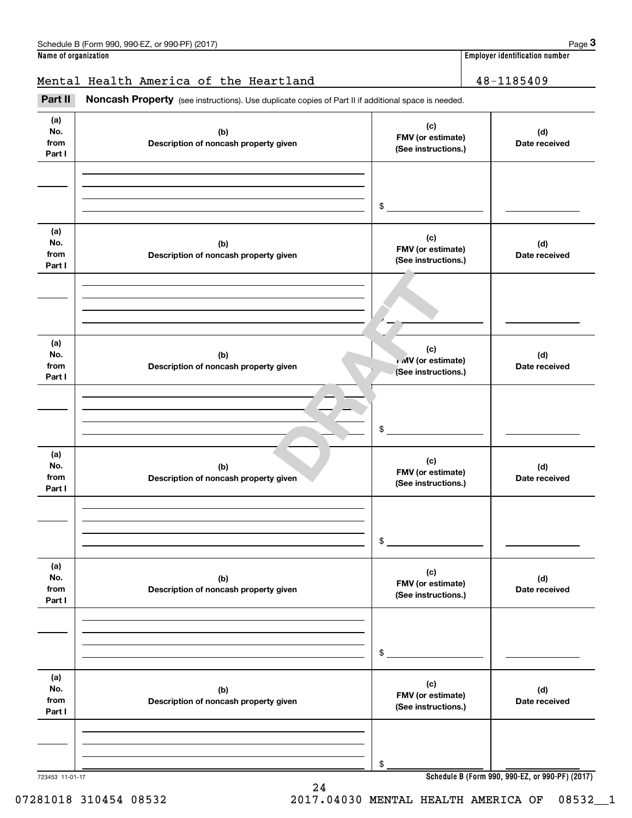Employer identification number<br>**1990, 990-EZ, or 990-PF) (2017)**<br>1996 Mental Health America of the Heartland 1996 Mental Health America of the Heartland 1996, 1996<br>1997 Mental Noncash Property (see instructions). Use dupli Mental Health America of the Heartland 18-1185409

| Part II                      | Noncash Property (see instructions). Use duplicate copies of Part II if additional space is needed. |                                                       |                                                 |
|------------------------------|-----------------------------------------------------------------------------------------------------|-------------------------------------------------------|-------------------------------------------------|
| (a)<br>No.<br>from<br>Part I | (b)<br>Description of noncash property given                                                        | (c)<br>FMV (or estimate)<br>(See instructions.)       | (d)<br>Date received                            |
|                              |                                                                                                     | \$                                                    |                                                 |
| (a)<br>No.<br>from<br>Part I | (b)<br>Description of noncash property given                                                        | (c)<br>FMV (or estimate)<br>(See instructions.)       | (d)<br>Date received                            |
|                              |                                                                                                     |                                                       |                                                 |
| (a)<br>No.<br>from<br>Part I | (b)<br>Description of noncash property given                                                        | (c)<br><b>MV</b> (or estimate)<br>(See instructions.) | (d)<br>Date received                            |
|                              |                                                                                                     | \$                                                    |                                                 |
| (a)<br>No.<br>from<br>Part I | (b)<br>Description of noncash property given                                                        | (c)<br>FMV (or estimate)<br>(See instructions.)       | (d)<br>Date received                            |
|                              |                                                                                                     | \$                                                    |                                                 |
| (a)<br>No.<br>from<br>Part I | (b)<br>Description of noncash property given                                                        | (c)<br>FMV (or estimate)<br>(See instructions.)       | (d)<br>Date received                            |
|                              |                                                                                                     | \$                                                    |                                                 |
| (a)<br>No.<br>from<br>Part I | (b)<br>Description of noncash property given                                                        | (c)<br>FMV (or estimate)<br>(See instructions.)       | (d)<br>Date received                            |
|                              |                                                                                                     |                                                       |                                                 |
|                              | 723453 11-01-17                                                                                     | \$                                                    | Schedule B (Form 990, 990-EZ, or 990-PF) (2017) |

24

07281018 310454 08532 2017.04030 MENTAL HEALTH AMERICA OF 08532\_1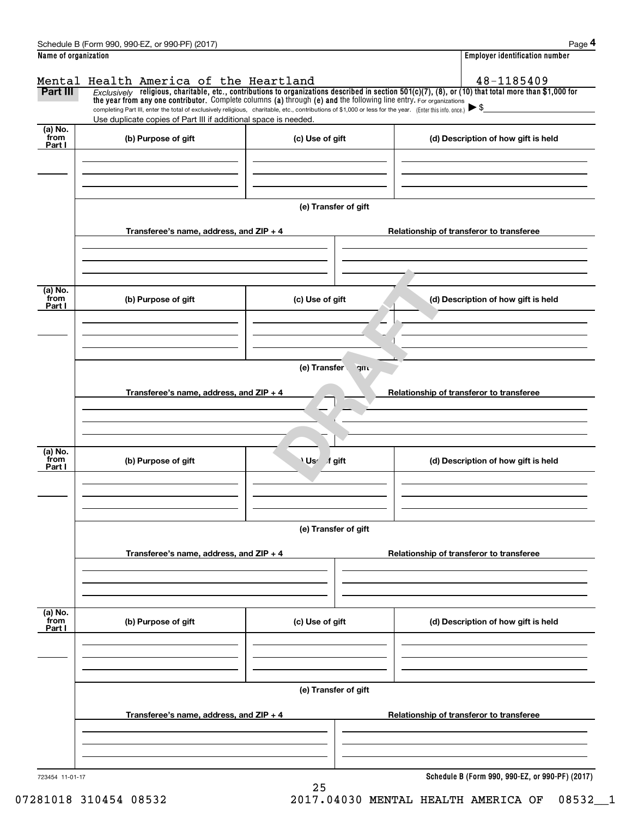| Name of organization                          | Schedule B (Form 990, 990-EZ, or 990-PF) (2017)                                                                                                                                                                                                      |                       | Page 4<br><b>Employer identification number</b>                                                                                                                     |  |  |  |  |  |
|-----------------------------------------------|------------------------------------------------------------------------------------------------------------------------------------------------------------------------------------------------------------------------------------------------------|-----------------------|---------------------------------------------------------------------------------------------------------------------------------------------------------------------|--|--|--|--|--|
|                                               |                                                                                                                                                                                                                                                      |                       |                                                                                                                                                                     |  |  |  |  |  |
| Part III                                      | Mental Health America of the Heartland<br>the year from any one contributor. Complete columns (a) through (e) and the following line entry. For organizations                                                                                        |                       | 48-1185409<br>Exclusively religious, charitable, etc., contributions to organizations described in section 501(c)(7), (8), or (10) that total more than \$1,000 for |  |  |  |  |  |
|                                               | completing Part III, enter the total of exclusively religious, charitable, etc., contributions of \$1,000 or less for the year. (Enter this info. once.) $\blacktriangleright$ \$<br>Use duplicate copies of Part III if additional space is needed. |                       |                                                                                                                                                                     |  |  |  |  |  |
| $(a)$ No.<br>from<br>Part I                   | (b) Purpose of gift                                                                                                                                                                                                                                  | (c) Use of gift       | (d) Description of how gift is held                                                                                                                                 |  |  |  |  |  |
|                                               |                                                                                                                                                                                                                                                      |                       |                                                                                                                                                                     |  |  |  |  |  |
|                                               |                                                                                                                                                                                                                                                      | (e) Transfer of gift  |                                                                                                                                                                     |  |  |  |  |  |
|                                               | Transferee's name, address, and $ZIP + 4$                                                                                                                                                                                                            |                       | Relationship of transferor to transferee                                                                                                                            |  |  |  |  |  |
|                                               |                                                                                                                                                                                                                                                      |                       |                                                                                                                                                                     |  |  |  |  |  |
| (a) $\overline{\text{No.}}$<br>from<br>Part I | (b) Purpose of gift                                                                                                                                                                                                                                  | (c) Use of gift       | (d) Description of how gift is held                                                                                                                                 |  |  |  |  |  |
|                                               |                                                                                                                                                                                                                                                      |                       |                                                                                                                                                                     |  |  |  |  |  |
|                                               | (e) Transfer<br><b>gm</b>                                                                                                                                                                                                                            |                       |                                                                                                                                                                     |  |  |  |  |  |
|                                               | Transferee's name, address, and ZIP + 4<br>Relationship of transferor to transferee                                                                                                                                                                  |                       |                                                                                                                                                                     |  |  |  |  |  |
|                                               |                                                                                                                                                                                                                                                      |                       |                                                                                                                                                                     |  |  |  |  |  |
| (a) No.<br>from<br>Part I                     | (b) Purpose of gift                                                                                                                                                                                                                                  | VUs <sub>rfgift</sub> | (d) Description of how gift is held                                                                                                                                 |  |  |  |  |  |
|                                               |                                                                                                                                                                                                                                                      | (e) Transfer of gift  |                                                                                                                                                                     |  |  |  |  |  |
|                                               | Transferee's name, address, and $ZIP + 4$                                                                                                                                                                                                            |                       | Relationship of transferor to transferee                                                                                                                            |  |  |  |  |  |
|                                               |                                                                                                                                                                                                                                                      |                       |                                                                                                                                                                     |  |  |  |  |  |
| (a) No.<br>from<br>Part I                     | (b) Purpose of gift                                                                                                                                                                                                                                  | (c) Use of gift       | (d) Description of how gift is held                                                                                                                                 |  |  |  |  |  |
|                                               |                                                                                                                                                                                                                                                      |                       |                                                                                                                                                                     |  |  |  |  |  |
|                                               | (e) Transfer of gift                                                                                                                                                                                                                                 |                       |                                                                                                                                                                     |  |  |  |  |  |
|                                               | Transferee's name, address, and $ZIP + 4$                                                                                                                                                                                                            |                       | Relationship of transferor to transferee                                                                                                                            |  |  |  |  |  |
|                                               |                                                                                                                                                                                                                                                      |                       |                                                                                                                                                                     |  |  |  |  |  |
| 723454 11-01-17                               |                                                                                                                                                                                                                                                      |                       | Schedule B (Form 990, 990-EZ, or 990-PF) (2017)                                                                                                                     |  |  |  |  |  |

25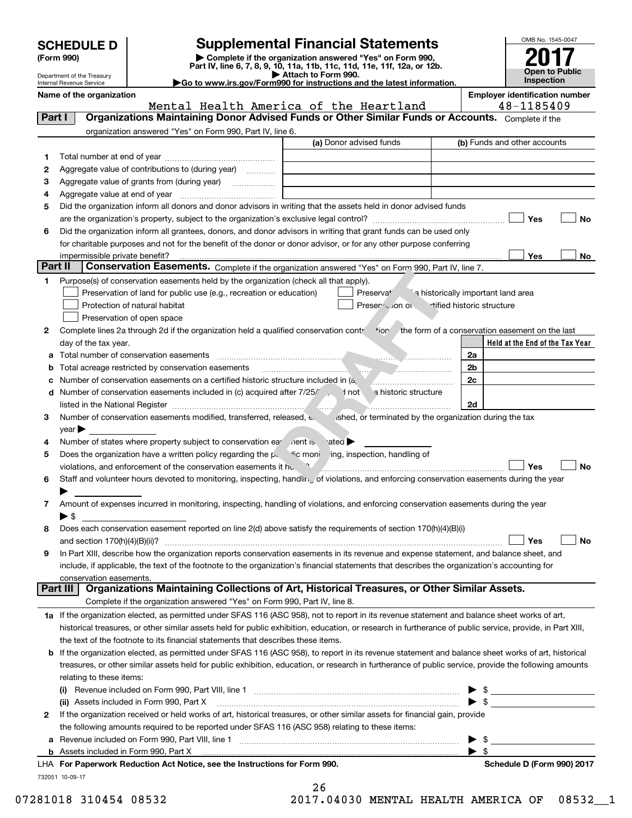| <b>SCHEDULE D</b> |  |
|-------------------|--|
|-------------------|--|

Department of the Treasury Internal Revenue Service

| (Form 990) |  |
|------------|--|
|------------|--|

# **Supplemental Financial Statements**

(Form 990)<br>
Pepartment of the Treasury<br>
Department of the Treasury<br>
Department of the Treasury<br>
Department of the Treasury<br> **Co to www.irs.gov/Form990 for instructions and the latest information.**<br> **Co to www.irs.gov/Form9** 

|  |  |  |  |  |  |  | $\blacktriangleright$ Go to www.irs.gov/Form990 for instructions and the latest informati |  |  |  |  |  |
|--|--|--|--|--|--|--|-------------------------------------------------------------------------------------------|--|--|--|--|--|
|--|--|--|--|--|--|--|-------------------------------------------------------------------------------------------|--|--|--|--|--|

OMB No. 1545-0047 **Open to Public Inspection2017**

|  |  | lame of the organization |  |
|--|--|--------------------------|--|
|  |  |                          |  |

Name of the organization<br>**Mental Health America of the Heartland** 48-1185409 Mental Health America of the Heartland

| Part I | nchcai ncaich mucilea oi cho<br>Organizations Maintaining Donor Advised Funds or Other Similar Funds or Accounts. Complete if the                         |                                                         |                                                |
|--------|-----------------------------------------------------------------------------------------------------------------------------------------------------------|---------------------------------------------------------|------------------------------------------------|
|        | organization answered "Yes" on Form 990, Part IV, line 6.                                                                                                 |                                                         |                                                |
|        |                                                                                                                                                           | (a) Donor advised funds                                 | (b) Funds and other accounts                   |
| 1.     |                                                                                                                                                           |                                                         |                                                |
| 2      | Aggregate value of contributions to (during year)                                                                                                         |                                                         |                                                |
| 3      | Aggregate value of grants from (during year)                                                                                                              |                                                         |                                                |
| 4      |                                                                                                                                                           |                                                         |                                                |
| 5      | Did the organization inform all donors and donor advisors in writing that the assets held in donor advised funds                                          |                                                         |                                                |
|        | are the organization's property, subject to the organization's exclusive legal control? <i>manual control</i> contents                                    |                                                         | Yes<br>No                                      |
| 6      | Did the organization inform all grantees, donors, and donor advisors in writing that grant funds can be used only                                         |                                                         |                                                |
|        | for charitable purposes and not for the benefit of the donor or donor advisor, or for any other purpose conferring                                        |                                                         |                                                |
|        | impermissible private benefit?                                                                                                                            |                                                         | Yes<br>No                                      |
|        | Part II<br>Conservation Easements. Complete if the organization answered "Yes" on Form 990, Part IV, line 7.                                              |                                                         |                                                |
| 1      | Purpose(s) of conservation easements held by the organization (check all that apply).                                                                     |                                                         |                                                |
|        | Preservation of land for public use (e.g., recreation or education)                                                                                       |                                                         | Preservat in thistorically important land area |
|        | Protection of natural habitat                                                                                                                             | Preser on on tified historic structure                  |                                                |
|        | Preservation of open space                                                                                                                                |                                                         |                                                |
| 2      | Complete lines 2a through 2d if the organization held a qualified conservation contrition the form of a conservation easement on the last                 |                                                         |                                                |
|        | day of the tax year.                                                                                                                                      |                                                         | Held at the End of the Tax Year                |
| a      |                                                                                                                                                           |                                                         | 2a                                             |
| b      | Total acreage restricted by conservation easements                                                                                                        |                                                         | 2b                                             |
| c      | Number of conservation easements on a certified historic structure included in (a)                                                                        |                                                         | 2c                                             |
| d      | Number of conservation easements included in (c) acquired after $7/25$ / $\prime$ , 1 not a historic structure                                            |                                                         |                                                |
|        | listed in the National Register <b>Commission Commission</b> and the National Register <b>Commission</b>                                                  |                                                         | 2d                                             |
| 3      | Number of conservation easements modified, transferred, released, e.                                                                                      | ished, or terminated by the organization during the tax |                                                |
|        | $year \blacktriangleright$                                                                                                                                |                                                         |                                                |
| 4      | Number of states where property subject to conservation ear nent is                                                                                       | ated                                                    |                                                |
| 5      | Does the organization have a written policy regarding the $p_x$ vic moni ing, inspection, handling of                                                     |                                                         |                                                |
|        | violations, and enforcement of the conservation easements it heroid                                                                                       |                                                         | Yes<br>No                                      |
| 6      | Staff and volunteer hours devoted to monitoring, inspecting, handling of violations, and enforcing conservation easements during the year                 |                                                         |                                                |
|        |                                                                                                                                                           |                                                         |                                                |
| 7      | Amount of expenses incurred in monitoring, inspecting, handling of violations, and enforcing conservation easements during the year                       |                                                         |                                                |
|        | ▶ \$                                                                                                                                                      |                                                         |                                                |
| 8      | Does each conservation easement reported on line 2(d) above satisfy the requirements of section 170(h)(4)(B)(i)                                           |                                                         |                                                |
|        |                                                                                                                                                           |                                                         | Yes<br>No                                      |
| 9      | In Part XIII, describe how the organization reports conservation easements in its revenue and expense statement, and balance sheet, and                   |                                                         |                                                |
|        | include, if applicable, the text of the footnote to the organization's financial statements that describes the organization's accounting for              |                                                         |                                                |
|        | conservation easements.                                                                                                                                   |                                                         |                                                |
|        | Organizations Maintaining Collections of Art, Historical Treasures, or Other Similar Assets.<br>Part III                                                  |                                                         |                                                |
|        | Complete if the organization answered "Yes" on Form 990, Part IV, line 8.                                                                                 |                                                         |                                                |
|        | 1a If the organization elected, as permitted under SFAS 116 (ASC 958), not to report in its revenue statement and balance sheet works of art,             |                                                         |                                                |
|        | historical treasures, or other similar assets held for public exhibition, education, or research in furtherance of public service, provide, in Part XIII, |                                                         |                                                |
|        | the text of the footnote to its financial statements that describes these items.                                                                          |                                                         |                                                |
| b      | If the organization elected, as permitted under SFAS 116 (ASC 958), to report in its revenue statement and balance sheet works of art, historical         |                                                         |                                                |
|        | treasures, or other similar assets held for public exhibition, education, or research in furtherance of public service, provide the following amounts     |                                                         |                                                |
|        | relating to these items:                                                                                                                                  |                                                         |                                                |
|        | (i) Revenue included on Form 990, Part VIII, line 1 [2000] [2010] Contract the included on Form 990, Part VIII, line 1                                    |                                                         | $\triangleright$ \$                            |
|        | (ii) Assets included in Form 990, Part X                                                                                                                  |                                                         |                                                |
| 2      | If the organization received or held works of art, historical treasures, or other similar assets for financial gain, provide                              |                                                         |                                                |
|        | the following amounts required to be reported under SFAS 116 (ASC 958) relating to these items:                                                           |                                                         |                                                |
| а      |                                                                                                                                                           |                                                         | $\blacktriangleright$ \$                       |
|        |                                                                                                                                                           |                                                         | $\blacktriangleright$ s                        |
|        | LHA For Paperwork Reduction Act Notice, see the Instructions for Form 990.                                                                                |                                                         | Schedule D (Form 990) 2017                     |
|        | 732051 10-09-17                                                                                                                                           |                                                         |                                                |

| 26  |  |   |  |
|-----|--|---|--|
| . . |  | . |  |

 $\sim$ 

07281018 310454 08532 2017.04030 MENTAL HEALTH AMERICA OF 08532\_1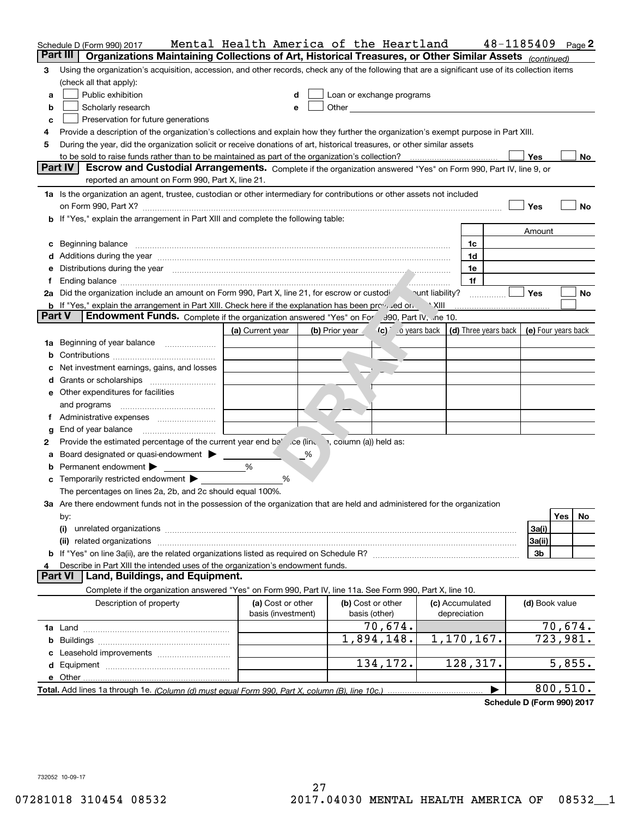|               | Schedule D (Form 990) 2017                                                                                                                                                                                                     | Mental Health America of the Heartland |   |                |                                                                                                                                                                                                                                |                                       |                 | 48-1185409     | Page 2              |
|---------------|--------------------------------------------------------------------------------------------------------------------------------------------------------------------------------------------------------------------------------|----------------------------------------|---|----------------|--------------------------------------------------------------------------------------------------------------------------------------------------------------------------------------------------------------------------------|---------------------------------------|-----------------|----------------|---------------------|
| Part III      | Organizations Maintaining Collections of Art, Historical Treasures, or Other Similar Assets (continued)                                                                                                                        |                                        |   |                |                                                                                                                                                                                                                                |                                       |                 |                |                     |
| 3             | Using the organization's acquisition, accession, and other records, check any of the following that are a significant use of its collection items                                                                              |                                        |   |                |                                                                                                                                                                                                                                |                                       |                 |                |                     |
|               | (check all that apply):                                                                                                                                                                                                        |                                        |   |                |                                                                                                                                                                                                                                |                                       |                 |                |                     |
| a             | Public exhibition                                                                                                                                                                                                              | d                                      |   |                | Loan or exchange programs                                                                                                                                                                                                      |                                       |                 |                |                     |
| b             | Scholarly research                                                                                                                                                                                                             | e                                      |   |                | Other the contract of the contract of the contract of the contract of the contract of the contract of the contract of the contract of the contract of the contract of the contract of the contract of the contract of the cont |                                       |                 |                |                     |
| с             | Preservation for future generations                                                                                                                                                                                            |                                        |   |                |                                                                                                                                                                                                                                |                                       |                 |                |                     |
| 4             | Provide a description of the organization's collections and explain how they further the organization's exempt purpose in Part XIII.                                                                                           |                                        |   |                |                                                                                                                                                                                                                                |                                       |                 |                |                     |
| 5             | During the year, did the organization solicit or receive donations of art, historical treasures, or other similar assets                                                                                                       |                                        |   |                |                                                                                                                                                                                                                                |                                       |                 |                |                     |
|               |                                                                                                                                                                                                                                |                                        |   |                |                                                                                                                                                                                                                                |                                       |                 | Yes            | No                  |
|               | <b>Part IV</b><br>Escrow and Custodial Arrangements. Complete if the organization answered "Yes" on Form 990, Part IV, line 9, or                                                                                              |                                        |   |                |                                                                                                                                                                                                                                |                                       |                 |                |                     |
|               | reported an amount on Form 990, Part X, line 21.                                                                                                                                                                               |                                        |   |                |                                                                                                                                                                                                                                |                                       |                 |                |                     |
|               | 1a Is the organization an agent, trustee, custodian or other intermediary for contributions or other assets not included                                                                                                       |                                        |   |                |                                                                                                                                                                                                                                |                                       |                 |                |                     |
|               | on Form 990, Part X? [11] matter and the contract of the contract of the contract of the contract of the contract of the contract of the contract of the contract of the contract of the contract of the contract of the contr |                                        |   |                |                                                                                                                                                                                                                                |                                       |                 | Yes            | No                  |
| b             | If "Yes," explain the arrangement in Part XIII and complete the following table:                                                                                                                                               |                                        |   |                |                                                                                                                                                                                                                                |                                       |                 |                |                     |
|               |                                                                                                                                                                                                                                |                                        |   |                |                                                                                                                                                                                                                                |                                       |                 | Amount         |                     |
| с             | Beginning balance manufactured and contain an account of the state of the state of the state of the state of the state of the state of the state of the state of the state of the state of the state of the state of the state |                                        |   |                |                                                                                                                                                                                                                                |                                       | 1c              |                |                     |
| d             | Additions during the year manufactured and an annual contract of the year manufactured and all the year manufactured and all the year manufactured and all the year manufactured and all the year manufactured and all the yea |                                        |   |                |                                                                                                                                                                                                                                |                                       | 1d              |                |                     |
| е             | Distributions during the year manufactured and continuum and contact the year manufactured and contact the year                                                                                                                |                                        |   |                |                                                                                                                                                                                                                                |                                       | 1e              |                |                     |
| f             | Ending balance manufactured and a control of the control of the control of the control of the control of the control of the control of the control of the control of the control of the control of the control of the control  |                                        |   |                |                                                                                                                                                                                                                                |                                       | 1f              |                |                     |
|               | 2a Did the organization include an amount on Form 990, Part X, line 21, for escrow or custodi                                                                                                                                  |                                        |   |                |                                                                                                                                                                                                                                | ount liability?                       | .               | Yes            | No                  |
| <b>Part V</b> | <b>b</b> If "Yes," explain the arrangement in Part XIII. Check here if the explanation has been promoted on<br>Endowment Funds. Complete if the organization answered "Yes" on For 390. Part IV, ne 10.                        |                                        |   |                |                                                                                                                                                                                                                                | $\mathbf{X}$                          |                 |                |                     |
|               |                                                                                                                                                                                                                                |                                        |   |                |                                                                                                                                                                                                                                |                                       |                 |                |                     |
|               |                                                                                                                                                                                                                                | (a) Current year                       |   | (b) Prior year |                                                                                                                                                                                                                                | (c) o years back (d) Three years back |                 |                | (e) Four years back |
| 1a            | Beginning of year balance                                                                                                                                                                                                      |                                        |   |                |                                                                                                                                                                                                                                |                                       |                 |                |                     |
| b             |                                                                                                                                                                                                                                |                                        |   |                |                                                                                                                                                                                                                                |                                       |                 |                |                     |
|               | Net investment earnings, gains, and losses                                                                                                                                                                                     |                                        |   |                |                                                                                                                                                                                                                                |                                       |                 |                |                     |
| d             |                                                                                                                                                                                                                                |                                        |   |                |                                                                                                                                                                                                                                |                                       |                 |                |                     |
|               | e Other expenditures for facilities                                                                                                                                                                                            |                                        |   |                |                                                                                                                                                                                                                                |                                       |                 |                |                     |
|               | and programs                                                                                                                                                                                                                   |                                        |   |                |                                                                                                                                                                                                                                |                                       |                 |                |                     |
| 1.            | End of year balance                                                                                                                                                                                                            |                                        |   |                |                                                                                                                                                                                                                                |                                       |                 |                |                     |
| g<br>2        | Provide the estimated percentage of the current year end ba' ce (line ), column (a)) held as:                                                                                                                                  |                                        |   |                |                                                                                                                                                                                                                                |                                       |                 |                |                     |
| а             | Board designated or quasi-endowment > ____                                                                                                                                                                                     |                                        | % |                |                                                                                                                                                                                                                                |                                       |                 |                |                     |
| b             | Permanent endowment                                                                                                                                                                                                            | $\frac{0}{0}$                          |   |                |                                                                                                                                                                                                                                |                                       |                 |                |                     |
| c             | Temporarily restricted endowment                                                                                                                                                                                               | %                                      |   |                |                                                                                                                                                                                                                                |                                       |                 |                |                     |
|               | The percentages on lines 2a, 2b, and 2c should equal 100%.                                                                                                                                                                     |                                        |   |                |                                                                                                                                                                                                                                |                                       |                 |                |                     |
|               | 3a Are there endowment funds not in the possession of the organization that are held and administered for the organization                                                                                                     |                                        |   |                |                                                                                                                                                                                                                                |                                       |                 |                |                     |
|               | by:                                                                                                                                                                                                                            |                                        |   |                |                                                                                                                                                                                                                                |                                       |                 |                | Yes<br>No           |
|               | (i)                                                                                                                                                                                                                            |                                        |   |                |                                                                                                                                                                                                                                |                                       |                 | 3a(i)          |                     |
|               | (ii) related organizations                                                                                                                                                                                                     |                                        |   |                |                                                                                                                                                                                                                                |                                       |                 | 3a(ii)         |                     |
|               |                                                                                                                                                                                                                                |                                        |   |                |                                                                                                                                                                                                                                |                                       |                 | 3b             |                     |
|               | Describe in Part XIII the intended uses of the organization's endowment funds.                                                                                                                                                 |                                        |   |                |                                                                                                                                                                                                                                |                                       |                 |                |                     |
|               | <b>Part VI</b><br>Land, Buildings, and Equipment.                                                                                                                                                                              |                                        |   |                |                                                                                                                                                                                                                                |                                       |                 |                |                     |
|               | Complete if the organization answered "Yes" on Form 990, Part IV, line 11a. See Form 990, Part X, line 10.                                                                                                                     |                                        |   |                |                                                                                                                                                                                                                                |                                       |                 |                |                     |
|               | Description of property                                                                                                                                                                                                        | (a) Cost or other                      |   |                | (b) Cost or other                                                                                                                                                                                                              |                                       | (c) Accumulated | (d) Book value |                     |
|               |                                                                                                                                                                                                                                | basis (investment)                     |   |                | basis (other)                                                                                                                                                                                                                  |                                       | depreciation    |                |                     |
|               |                                                                                                                                                                                                                                |                                        |   |                | 70,674.                                                                                                                                                                                                                        |                                       |                 |                | 70,674.             |
| b             |                                                                                                                                                                                                                                |                                        |   |                | 1,894,148.                                                                                                                                                                                                                     |                                       | 1,170,167.      |                | 723,981.            |
|               |                                                                                                                                                                                                                                |                                        |   |                |                                                                                                                                                                                                                                |                                       |                 |                |                     |
|               |                                                                                                                                                                                                                                |                                        |   |                | 134,172.                                                                                                                                                                                                                       |                                       | 128, 317.       |                | 5,855.              |
|               |                                                                                                                                                                                                                                |                                        |   |                |                                                                                                                                                                                                                                |                                       |                 |                |                     |
|               |                                                                                                                                                                                                                                |                                        |   |                |                                                                                                                                                                                                                                |                                       |                 |                | 800, 510.           |

**Schedule D (Form 990) 2017**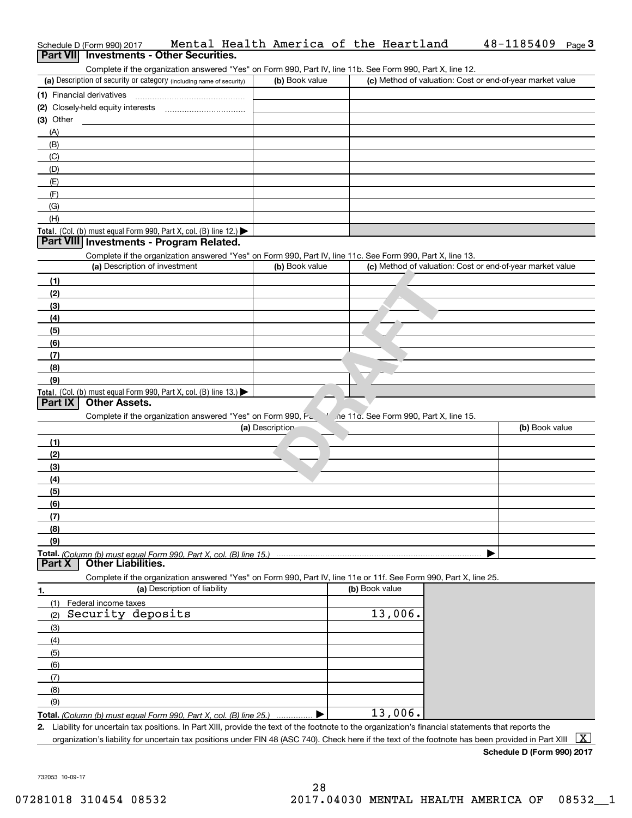| <b>Part VIII</b> | Schedule D (Form 990) 2017<br><b>Investments - Other Securities.</b>                                                                                                                                                                                                                                       |                              |                 | Mental Health America of the Heartland |                |         |                                        | $48 - 1185409$ Page 3                                     |   |
|------------------|------------------------------------------------------------------------------------------------------------------------------------------------------------------------------------------------------------------------------------------------------------------------------------------------------------|------------------------------|-----------------|----------------------------------------|----------------|---------|----------------------------------------|-----------------------------------------------------------|---|
|                  | Complete if the organization answered "Yes" on Form 990, Part IV, line 11b. See Form 990, Part X, line 12.                                                                                                                                                                                                 |                              |                 |                                        |                |         |                                        |                                                           |   |
|                  | (a) Description of security or category (including name of security)                                                                                                                                                                                                                                       |                              |                 | (b) Book value                         |                |         |                                        | (c) Method of valuation: Cost or end-of-year market value |   |
|                  | (1) Financial derivatives                                                                                                                                                                                                                                                                                  |                              |                 |                                        |                |         |                                        |                                                           |   |
|                  | (2) Closely-held equity interests                                                                                                                                                                                                                                                                          |                              |                 |                                        |                |         |                                        |                                                           |   |
| (3) Other        |                                                                                                                                                                                                                                                                                                            |                              |                 |                                        |                |         |                                        |                                                           |   |
| (A)              |                                                                                                                                                                                                                                                                                                            |                              |                 |                                        |                |         |                                        |                                                           |   |
| (B)              |                                                                                                                                                                                                                                                                                                            |                              |                 |                                        |                |         |                                        |                                                           |   |
| (C)<br>(D)       |                                                                                                                                                                                                                                                                                                            |                              |                 |                                        |                |         |                                        |                                                           |   |
| (E)              |                                                                                                                                                                                                                                                                                                            |                              |                 |                                        |                |         |                                        |                                                           |   |
| (F)              |                                                                                                                                                                                                                                                                                                            |                              |                 |                                        |                |         |                                        |                                                           |   |
| (G)              |                                                                                                                                                                                                                                                                                                            |                              |                 |                                        |                |         |                                        |                                                           |   |
| (H)              |                                                                                                                                                                                                                                                                                                            |                              |                 |                                        |                |         |                                        |                                                           |   |
|                  | Total. (Col. (b) must equal Form 990, Part X, col. (B) line 12.) $\blacktriangleright$                                                                                                                                                                                                                     |                              |                 |                                        |                |         |                                        |                                                           |   |
|                  | Part VIII Investments - Program Related.                                                                                                                                                                                                                                                                   |                              |                 |                                        |                |         |                                        |                                                           |   |
|                  | Complete if the organization answered "Yes" on Form 990, Part IV, line 11c. See Form 990, Part X, line 13.                                                                                                                                                                                                 |                              |                 |                                        |                |         |                                        |                                                           |   |
|                  | (a) Description of investment                                                                                                                                                                                                                                                                              |                              |                 | (b) Book value                         |                |         |                                        | (c) Method of valuation: Cost or end-of-year market value |   |
| (1)              |                                                                                                                                                                                                                                                                                                            |                              |                 |                                        |                |         |                                        |                                                           |   |
| (2)              |                                                                                                                                                                                                                                                                                                            |                              |                 |                                        |                |         |                                        |                                                           |   |
| (3)              |                                                                                                                                                                                                                                                                                                            |                              |                 |                                        |                |         |                                        |                                                           |   |
| (4)              |                                                                                                                                                                                                                                                                                                            |                              |                 |                                        |                |         |                                        |                                                           |   |
| (5)              |                                                                                                                                                                                                                                                                                                            |                              |                 |                                        |                |         |                                        |                                                           |   |
| (6)              |                                                                                                                                                                                                                                                                                                            |                              |                 |                                        |                |         |                                        |                                                           |   |
| (7)              |                                                                                                                                                                                                                                                                                                            |                              |                 |                                        |                |         |                                        |                                                           |   |
| (8)              |                                                                                                                                                                                                                                                                                                            |                              |                 |                                        |                |         |                                        |                                                           |   |
| (9)<br>Part IX   | Total. (Col. (b) must equal Form 990, Part X, col. (B) line 13.) $\blacktriangleright$<br><b>Other Assets.</b>                                                                                                                                                                                             |                              |                 |                                        |                |         |                                        |                                                           |   |
|                  | Complete if the organization answered "Yes" on Form 990, Pa                                                                                                                                                                                                                                                |                              |                 |                                        |                |         | ne 11a. See Form 990, Part X, line 15. |                                                           |   |
|                  |                                                                                                                                                                                                                                                                                                            |                              | (a) Description |                                        |                |         |                                        | (b) Book value                                            |   |
| (1)              |                                                                                                                                                                                                                                                                                                            |                              |                 |                                        |                |         |                                        |                                                           |   |
| (2)              |                                                                                                                                                                                                                                                                                                            |                              |                 |                                        |                |         |                                        |                                                           |   |
| (3)<br>(4)       |                                                                                                                                                                                                                                                                                                            |                              |                 |                                        |                |         |                                        |                                                           |   |
| (5)              |                                                                                                                                                                                                                                                                                                            |                              |                 |                                        |                |         |                                        |                                                           |   |
| (6)              |                                                                                                                                                                                                                                                                                                            |                              |                 |                                        |                |         |                                        |                                                           |   |
| (7)              |                                                                                                                                                                                                                                                                                                            |                              |                 |                                        |                |         |                                        |                                                           |   |
| (8)              |                                                                                                                                                                                                                                                                                                            |                              |                 |                                        |                |         |                                        |                                                           |   |
| (9)              |                                                                                                                                                                                                                                                                                                            |                              |                 |                                        |                |         |                                        |                                                           |   |
|                  | Total. (Column (b) must equal Form 990. Part X. col. (B) line 15.)                                                                                                                                                                                                                                         |                              |                 |                                        |                |         |                                        |                                                           |   |
| Part X           | <b>Other Liabilities.</b>                                                                                                                                                                                                                                                                                  |                              |                 |                                        |                |         |                                        |                                                           |   |
|                  | Complete if the organization answered "Yes" on Form 990, Part IV, line 11e or 11f. See Form 990, Part X, line 25.                                                                                                                                                                                          |                              |                 |                                        |                |         |                                        |                                                           |   |
| 1.               |                                                                                                                                                                                                                                                                                                            | (a) Description of liability |                 |                                        | (b) Book value |         |                                        |                                                           |   |
| (1)              | Federal income taxes                                                                                                                                                                                                                                                                                       |                              |                 |                                        |                |         |                                        |                                                           |   |
| (2)              | Security deposits                                                                                                                                                                                                                                                                                          |                              |                 |                                        |                | 13,006. |                                        |                                                           |   |
| (3)              |                                                                                                                                                                                                                                                                                                            |                              |                 |                                        |                |         |                                        |                                                           |   |
| (4)              |                                                                                                                                                                                                                                                                                                            |                              |                 |                                        |                |         |                                        |                                                           |   |
| (5)              |                                                                                                                                                                                                                                                                                                            |                              |                 |                                        |                |         |                                        |                                                           |   |
| (6)              |                                                                                                                                                                                                                                                                                                            |                              |                 |                                        |                |         |                                        |                                                           |   |
| (7)              |                                                                                                                                                                                                                                                                                                            |                              |                 |                                        |                |         |                                        |                                                           |   |
| (8)              |                                                                                                                                                                                                                                                                                                            |                              |                 |                                        |                |         |                                        |                                                           |   |
| (9)              |                                                                                                                                                                                                                                                                                                            |                              |                 |                                        |                |         |                                        |                                                           |   |
|                  | Total. (Column (b) must equal Form 990, Part X, col. (B) line 25.)                                                                                                                                                                                                                                         |                              |                 |                                        |                | 13,006. |                                        |                                                           |   |
|                  | 2. Liability for uncertain tax positions. In Part XIII, provide the text of the footnote to the organization's financial statements that reports the<br>organization's liability for uncertain tax positions under FIN 48 (ASC 740). Check here if the text of the footnote has been provided in Part XIII |                              |                 |                                        |                |         |                                        |                                                           | X |

**Schedule D (Form 990) 2017**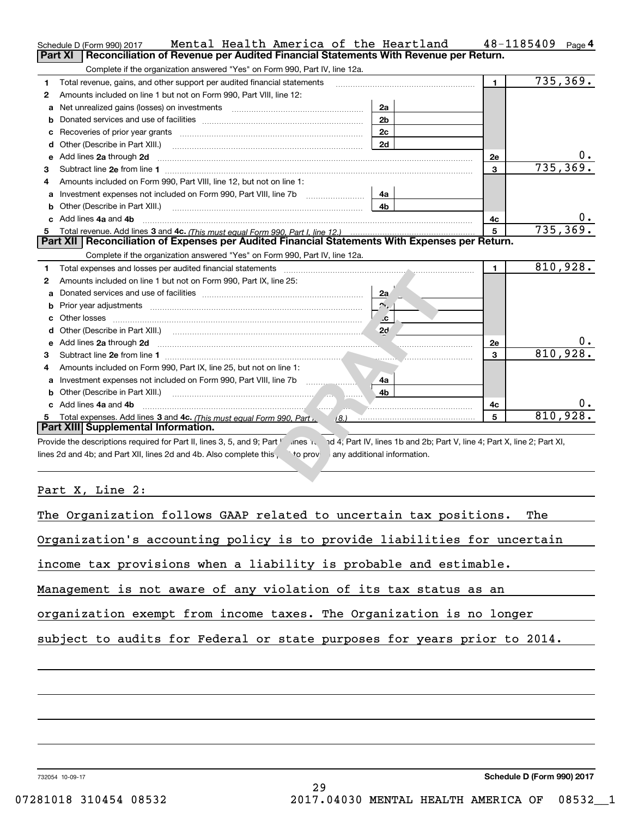|   | Mental Health America of the Heartland<br>Schedule D (Form 990) 2017                                                                                                                                                           |                                                                          |                | 48-1185409<br>Page 4 |
|---|--------------------------------------------------------------------------------------------------------------------------------------------------------------------------------------------------------------------------------|--------------------------------------------------------------------------|----------------|----------------------|
|   | Reconciliation of Revenue per Audited Financial Statements With Revenue per Return.<br><b>Part XI</b>                                                                                                                          |                                                                          |                |                      |
|   | Complete if the organization answered "Yes" on Form 990, Part IV, line 12a.                                                                                                                                                    |                                                                          |                |                      |
| 1 | Total revenue, gains, and other support per audited financial statements                                                                                                                                                       |                                                                          | $\blacksquare$ | 735,369.             |
| 2 | Amounts included on line 1 but not on Form 990, Part VIII, line 12:                                                                                                                                                            |                                                                          |                |                      |
| a |                                                                                                                                                                                                                                | 2a                                                                       |                |                      |
| b |                                                                                                                                                                                                                                | 2 <sub>b</sub>                                                           |                |                      |
| с |                                                                                                                                                                                                                                | 2 <sub>c</sub>                                                           |                |                      |
| d | Other (Describe in Part XIII.)                                                                                                                                                                                                 | 2d                                                                       |                |                      |
| е | Add lines 2a through 2d                                                                                                                                                                                                        |                                                                          | 2e             |                      |
| 3 |                                                                                                                                                                                                                                |                                                                          | 3              | 735, 369.            |
| 4 | Amounts included on Form 990, Part VIII, line 12, but not on line 1:                                                                                                                                                           |                                                                          |                |                      |
| a |                                                                                                                                                                                                                                | 4a                                                                       |                |                      |
| b | Other (Describe in Part XIII.)                                                                                                                                                                                                 | 4b                                                                       |                |                      |
|   | Add lines 4a and 4b                                                                                                                                                                                                            |                                                                          | 4c             |                      |
| 5 |                                                                                                                                                                                                                                |                                                                          | 5              | 735, 369.            |
|   | Part XII   Reconciliation of Expenses per Audited Financial Statements With Expenses per Return.                                                                                                                               |                                                                          |                |                      |
|   | Complete if the organization answered "Yes" on Form 990, Part IV, line 12a.                                                                                                                                                    |                                                                          |                |                      |
| 1 |                                                                                                                                                                                                                                |                                                                          | $\mathbf{1}$   | 810,928.             |
| 2 | Amounts included on line 1 but not on Form 990, Part IX, line 25:                                                                                                                                                              |                                                                          |                |                      |
| a |                                                                                                                                                                                                                                | 2a                                                                       |                |                      |
| b |                                                                                                                                                                                                                                | 2.1                                                                      |                |                      |
|   | Other losses                                                                                                                                                                                                                   | $\overline{\mathbf{c}}$                                                  |                |                      |
|   | Other (Describe in Part XIII.) (Contract and Contract and Contract and Contract and Contract and Contract and Contract and Contract and Contract and Contract and Contract and Contract and Contract and Contract and Contract | 2d                                                                       |                |                      |
| е | Add lines 2a through 2d                                                                                                                                                                                                        |                                                                          | 2e             |                      |
| з |                                                                                                                                                                                                                                |                                                                          | 3              | 810,928              |
| 4 | Amounts included on Form 990, Part IX, line 25, but not on line 1:                                                                                                                                                             |                                                                          |                |                      |
| a | Investment expenses not included on Form 990, Part VIII, line 7b                                                                                                                                                               | 4a                                                                       |                |                      |
| b | Other (Describe in Part XIII.)                                                                                                                                                                                                 | 4b                                                                       |                |                      |
|   | c Add lines 4a and 4b                                                                                                                                                                                                          |                                                                          | 4с             |                      |
| 5 | Total expenses. Add lines 3 and 4c. (This must equal Form 990. Part                                                                                                                                                            |                                                                          | 5              | 810,928.             |
|   | Part XIII Supplemental Information.                                                                                                                                                                                            |                                                                          |                |                      |
|   | Provide the descriptions required for Part II, lines 3, 5, and 9; Part I' and s                                                                                                                                                | nd 4; Part IV, lines 1b and 2b; Part V, line 4; Part X, line 2; Part XI, |                |                      |
|   | lines 2d and 4b; and Part XII, lines 2d and 4b. Also complete this<br>to provi                                                                                                                                                 | any additional information.                                              |                |                      |
|   |                                                                                                                                                                                                                                |                                                                          |                |                      |
|   |                                                                                                                                                                                                                                |                                                                          |                |                      |

# Part X, Line 2:

| The Organization follows GAAP related to uncertain tax positions.<br>The |
|--------------------------------------------------------------------------|
| Organization's accounting policy is to provide liabilities for uncertain |
| income tax provisions when a liability is probable and estimable.        |
| Management is not aware of any violation of its tax status as an         |
| organization exempt from income taxes. The Organization is no longer     |
| subject to audits for Federal or state purposes for years prior to 2014. |
|                                                                          |
|                                                                          |
|                                                                          |
|                                                                          |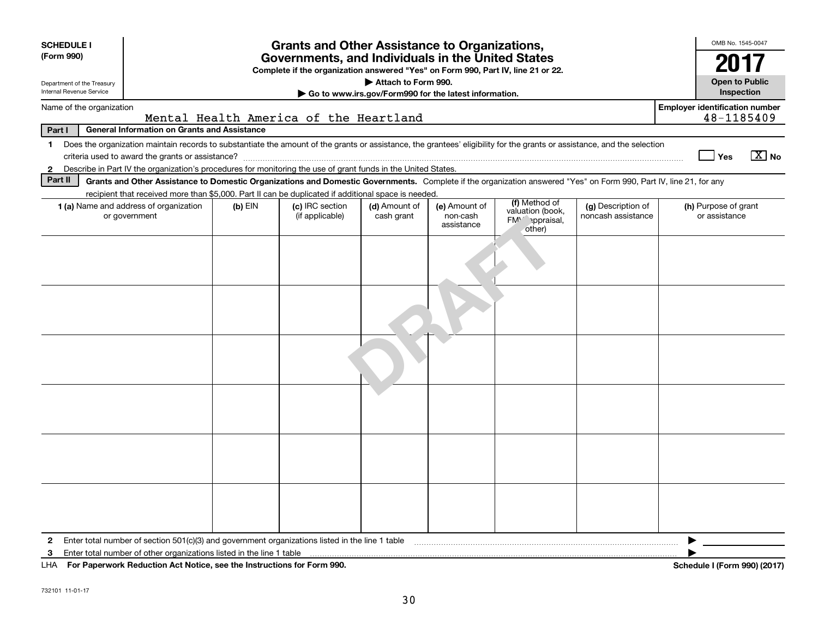| <b>SCHEDULE I</b><br>(Form 990)<br>Department of the Treasury |                                                                                                                                                                          |           | OMB No. 1545-0047<br>201<br><b>Open to Public</b> |                                                       |                                         |                                                                          |                                          |                                                     |                       |
|---------------------------------------------------------------|--------------------------------------------------------------------------------------------------------------------------------------------------------------------------|-----------|---------------------------------------------------|-------------------------------------------------------|-----------------------------------------|--------------------------------------------------------------------------|------------------------------------------|-----------------------------------------------------|-----------------------|
| Internal Revenue Service                                      |                                                                                                                                                                          |           |                                                   | Go to www.irs.gov/Form990 for the latest information. |                                         |                                                                          |                                          | Inspection                                          |                       |
| Name of the organization                                      |                                                                                                                                                                          |           | Mental Health America of the Heartland            |                                                       |                                         |                                                                          |                                          | <b>Employer identification number</b><br>48-1185409 |                       |
| Part I                                                        | <b>General Information on Grants and Assistance</b>                                                                                                                      |           |                                                   |                                                       |                                         |                                                                          |                                          |                                                     |                       |
| 1                                                             | Does the organization maintain records to substantiate the amount of the grants or assistance, the grantees' eligibility for the grants or assistance, and the selection |           |                                                   |                                                       |                                         |                                                                          |                                          | <b>Nes</b>                                          | $\boxed{\text{X}}$ No |
| $\mathbf{2}$                                                  | Describe in Part IV the organization's procedures for monitoring the use of grant funds in the United States.                                                            |           |                                                   |                                                       |                                         |                                                                          |                                          |                                                     |                       |
| Part II                                                       | Grants and Other Assistance to Domestic Organizations and Domestic Governments. Complete if the organization answered "Yes" on Form 990, Part IV, line 21, for any       |           |                                                   |                                                       |                                         |                                                                          |                                          |                                                     |                       |
|                                                               | recipient that received more than \$5,000. Part II can be duplicated if additional space is needed.                                                                      |           |                                                   |                                                       |                                         |                                                                          |                                          |                                                     |                       |
|                                                               | 1 (a) Name and address of organization<br>or government                                                                                                                  | $(b)$ EIN | (c) IRC section<br>(if applicable)                | (d) Amount of<br>cash grant                           | (e) Amount of<br>non-cash<br>assistance | (f) Method of<br>valuation (book,<br>FM <sup>N</sup> ppraisal,<br>other) | (g) Description of<br>noncash assistance | (h) Purpose of grant<br>or assistance               |                       |
|                                                               |                                                                                                                                                                          |           |                                                   |                                                       |                                         |                                                                          |                                          |                                                     |                       |
|                                                               |                                                                                                                                                                          |           |                                                   |                                                       |                                         |                                                                          |                                          |                                                     |                       |
|                                                               |                                                                                                                                                                          |           |                                                   |                                                       |                                         |                                                                          |                                          |                                                     |                       |
|                                                               |                                                                                                                                                                          |           |                                                   |                                                       |                                         |                                                                          |                                          |                                                     |                       |
|                                                               |                                                                                                                                                                          |           |                                                   |                                                       |                                         |                                                                          |                                          |                                                     |                       |
|                                                               |                                                                                                                                                                          |           |                                                   |                                                       |                                         |                                                                          |                                          |                                                     |                       |
| $\mathbf{2}$<br>3                                             | Enter total number of section 501(c)(3) and government organizations listed in the line 1 table<br>Enter total number of other organizations listed in the line 1 table  |           |                                                   |                                                       |                                         |                                                                          |                                          |                                                     |                       |
|                                                               | LHA For Paperwork Reduction Act Notice, see the Instructions for Form 990.                                                                                               |           |                                                   |                                                       |                                         |                                                                          |                                          | Schedule I (Form 990) (2017)                        |                       |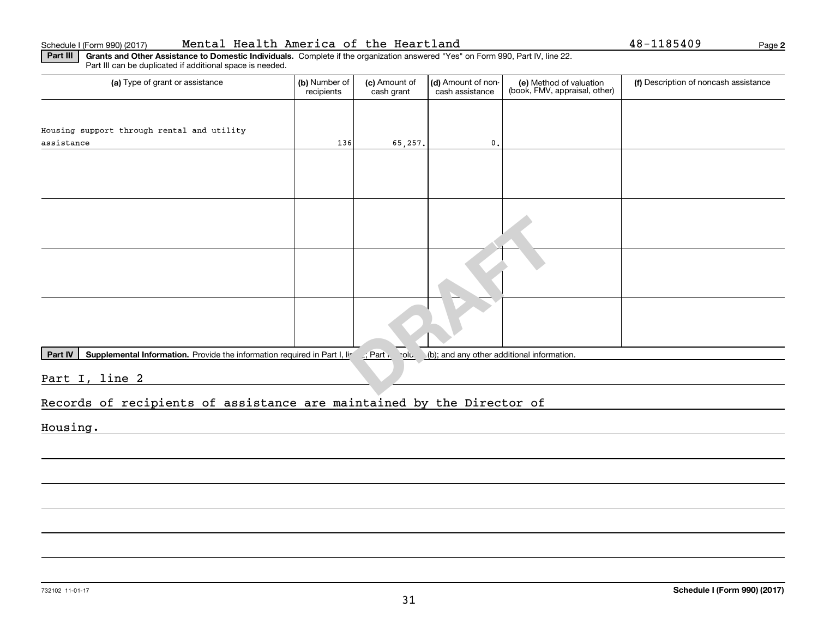### Schedule I (Form 990) (2017) **Mental Health America of the Heartland 48-1185409** Page

**2**

**Part III | Grants and Other Assistance to Domestic Individuals. Complete if the organization answered "Yes" on Form 990, Part IV, line 22.** Part III can be duplicated if additional space is needed.

| (a) Type of grant or assistance                                                      | (b) Number of<br>recipients | (c) Amount of<br>cash grant | (d) Amount of non-<br>cash assistance      | (e) Method of valuation<br>(book, FMV, appraisal, other) | (f) Description of noncash assistance |
|--------------------------------------------------------------------------------------|-----------------------------|-----------------------------|--------------------------------------------|----------------------------------------------------------|---------------------------------------|
|                                                                                      |                             |                             |                                            |                                                          |                                       |
| Housing support through rental and utility                                           |                             |                             |                                            |                                                          |                                       |
| assistance                                                                           | 136                         | 65,257.                     | $\mathfrak o$ .                            |                                                          |                                       |
|                                                                                      |                             |                             |                                            |                                                          |                                       |
|                                                                                      |                             |                             |                                            |                                                          |                                       |
|                                                                                      |                             |                             |                                            |                                                          |                                       |
|                                                                                      |                             |                             |                                            |                                                          |                                       |
|                                                                                      |                             |                             |                                            |                                                          |                                       |
|                                                                                      |                             |                             |                                            |                                                          |                                       |
|                                                                                      |                             |                             |                                            |                                                          |                                       |
|                                                                                      |                             |                             |                                            |                                                          |                                       |
|                                                                                      |                             |                             |                                            |                                                          |                                       |
|                                                                                      |                             |                             |                                            |                                                          |                                       |
|                                                                                      |                             |                             |                                            |                                                          |                                       |
|                                                                                      |                             |                             |                                            |                                                          |                                       |
| Supplemental Information. Provide the information required in Part I, lir<br>Part IV |                             | . Part in olu               | (b); and any other additional information. |                                                          |                                       |
| Part I, line 2                                                                       |                             |                             |                                            |                                                          |                                       |

Records of recipients of assistance are maintained by the Director of

Housing.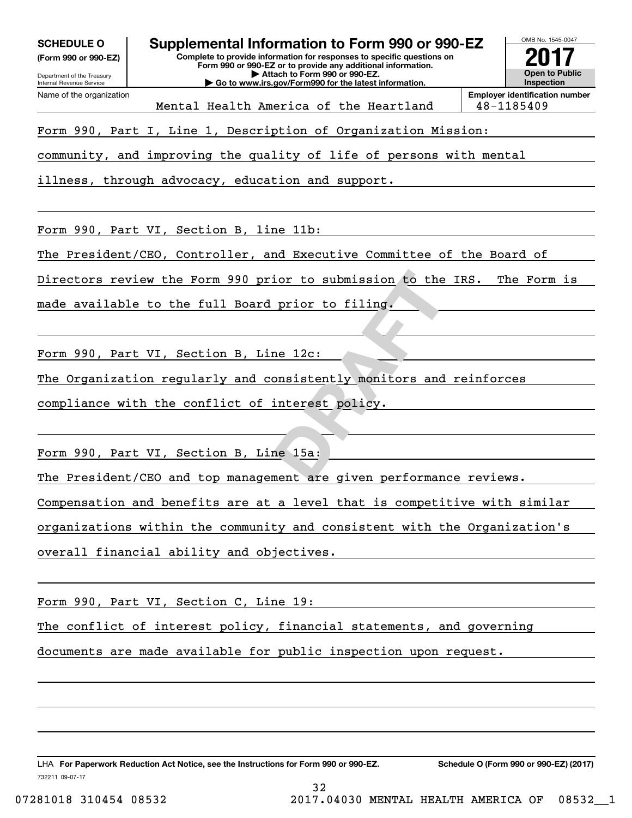| <b>SCHEDULE O</b> |  |
|-------------------|--|
|                   |  |

**(Form 990 or 990-EZ)**

## **Complete to provide information for responses to specific questions on Form 990 or 990-EZ or to provide any additional information. | Attach to Form 990 or 990-EZ. | Go to www.irs.gov/Form990 for the latest information. Supplemental Information to Form 990 or 990-EZ**



Mental Health America of the Heartland | 48-1185409

Form 990, Part I, Line 1, Description of Organization Mission:

community, and improving the quality of life of persons with mental

illness, through advocacy, education and support.

Form 990, Part VI, Section B, line 11b:

The President/CEO, Controller, and Executive Committee of the Board of

ior to submission t<u>o the prior to filing.<br>
me 12c:<br>
onsistently monitors and<br>
interest policy.<br>
me 1<u>5a</u>:<br>
ment are given performand</u> Directors review the Form 990 prior to submission to the IRS. The Form is

made available to the full Board prior to filing.

Form 990, Part VI, Section B, Line 12c:

The Organization regularly and consistently monitors and reinforces

compliance with the conflict of interest policy.

Form 990, Part VI, Section B, Line 15a:

The President/CEO and top management are given performance reviews.

Compensation and benefits are at a level that is competitive with similar

organizations within the community and consistent with the Organization's

32

overall financial ability and objectives.

Form 990, Part VI, Section C, Line 19:

The conflict of interest policy, financial statements, and governing

documents are made available for public inspection upon request.

732211 09-07-17 LHA For Paperwork Reduction Act Notice, see the Instructions for Form 990 or 990-EZ. Schedule O (Form 990 or 990-EZ) (2017)

07281018 310454 08532 2017.04030 MENTAL HEALTH AMERICA OF 08532 1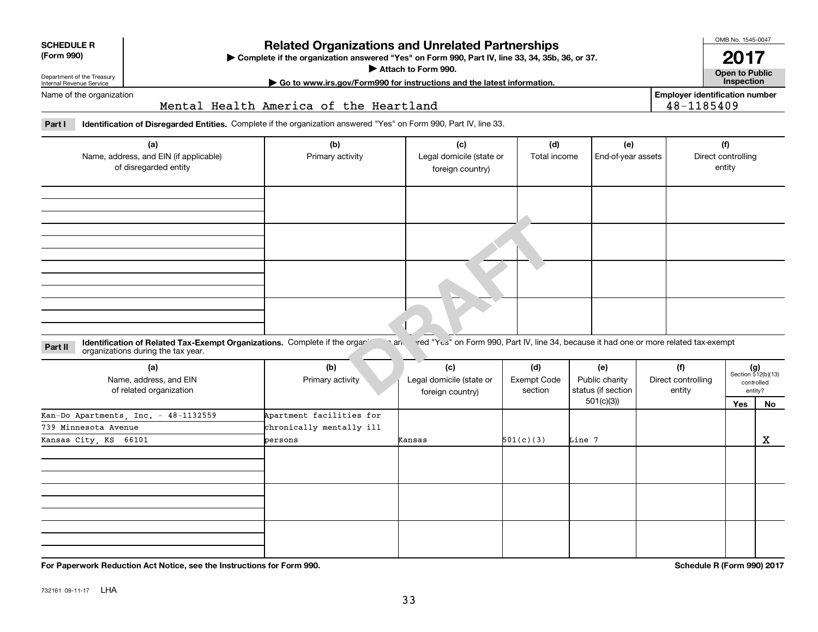## **SCHEDULE R (Form 990)**

## **Related Organizations and Unrelated Partnerships**

**Complete if the organization answered "Yes" on Form 990, Part IV, line 33, 34, 35b, 36, or 37.** |

**Attach to Form 990.**  |

OMB No. 1545-0047

**Open to Public | Go to www.irs.gov/Form990 for instructions and the latest information. Inspection 2017**

**Employer identification number**

48-1185409

Department of the Treasury Internal Revenue Service Name of the organization

Mental Health America of the Heartland

**Part I Identification of Disregarded Entities.**  Complete if the organization answered "Yes" on Form 990, Part IV, line 33.

| (a)<br>Name, address, and EIN (if applicable)<br>of disregarded entity                                                      | (b)<br>Primary activity | (c)<br>Legal domicile (state or<br>foreign country)                                        | (d)<br>Total income           | (e)<br>End-of-year assets                   |                                     | (f)<br>Direct controlling<br>entity                  |
|-----------------------------------------------------------------------------------------------------------------------------|-------------------------|--------------------------------------------------------------------------------------------|-------------------------------|---------------------------------------------|-------------------------------------|------------------------------------------------------|
|                                                                                                                             |                         |                                                                                            |                               |                                             |                                     |                                                      |
|                                                                                                                             |                         |                                                                                            |                               |                                             |                                     |                                                      |
|                                                                                                                             |                         |                                                                                            |                               |                                             |                                     |                                                      |
|                                                                                                                             |                         |                                                                                            |                               |                                             |                                     |                                                      |
| Identification of Related Tax-Exempt Organizations. Complete if the organi<br>Part II<br>organizations during the tax year. |                         | an. ved "Yes" on Form 990, Part IV, line 34, because it had one or more related tax-exempt |                               |                                             |                                     |                                                      |
| (a)<br>Name, address, and EIN<br>of related organization                                                                    | (b)<br>Primary activity | (c)<br>Legal domicile (state or<br>foreign country)                                        | (d)<br>Exempt Code<br>section | (e)<br>Public charity<br>status (if section | (f)<br>Direct controlling<br>entity | $(g)$<br>Section 512(b)(13)<br>controlled<br>entity? |

| (a)<br>Name, address, and EIN<br>of related organization | (b)<br>Primary activity  | (c)<br>Legal domicile (state or<br>foreign country) | (d)<br><b>Exempt Code</b><br>section | (e)<br>Public charity<br>status (if section | (f)<br>Direct controlling<br>entity |     | $(g)$<br>Section 512(b)(13)<br>controlled<br>entity? |
|----------------------------------------------------------|--------------------------|-----------------------------------------------------|--------------------------------------|---------------------------------------------|-------------------------------------|-----|------------------------------------------------------|
|                                                          |                          |                                                     |                                      | 501(c)(3))                                  |                                     | Yes | No                                                   |
| Kan-Do Apartments, Inc. - 48-1132559                     | Apartment facilities for |                                                     |                                      |                                             |                                     |     |                                                      |
| 739 Minnesota Avenue                                     | chronically mentally ill |                                                     |                                      |                                             |                                     |     |                                                      |
| Kansas City, KS 66101                                    | persons                  | Kansas                                              | 501(c)(3)                            | Line 7                                      |                                     |     | X                                                    |
|                                                          |                          |                                                     |                                      |                                             |                                     |     |                                                      |
|                                                          |                          |                                                     |                                      |                                             |                                     |     |                                                      |
|                                                          |                          |                                                     |                                      |                                             |                                     |     |                                                      |
|                                                          |                          |                                                     |                                      |                                             |                                     |     |                                                      |
|                                                          |                          |                                                     |                                      |                                             |                                     |     |                                                      |
|                                                          |                          |                                                     |                                      |                                             |                                     |     |                                                      |
|                                                          |                          |                                                     |                                      |                                             |                                     |     |                                                      |
|                                                          |                          |                                                     |                                      |                                             |                                     |     |                                                      |
|                                                          |                          |                                                     |                                      |                                             |                                     |     |                                                      |

**For Paperwork Reduction Act Notice, see the Instructions for Form 990. Schedule R (Form 990) 2017**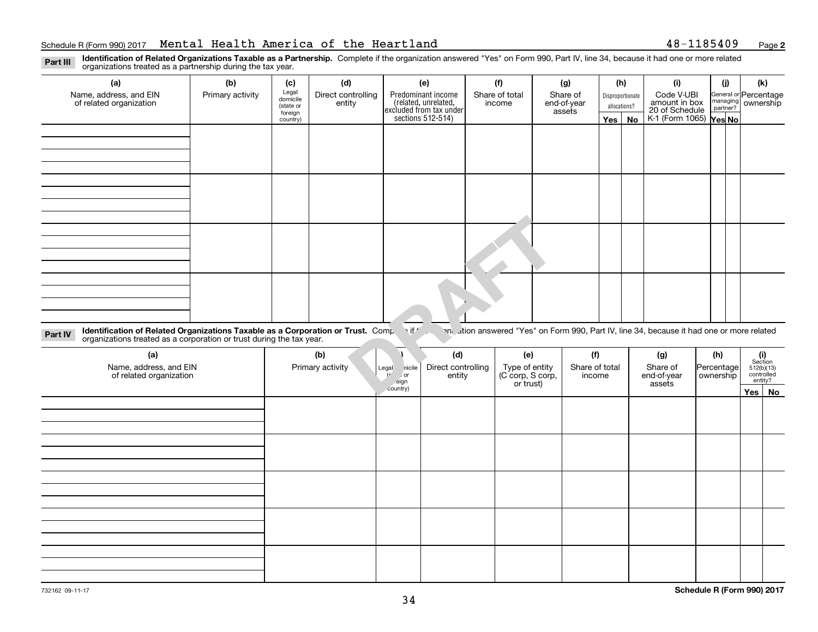**2**

Part III Identification of Related Organizations Taxable as a Partnership. Complete if the organization answered "Yes" on Form 990, Part IV, line 34, because it had one or more related and an experiment of Related Computer organizations treated as a partnership during the tax year.

| (b)<br>(c)                | (d)                |                                                                                                                                                    | (e)                                                                                                                                  |                                            |                                                                                        |                                                        |                       |                                 |                           |                         |                                 |                                                                                                                                                                     |
|---------------------------|--------------------|----------------------------------------------------------------------------------------------------------------------------------------------------|--------------------------------------------------------------------------------------------------------------------------------------|--------------------------------------------|----------------------------------------------------------------------------------------|--------------------------------------------------------|-----------------------|---------------------------------|---------------------------|-------------------------|---------------------------------|---------------------------------------------------------------------------------------------------------------------------------------------------------------------|
|                           |                    |                                                                                                                                                    |                                                                                                                                      | (f)                                        |                                                                                        | (g)                                                    | (h)                   |                                 | (i)                       | (j)                     |                                 | (k)                                                                                                                                                                 |
| Legal<br>Primary activity | Direct controlling |                                                                                                                                                    |                                                                                                                                      | Share of total                             |                                                                                        | Share of                                               | Disproportionate      |                                 | Code V-UBI                |                         |                                 | General or Percentage<br>ownership                                                                                                                                  |
|                           |                    |                                                                                                                                                    |                                                                                                                                      |                                            |                                                                                        |                                                        |                       |                                 |                           |                         |                                 |                                                                                                                                                                     |
|                           |                    |                                                                                                                                                    |                                                                                                                                      |                                            |                                                                                        |                                                        |                       |                                 |                           |                         |                                 |                                                                                                                                                                     |
|                           |                    |                                                                                                                                                    |                                                                                                                                      |                                            |                                                                                        |                                                        |                       |                                 |                           |                         |                                 |                                                                                                                                                                     |
|                           |                    |                                                                                                                                                    |                                                                                                                                      |                                            |                                                                                        |                                                        |                       |                                 |                           |                         |                                 |                                                                                                                                                                     |
|                           |                    |                                                                                                                                                    |                                                                                                                                      |                                            |                                                                                        |                                                        |                       |                                 |                           |                         |                                 |                                                                                                                                                                     |
|                           |                    |                                                                                                                                                    |                                                                                                                                      |                                            |                                                                                        |                                                        |                       |                                 |                           |                         |                                 |                                                                                                                                                                     |
|                           |                    |                                                                                                                                                    |                                                                                                                                      |                                            |                                                                                        |                                                        |                       |                                 |                           |                         |                                 |                                                                                                                                                                     |
|                           |                    |                                                                                                                                                    |                                                                                                                                      |                                            |                                                                                        |                                                        |                       |                                 |                           |                         |                                 |                                                                                                                                                                     |
|                           |                    |                                                                                                                                                    |                                                                                                                                      |                                            |                                                                                        |                                                        |                       |                                 |                           |                         |                                 |                                                                                                                                                                     |
|                           |                    |                                                                                                                                                    |                                                                                                                                      |                                            |                                                                                        |                                                        |                       |                                 |                           |                         |                                 |                                                                                                                                                                     |
|                           |                    |                                                                                                                                                    |                                                                                                                                      |                                            |                                                                                        |                                                        |                       |                                 |                           |                         |                                 |                                                                                                                                                                     |
|                           |                    |                                                                                                                                                    |                                                                                                                                      |                                            |                                                                                        |                                                        |                       |                                 |                           |                         |                                 |                                                                                                                                                                     |
|                           |                    |                                                                                                                                                    |                                                                                                                                      |                                            |                                                                                        |                                                        |                       |                                 |                           |                         |                                 |                                                                                                                                                                     |
|                           |                    |                                                                                                                                                    |                                                                                                                                      |                                            |                                                                                        |                                                        |                       |                                 |                           |                         |                                 |                                                                                                                                                                     |
|                           |                    |                                                                                                                                                    |                                                                                                                                      |                                            |                                                                                        |                                                        |                       |                                 |                           |                         |                                 |                                                                                                                                                                     |
|                           |                    |                                                                                                                                                    |                                                                                                                                      |                                            |                                                                                        |                                                        |                       |                                 |                           |                         |                                 |                                                                                                                                                                     |
|                           |                    |                                                                                                                                                    |                                                                                                                                      |                                            |                                                                                        |                                                        |                       |                                 |                           |                         |                                 |                                                                                                                                                                     |
|                           |                    |                                                                                                                                                    |                                                                                                                                      |                                            |                                                                                        |                                                        |                       |                                 |                           |                         |                                 |                                                                                                                                                                     |
|                           | (b)                |                                                                                                                                                    | (d)                                                                                                                                  |                                            |                                                                                        | (f)                                                    |                       |                                 | (g)                       | (h)                     |                                 | (i)<br>Section                                                                                                                                                      |
|                           |                    | nicile                                                                                                                                             |                                                                                                                                      |                                            |                                                                                        |                                                        |                       |                                 |                           |                         |                                 | $512(b)(13)$<br>controlled                                                                                                                                          |
|                           |                    | eign                                                                                                                                               |                                                                                                                                      |                                            |                                                                                        |                                                        |                       |                                 | assets                    |                         |                                 | entity?                                                                                                                                                             |
|                           |                    |                                                                                                                                                    |                                                                                                                                      |                                            |                                                                                        |                                                        |                       |                                 |                           |                         |                                 | Yes<br>No                                                                                                                                                           |
|                           |                    |                                                                                                                                                    |                                                                                                                                      |                                            |                                                                                        |                                                        |                       |                                 |                           |                         |                                 |                                                                                                                                                                     |
|                           |                    |                                                                                                                                                    |                                                                                                                                      |                                            |                                                                                        |                                                        |                       |                                 |                           |                         |                                 |                                                                                                                                                                     |
|                           |                    |                                                                                                                                                    |                                                                                                                                      |                                            |                                                                                        |                                                        |                       |                                 |                           |                         |                                 |                                                                                                                                                                     |
|                           |                    |                                                                                                                                                    |                                                                                                                                      |                                            |                                                                                        |                                                        |                       |                                 |                           |                         |                                 |                                                                                                                                                                     |
|                           |                    |                                                                                                                                                    |                                                                                                                                      |                                            |                                                                                        |                                                        |                       |                                 |                           |                         |                                 |                                                                                                                                                                     |
|                           |                    | domicile<br>entity<br>(state or<br>foreign<br>country)<br>organizations treated as a corporation or trust during the tax year.<br>Primary activity | Identification of Related Organizations Taxable as a Corporation or Trust. Companist if the<br>Legal<br>$\sqrt{5}$<br>or<br>country) | Predominant income<br>(related, unrelated, | income<br>excluded from tax under<br>sections 512-514)<br>Direct controlling<br>entity | (e)<br>Type of entity<br>(C corp, S corp,<br>or trust) | end-of-year<br>assets | Yes<br>Share of total<br>income | allocations?<br><b>No</b> | Share of<br>end-of-year | amount in box<br>20 of Schedule | managing<br>partner?<br>K-1 (Form 1065) Yes No<br>ation answered "Yes" on Form 990, Part IV, line 34, because it had one or more related<br>Percentage<br>ownership |

**Schedule R (Form 990) 2017**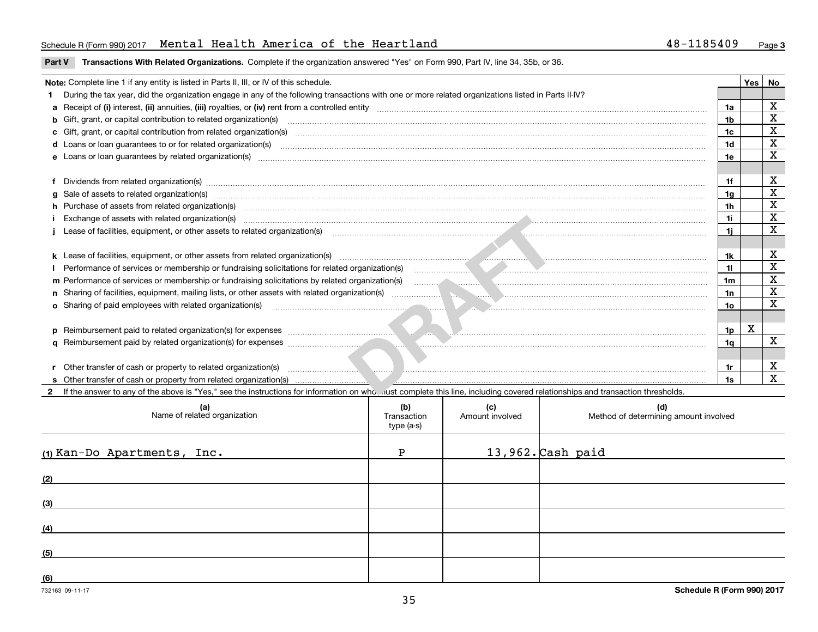## Schedule R(Form 990) 2017 **Mental Health America of the Heartland 48-1185409** Page

**Part V** T**ransactions With Related Organizations.** Complete if the organization answered "Yes" on Form 990, Part IV, line 34, 35b, or 36.

|     | Note: Complete line 1 if any entity is listed in Parts II, III, or IV of this schedule.                                                                                                                                             |                                  |                        |                                                                                                       |                | Yes | No                         |  |  |  |
|-----|-------------------------------------------------------------------------------------------------------------------------------------------------------------------------------------------------------------------------------------|----------------------------------|------------------------|-------------------------------------------------------------------------------------------------------|----------------|-----|----------------------------|--|--|--|
|     | During the tax year, did the organization engage in any of the following transactions with one or more related organizations listed in Parts II-IV?                                                                                 |                                  |                        |                                                                                                       |                |     |                            |  |  |  |
|     |                                                                                                                                                                                                                                     |                                  |                        |                                                                                                       |                |     |                            |  |  |  |
|     | b Gift, grant, or capital contribution to related organization(s) manufaction contains and contribution to related organization(s) manufaction contains and contribution to related organization(s) manufaction and contains a      |                                  |                        |                                                                                                       |                |     |                            |  |  |  |
|     |                                                                                                                                                                                                                                     |                                  |                        |                                                                                                       |                |     |                            |  |  |  |
|     | d Loans or loan guarantees to or for related organization(s) www.communically.com/www.communically.com/www.communically.com/www.communically.com/www.communically.com/www.communically.com/www.communically.com/www.communical      |                                  |                        |                                                                                                       |                |     |                            |  |  |  |
|     |                                                                                                                                                                                                                                     |                                  |                        |                                                                                                       |                |     |                            |  |  |  |
|     |                                                                                                                                                                                                                                     |                                  |                        |                                                                                                       |                |     |                            |  |  |  |
|     | f Dividends from related organization(s) www.assession.com/www.assession.com/www.assession.com/www.assession.com/www.assession.com/www.assession.com/www.assession.com/www.assession.com/www.assession.com/www.assession.com/w      |                                  |                        |                                                                                                       |                |     |                            |  |  |  |
|     | g Sale of assets to related organization(s) www.assettion.com/www.assettion.com/www.assettion.com/www.assettion.com/www.assettion.com/www.assettion.com/www.assettion.com/www.assettion.com/www.assettion.com/www.assettion.co      |                                  |                        |                                                                                                       | 1g             |     | $\mathbf X$                |  |  |  |
|     | h Purchase of assets from related organization(s) manufactured content to content the content of the content of the content of the content of the content of the content of the content of the content of the content of the c      |                                  |                        |                                                                                                       | 1h             |     | $\mathbf X$                |  |  |  |
|     | Exchange of assets with related organization(s) www.communicallycommunicallycommunicallycommunicallycommunicallycommunicallycommunicallycommunicallycommunicallycommunicallycommunicallycommunicallycommunicallycommunicallyco      |                                  |                        |                                                                                                       |                |     |                            |  |  |  |
|     |                                                                                                                                                                                                                                     |                                  |                        |                                                                                                       | 1i.            |     | X                          |  |  |  |
|     |                                                                                                                                                                                                                                     |                                  |                        |                                                                                                       |                |     |                            |  |  |  |
|     |                                                                                                                                                                                                                                     |                                  |                        |                                                                                                       | 1k             |     | X<br>$\mathbf X$           |  |  |  |
|     |                                                                                                                                                                                                                                     |                                  |                        |                                                                                                       |                |     |                            |  |  |  |
|     |                                                                                                                                                                                                                                     |                                  |                        |                                                                                                       |                |     |                            |  |  |  |
|     |                                                                                                                                                                                                                                     |                                  |                        |                                                                                                       | 1n             |     | $\mathbf X$<br>$\mathbf X$ |  |  |  |
|     | <b>o</b> Sharing of paid employees with related organization(s)                                                                                                                                                                     |                                  |                        |                                                                                                       |                |     |                            |  |  |  |
|     |                                                                                                                                                                                                                                     |                                  |                        |                                                                                                       |                |     |                            |  |  |  |
|     | p Reimbursement paid to related organization(s) for expenses <b>Constitution</b> in the construction of the construction of the construction of the construction of the construction of the construction of the construction of the |                                  |                        |                                                                                                       | 1p.            | X   |                            |  |  |  |
|     |                                                                                                                                                                                                                                     |                                  |                        | <b>Experience of the communication of the communication of the communication of the communication</b> | 1 <sub>a</sub> |     | $\mathbf X$                |  |  |  |
|     |                                                                                                                                                                                                                                     |                                  |                        |                                                                                                       |                |     |                            |  |  |  |
|     |                                                                                                                                                                                                                                     |                                  |                        |                                                                                                       | 1r             |     | Х                          |  |  |  |
|     |                                                                                                                                                                                                                                     |                                  |                        |                                                                                                       | 1s             |     | $\mathbf{x}$               |  |  |  |
|     | lf the answer to any of the above is "Yes," see the instructions for information on who ust complete this line, including covered relationships and transaction thresholds.                                                         |                                  |                        |                                                                                                       |                |     |                            |  |  |  |
|     | (a)<br>Name of related organization                                                                                                                                                                                                 | (b)<br>Transaction<br>type (a-s) | (c)<br>Amount involved | (d)<br>Method of determining amount involved                                                          |                |     |                            |  |  |  |
|     | (1) Kan-Do Apartments, Inc.                                                                                                                                                                                                         | P                                |                        | $13,962.$ Cash paid                                                                                   |                |     |                            |  |  |  |
|     |                                                                                                                                                                                                                                     |                                  |                        |                                                                                                       |                |     |                            |  |  |  |
| (3) |                                                                                                                                                                                                                                     |                                  |                        |                                                                                                       |                |     |                            |  |  |  |
| (4) |                                                                                                                                                                                                                                     |                                  |                        |                                                                                                       |                |     |                            |  |  |  |

**(5)**

**(6)**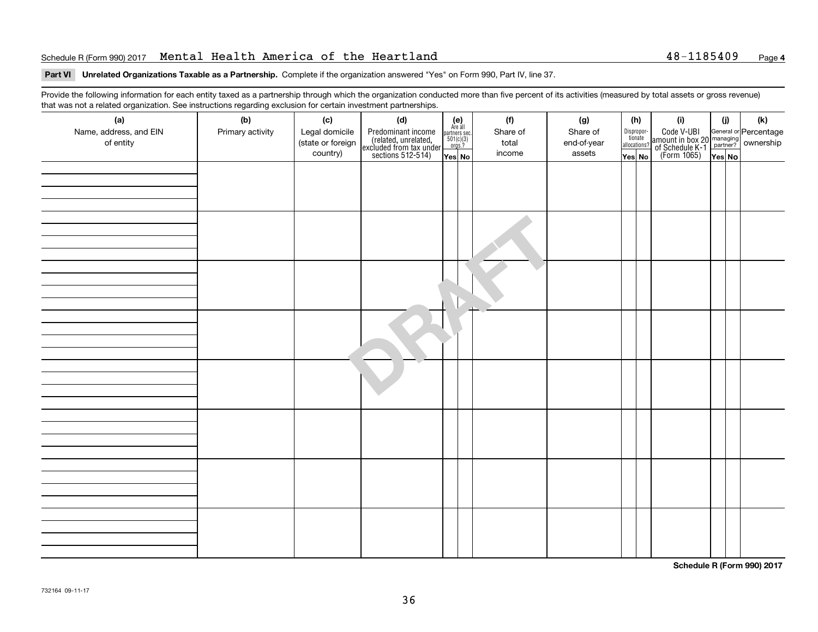## Schedule R(Form 990) 2017 **Mental Health America of the Heartland 48-1185409** Page

### **Part VI Unrelated Organizations Taxable as a Partnership. Complete if the organization answered "Yes" on Form 990, Part IV, line 37.**

Provide the following information for each entity taxed as a partnership through which the organization conducted more than five percent of its activities (measured by total assets or gross revenue) that was not a related organization. See instructions regarding exclusion for certain investment partnerships.

| (a)                    | .<br>(b)         | (c)               | <br>(d)                                                                                    |                                                                                                                    | (f)      | (g)         | (h)                                   | (i)                                                                                                    | (i)    | (k) |
|------------------------|------------------|-------------------|--------------------------------------------------------------------------------------------|--------------------------------------------------------------------------------------------------------------------|----------|-------------|---------------------------------------|--------------------------------------------------------------------------------------------------------|--------|-----|
| Name, address, and EIN | Primary activity | Legal domicile    |                                                                                            | $\begin{array}{c} \textbf{(e)}\\ \text{Area all} \\ \text{partners sec.}\\ 501(c)(3) \\ \text{orgs.?} \end{array}$ | Share of | Share of    |                                       |                                                                                                        |        |     |
| of entity              |                  | (state or foreign |                                                                                            |                                                                                                                    | total    | end-of-year | Dispropor-<br>tionate<br>allocations? |                                                                                                        |        |     |
|                        |                  | country)          | Predominant income<br>(related, unrelated,<br>excluded from tax under<br>sections 512-514) | Yes No                                                                                                             | income   | assets      | Yes No                                | Code V-UBI<br>amount in box 20 managing<br>of Schedule K-1 partner? ownership<br>(Form 1065)<br>ves No | Yes No |     |
|                        |                  |                   |                                                                                            |                                                                                                                    |          |             |                                       |                                                                                                        |        |     |
|                        |                  |                   |                                                                                            |                                                                                                                    |          |             |                                       |                                                                                                        |        |     |
|                        |                  |                   |                                                                                            |                                                                                                                    |          |             |                                       |                                                                                                        |        |     |
|                        |                  |                   |                                                                                            |                                                                                                                    |          |             |                                       |                                                                                                        |        |     |
|                        |                  |                   |                                                                                            |                                                                                                                    |          |             |                                       |                                                                                                        |        |     |
|                        |                  |                   |                                                                                            |                                                                                                                    |          |             |                                       |                                                                                                        |        |     |
|                        |                  |                   |                                                                                            |                                                                                                                    |          |             |                                       |                                                                                                        |        |     |
|                        |                  |                   |                                                                                            |                                                                                                                    |          |             |                                       |                                                                                                        |        |     |
|                        |                  |                   |                                                                                            |                                                                                                                    |          |             |                                       |                                                                                                        |        |     |
|                        |                  |                   |                                                                                            |                                                                                                                    |          |             |                                       |                                                                                                        |        |     |
|                        |                  |                   |                                                                                            |                                                                                                                    |          |             |                                       |                                                                                                        |        |     |
|                        |                  |                   |                                                                                            |                                                                                                                    |          |             |                                       |                                                                                                        |        |     |
|                        |                  |                   |                                                                                            |                                                                                                                    |          |             |                                       |                                                                                                        |        |     |
|                        |                  |                   |                                                                                            |                                                                                                                    |          |             |                                       |                                                                                                        |        |     |
|                        |                  |                   |                                                                                            |                                                                                                                    |          |             |                                       |                                                                                                        |        |     |
|                        |                  |                   |                                                                                            |                                                                                                                    |          |             |                                       |                                                                                                        |        |     |
|                        |                  |                   |                                                                                            |                                                                                                                    |          |             |                                       |                                                                                                        |        |     |
|                        |                  |                   |                                                                                            |                                                                                                                    |          |             |                                       |                                                                                                        |        |     |
|                        |                  |                   |                                                                                            |                                                                                                                    |          |             |                                       |                                                                                                        |        |     |
|                        |                  |                   |                                                                                            |                                                                                                                    |          |             |                                       |                                                                                                        |        |     |
|                        |                  |                   |                                                                                            |                                                                                                                    |          |             |                                       |                                                                                                        |        |     |
|                        |                  |                   |                                                                                            |                                                                                                                    |          |             |                                       |                                                                                                        |        |     |
|                        |                  |                   |                                                                                            |                                                                                                                    |          |             |                                       |                                                                                                        |        |     |
|                        |                  |                   |                                                                                            |                                                                                                                    |          |             |                                       |                                                                                                        |        |     |
|                        |                  |                   |                                                                                            |                                                                                                                    |          |             |                                       |                                                                                                        |        |     |
|                        |                  |                   |                                                                                            |                                                                                                                    |          |             |                                       |                                                                                                        |        |     |
|                        |                  |                   |                                                                                            |                                                                                                                    |          |             |                                       |                                                                                                        |        |     |
|                        |                  |                   |                                                                                            |                                                                                                                    |          |             |                                       |                                                                                                        |        |     |
|                        |                  |                   |                                                                                            |                                                                                                                    |          |             |                                       |                                                                                                        |        |     |
|                        |                  |                   |                                                                                            |                                                                                                                    |          |             |                                       |                                                                                                        |        |     |
|                        |                  |                   |                                                                                            |                                                                                                                    |          |             |                                       |                                                                                                        |        |     |
|                        |                  |                   |                                                                                            |                                                                                                                    |          |             |                                       |                                                                                                        |        |     |
|                        |                  |                   |                                                                                            |                                                                                                                    |          |             |                                       |                                                                                                        |        |     |
|                        |                  |                   |                                                                                            |                                                                                                                    |          |             |                                       |                                                                                                        |        |     |
|                        |                  |                   |                                                                                            |                                                                                                                    |          |             |                                       |                                                                                                        |        |     |

**Schedule R (Form 990) 2017**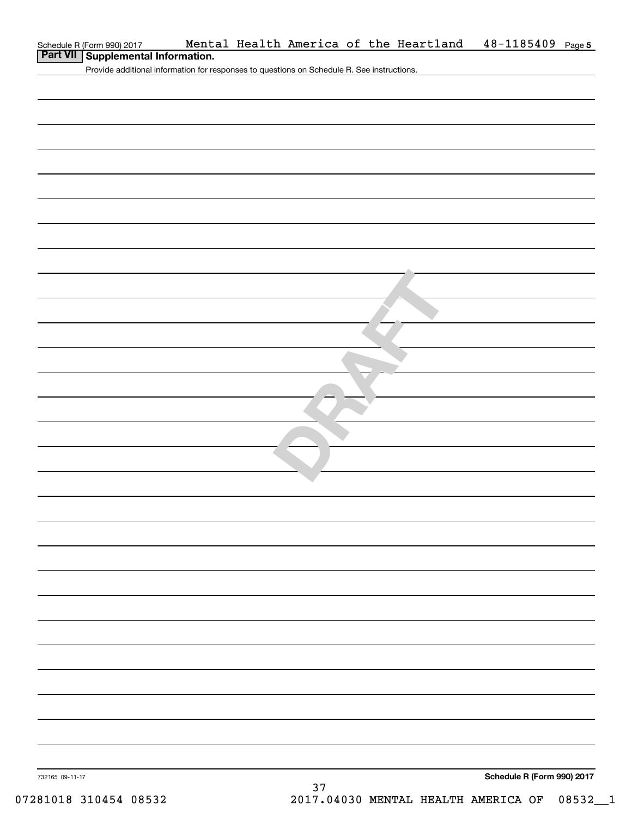|                                                                                            |  |  | Mental Health America of the Heartland | $48 - 1185409$ Page 5 |  |
|--------------------------------------------------------------------------------------------|--|--|----------------------------------------|-----------------------|--|
| Schedule R (Form 990) 2017 Menta<br><b>Part VII</b> Supplemental Information.              |  |  |                                        |                       |  |
| Provide additional information for responses to questions on Schedule R. See instructions. |  |  |                                        |                       |  |
|                                                                                            |  |  |                                        |                       |  |
|                                                                                            |  |  |                                        |                       |  |
|                                                                                            |  |  |                                        |                       |  |
|                                                                                            |  |  |                                        |                       |  |
|                                                                                            |  |  |                                        |                       |  |
|                                                                                            |  |  |                                        |                       |  |
|                                                                                            |  |  |                                        |                       |  |
|                                                                                            |  |  |                                        |                       |  |
|                                                                                            |  |  |                                        |                       |  |
|                                                                                            |  |  |                                        |                       |  |
|                                                                                            |  |  |                                        |                       |  |
|                                                                                            |  |  |                                        |                       |  |
|                                                                                            |  |  |                                        |                       |  |
|                                                                                            |  |  |                                        |                       |  |
|                                                                                            |  |  |                                        |                       |  |
|                                                                                            |  |  |                                        |                       |  |
|                                                                                            |  |  |                                        |                       |  |
|                                                                                            |  |  |                                        |                       |  |
|                                                                                            |  |  |                                        |                       |  |
|                                                                                            |  |  |                                        |                       |  |
|                                                                                            |  |  |                                        |                       |  |
|                                                                                            |  |  |                                        |                       |  |
|                                                                                            |  |  |                                        |                       |  |
|                                                                                            |  |  |                                        |                       |  |
|                                                                                            |  |  |                                        |                       |  |
|                                                                                            |  |  |                                        |                       |  |
|                                                                                            |  |  |                                        |                       |  |
|                                                                                            |  |  |                                        |                       |  |
|                                                                                            |  |  |                                        |                       |  |
|                                                                                            |  |  |                                        |                       |  |
|                                                                                            |  |  |                                        |                       |  |
|                                                                                            |  |  |                                        |                       |  |
|                                                                                            |  |  |                                        |                       |  |
|                                                                                            |  |  |                                        |                       |  |
|                                                                                            |  |  |                                        |                       |  |
|                                                                                            |  |  |                                        |                       |  |
|                                                                                            |  |  |                                        |                       |  |
|                                                                                            |  |  |                                        |                       |  |
|                                                                                            |  |  |                                        |                       |  |
|                                                                                            |  |  |                                        |                       |  |
|                                                                                            |  |  |                                        |                       |  |
|                                                                                            |  |  |                                        |                       |  |
|                                                                                            |  |  |                                        |                       |  |
|                                                                                            |  |  |                                        |                       |  |
|                                                                                            |  |  |                                        |                       |  |
|                                                                                            |  |  |                                        |                       |  |
|                                                                                            |  |  |                                        |                       |  |
|                                                                                            |  |  |                                        |                       |  |